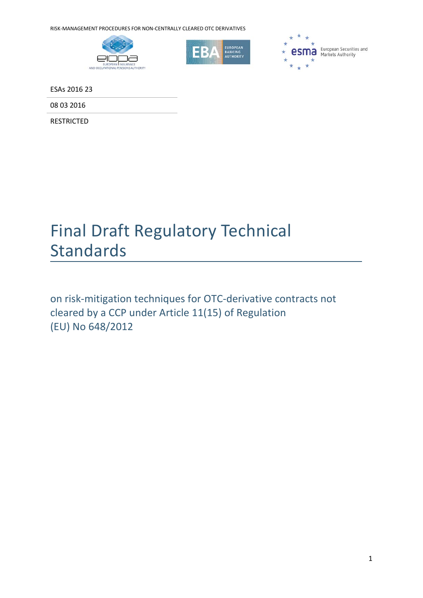





**ESMA** European Securities and

ESAs 2016 23

08 03 2016

RESTRICTED

# Final Draft Regulatory Technical Standards

on risk-mitigation techniques for OTC-derivative contracts not cleared by a CCP under Article 11(15) of Regulation (EU) No 648/2012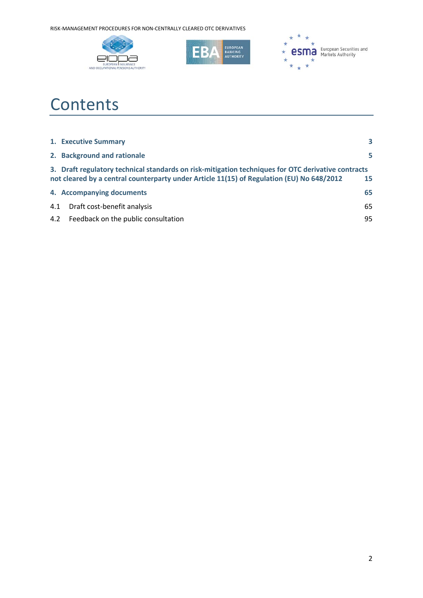





# **Contents**

|     | 1. Executive Summary                                                                                                                                                                            | 3  |
|-----|-------------------------------------------------------------------------------------------------------------------------------------------------------------------------------------------------|----|
|     | 2. Background and rationale                                                                                                                                                                     | 5  |
|     | 3. Draft regulatory technical standards on risk-mitigation techniques for OTC derivative contracts<br>not cleared by a central counterparty under Article 11(15) of Regulation (EU) No 648/2012 | 15 |
|     | 4. Accompanying documents                                                                                                                                                                       | 65 |
| 4.1 | Draft cost-benefit analysis                                                                                                                                                                     | 65 |
|     | 4.2 Feedback on the public consultation                                                                                                                                                         | 95 |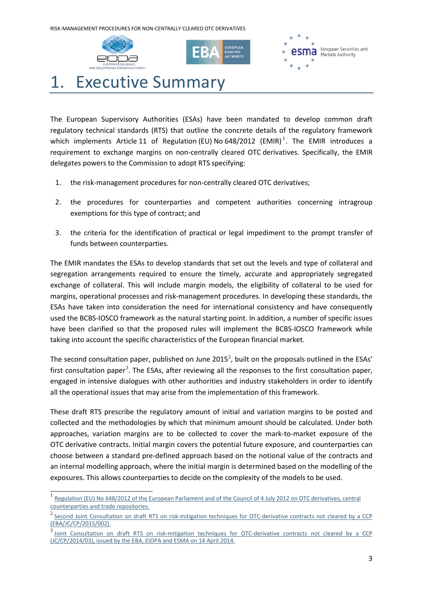

 $\overline{a}$ 





# <span id="page-2-0"></span>1. Executive Summary

The European Supervisory Authorities (ESAs) have been mandated to develop common draft regulatory technical standards (RTS) that outline the concrete details of the regulatory framework which implements Article [1](#page-2-1)1 of Regulation (EU) No 648/2012 (EMIR)<sup>1</sup>. The EMIR introduces a requirement to exchange margins on non-centrally cleared OTC derivatives. Specifically, the EMIR delegates powers to the Commission to adopt RTS specifying:

- 1. the risk-management procedures for non-centrally cleared OTC derivatives;
- 2. the procedures for counterparties and competent authorities concerning intragroup exemptions for this type of contract; and
- 3. the criteria for the identification of practical or legal impediment to the prompt transfer of funds between counterparties.

The EMIR mandates the ESAs to develop standards that set out the levels and type of collateral and segregation arrangements required to ensure the timely, accurate and appropriately segregated exchange of collateral. This will include margin models, the eligibility of collateral to be used for margins, operational processes and risk-management procedures. In developing these standards, the ESAs have taken into consideration the need for international consistency and have consequently used the BCBS-IOSCO framework as the natural starting point. In addition, a number of specific issues have been clarified so that the proposed rules will implement the BCBS-IOSCO framework while taking into account the specific characteristics of the European financial market.

The second consultation paper, published on June [2](#page-2-2)015<sup>2</sup>, built on the proposals outlined in the ESAs' first consultation paper<sup>[3](#page-2-3)</sup>. The ESAs, after reviewing all the responses to the first consultation paper, engaged in intensive dialogues with other authorities and industry stakeholders in order to identify all the operational issues that may arise from the implementation of this framework.

These draft RTS prescribe the regulatory amount of initial and variation margins to be posted and collected and the methodologies by which that minimum amount should be calculated. Under both approaches, variation margins are to be collected to cover the mark-to-market exposure of the OTC derivative contracts. Initial margin covers the potential future exposure, and counterparties can choose between a standard pre-defined approach based on the notional value of the contracts and an internal modelling approach, where the initial margin is determined based on the modelling of the exposures. This allows counterparties to decide on the complexity of the models to be used.

<span id="page-2-1"></span>Regulation (EU) No [648/2012 of the European Parliament and of the Council of 4](http://eur-lex.europa.eu/LexUriServ/LexUriServ.do?uri=OJ:L:2012:201:0001:0059:EN:PDF) July 2012 on OTC derivatives, central [counterparties and trade repositories.](http://eur-lex.europa.eu/LexUriServ/LexUriServ.do?uri=OJ:L:2012:201:0001:0059:EN:PDF)

<span id="page-2-2"></span><sup>2</sup> [Second Joint Consultation on draft RTS on risk-mitigation techniques for OTC-derivative contracts not cleared by a CCP](https://www.eba.europa.eu/news-press/calendar?p_p_id=8&p_p_lifecycle=0&p_p_state=normal&p_p_mode=view&p_p_col_id=column-1&p_p_col_count=1&_8_struts_action=%2Fcalendar%2Fview_event&_8_redirect=https%3A%2F%2Fwww.eba.europa.eu%2Fnews-press%2Fcalendar%3Fp_p_id%3D8%26p_p_lifecycle%3D0%26p_p_state%3Dnormal%26p_p_mode%3Dview%26p_p_col_id%3Dcolumn-1%26p_p_col_count%3D1%26_8_advancedSearch%3Dfalse%26_8_tabs1%3Devents%26_8_keywords%3D%26_8_delta%3D75%26_8_resetCur%3Dfalse%26_8_struts_action%3D%252Fcalendar%252Fview%26_8_andOperator%3Dtrue%26_8_eventTypes%3Dconsultation%252Cdiscussion&_8_eventId=1106133)  [\(EBA/JC/CP/2015/002\).](https://www.eba.europa.eu/news-press/calendar?p_p_id=8&p_p_lifecycle=0&p_p_state=normal&p_p_mode=view&p_p_col_id=column-1&p_p_col_count=1&_8_struts_action=%2Fcalendar%2Fview_event&_8_redirect=https%3A%2F%2Fwww.eba.europa.eu%2Fnews-press%2Fcalendar%3Fp_p_id%3D8%26p_p_lifecycle%3D0%26p_p_state%3Dnormal%26p_p_mode%3Dview%26p_p_col_id%3Dcolumn-1%26p_p_col_count%3D1%26_8_advancedSearch%3Dfalse%26_8_tabs1%3Devents%26_8_keywords%3D%26_8_delta%3D75%26_8_resetCur%3Dfalse%26_8_struts_action%3D%252Fcalendar%252Fview%26_8_andOperator%3Dtrue%26_8_eventTypes%3Dconsultation%252Cdiscussion&_8_eventId=1106133)

<span id="page-2-3"></span>Joint Consultation on draft RTS on risk-mitigation techniques for OTC-derivative contracts not cleared by a CCP [\(JC/CP/2014/03\), issued by the EBA, EIOPA and ESMA on 14 April 2014.](https://www.eba.europa.eu/news-press/calendar?p_p_id=8&p_p_lifecycle=0&p_p_state=normal&p_p_mode=view&p_p_col_id=column-1&p_p_col_count=1&_8_struts_action=%2Fcalendar%2Fview_event&_8_redirect=https%3A%2F%2Fwww.eba.europa.eu%2Fnews-press%2Fcalendar%3Fp_p_id%3D8%26p_p_lifecycle%3D0%26p_p_state%3Dnormal%26p_p_mode%3Dview%26p_p_col_id%3Dcolumn-1%26p_p_col_count%3D1%26_8_advancedSearch%3Dfalse%26_8_tabs1%3Devents%26_8_keywords%3D%26_8_delta%3D75%26_8_resetCur%3Dfalse%26_8_struts_action%3D%252Fcalendar%252Fview%26_8_andOperator%3Dtrue%26_8_eventTypes%3Dconsultation%252Cdiscussion&_8_eventId=655146)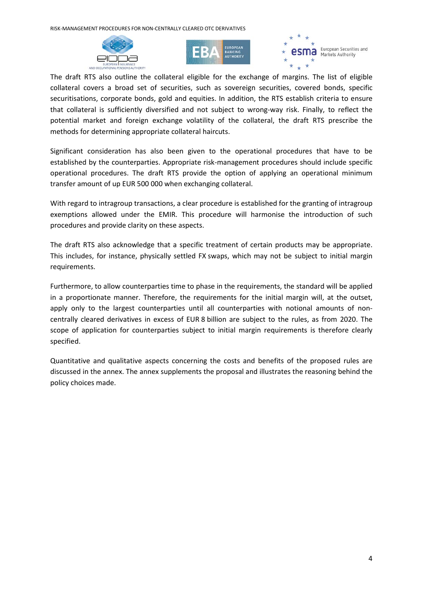





The draft RTS also outline the collateral eligible for the exchange of margins. The list of eligible collateral covers a broad set of securities, such as sovereign securities, covered bonds, specific securitisations, corporate bonds, gold and equities. In addition, the RTS establish criteria to ensure that collateral is sufficiently diversified and not subject to wrong-way risk. Finally, to reflect the potential market and foreign exchange volatility of the collateral, the draft RTS prescribe the methods for determining appropriate collateral haircuts.

Significant consideration has also been given to the operational procedures that have to be established by the counterparties. Appropriate risk-management procedures should include specific operational procedures. The draft RTS provide the option of applying an operational minimum transfer amount of up EUR 500 000 when exchanging collateral.

With regard to intragroup transactions, a clear procedure is established for the granting of intragroup exemptions allowed under the EMIR. This procedure will harmonise the introduction of such procedures and provide clarity on these aspects.

The draft RTS also acknowledge that a specific treatment of certain products may be appropriate. This includes, for instance, physically settled FX swaps, which may not be subject to initial margin requirements.

Furthermore, to allow counterparties time to phase in the requirements, the standard will be applied in a proportionate manner. Therefore, the requirements for the initial margin will, at the outset, apply only to the largest counterparties until all counterparties with notional amounts of noncentrally cleared derivatives in excess of EUR 8 billion are subject to the rules, as from 2020. The scope of application for counterparties subject to initial margin requirements is therefore clearly specified.

Quantitative and qualitative aspects concerning the costs and benefits of the proposed rules are discussed in the annex. The annex supplements the proposal and illustrates the reasoning behind the policy choices made.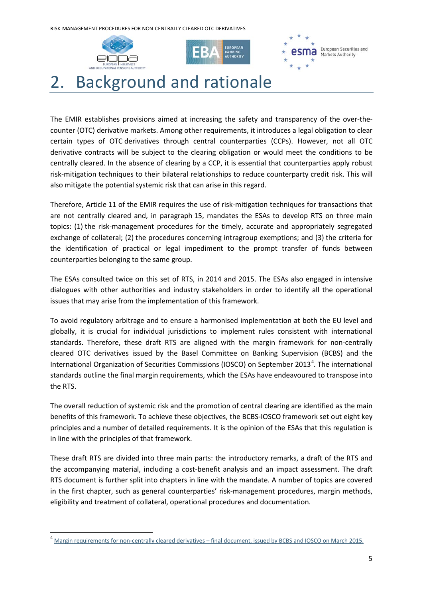





European Securities and Markets Authority

# <span id="page-4-0"></span>2. Background and rationale

The EMIR establishes provisions aimed at increasing the safety and transparency of the over-thecounter (OTC) derivative markets. Among other requirements, it introduces a legal obligation to clear certain types of OTC derivatives through central counterparties (CCPs). However, not all OTC derivative contracts will be subject to the clearing obligation or would meet the conditions to be centrally cleared. In the absence of clearing by a CCP, it is essential that counterparties apply robust risk-mitigation techniques to their bilateral relationships to reduce counterparty credit risk. This will also mitigate the potential systemic risk that can arise in this regard.

Therefore, Article 11 of the EMIR requires the use of risk-mitigation techniques for transactions that are not centrally cleared and, in paragraph 15, mandates the ESAs to develop RTS on three main topics: (1) the risk-management procedures for the timely, accurate and appropriately segregated exchange of collateral; (2) the procedures concerning intragroup exemptions; and (3) the criteria for the identification of practical or legal impediment to the prompt transfer of funds between counterparties belonging to the same group.

The ESAs consulted twice on this set of RTS, in 2014 and 2015. The ESAs also engaged in intensive dialogues with other authorities and industry stakeholders in order to identify all the operational issues that may arise from the implementation of this framework.

To avoid regulatory arbitrage and to ensure a harmonised implementation at both the EU level and globally, it is crucial for individual jurisdictions to implement rules consistent with international standards. Therefore, these draft RTS are aligned with the margin framework for non-centrally cleared OTC derivatives issued by the Basel Committee on Banking Supervision (BCBS) and the International Organization of Securities Commissions (IOSCO) on September 2013<sup>[4](#page-4-1)</sup>. The international standards outline the final margin requirements, which the ESAs have endeavoured to transpose into the RTS.

The overall reduction of systemic risk and the promotion of central clearing are identified as the main benefits of this framework. To achieve these objectives, the BCBS-IOSCO framework set out eight key principles and a number of detailed requirements. It is the opinion of the ESAs that this regulation is in line with the principles of that framework.

These draft RTS are divided into three main parts: the introductory remarks, a draft of the RTS and the accompanying material, including a cost-benefit analysis and an impact assessment. The draft RTS document is further split into chapters in line with the mandate. A number of topics are covered in the first chapter, such as general counterparties' risk-management procedures, margin methods, eligibility and treatment of collateral, operational procedures and documentation.

 $\overline{a}$ 

<span id="page-4-1"></span> $^4$  [Margin requirements for non-centrally cleared derivatives –](http://www.bis.org/bcbs/publ/d317.htm) final document, issued by BCBS and IOSCO on March 2015.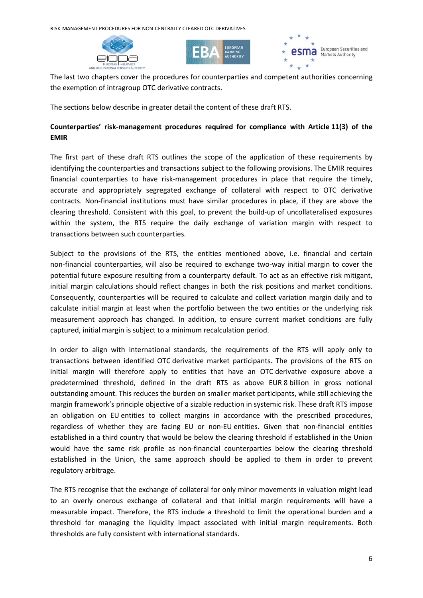





The last two chapters cover the procedures for counterparties and competent authorities concerning the exemption of intragroup OTC derivative contracts.

The sections below describe in greater detail the content of these draft RTS.

# **Counterparties' risk-management procedures required for compliance with Article 11(3) of the EMIR**

The first part of these draft RTS outlines the scope of the application of these requirements by identifying the counterparties and transactions subject to the following provisions. The EMIR requires financial counterparties to have risk-management procedures in place that require the timely, accurate and appropriately segregated exchange of collateral with respect to OTC derivative contracts. Non-financial institutions must have similar procedures in place, if they are above the clearing threshold. Consistent with this goal, to prevent the build-up of uncollateralised exposures within the system, the RTS require the daily exchange of variation margin with respect to transactions between such counterparties.

Subject to the provisions of the RTS, the entities mentioned above, i.e. financial and certain non-financial counterparties, will also be required to exchange two-way initial margin to cover the potential future exposure resulting from a counterparty default. To act as an effective risk mitigant, initial margin calculations should reflect changes in both the risk positions and market conditions. Consequently, counterparties will be required to calculate and collect variation margin daily and to calculate initial margin at least when the portfolio between the two entities or the underlying risk measurement approach has changed. In addition, to ensure current market conditions are fully captured, initial margin is subject to a minimum recalculation period.

In order to align with international standards, the requirements of the RTS will apply only to transactions between identified OTC derivative market participants. The provisions of the RTS on initial margin will therefore apply to entities that have an OTC derivative exposure above a predetermined threshold, defined in the draft RTS as above EUR 8 billion in gross notional outstanding amount. This reduces the burden on smaller market participants, while still achieving the margin framework's principle objective of a sizable reduction in systemic risk. These draft RTS impose an obligation on EU entities to collect margins in accordance with the prescribed procedures, regardless of whether they are facing EU or non-EU entities. Given that non-financial entities established in a third country that would be below the clearing threshold if established in the Union would have the same risk profile as non-financial counterparties below the clearing threshold established in the Union, the same approach should be applied to them in order to prevent regulatory arbitrage.

The RTS recognise that the exchange of collateral for only minor movements in valuation might lead to an overly onerous exchange of collateral and that initial margin requirements will have a measurable impact. Therefore, the RTS include a threshold to limit the operational burden and a threshold for managing the liquidity impact associated with initial margin requirements. Both thresholds are fully consistent with international standards.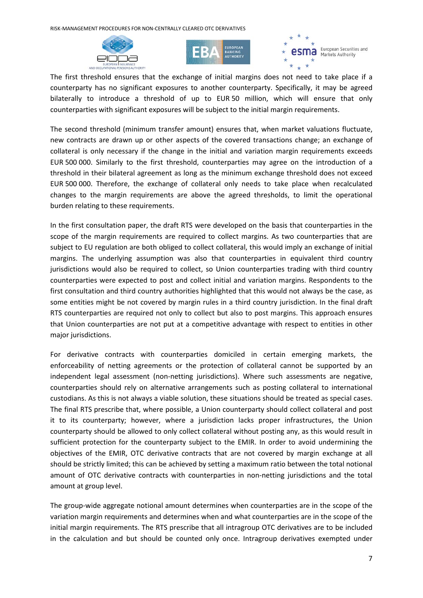





The first threshold ensures that the exchange of initial margins does not need to take place if a counterparty has no significant exposures to another counterparty. Specifically, it may be agreed bilaterally to introduce a threshold of up to EUR 50 million, which will ensure that only counterparties with significant exposures will be subject to the initial margin requirements.

The second threshold (minimum transfer amount) ensures that, when market valuations fluctuate, new contracts are drawn up or other aspects of the covered transactions change; an exchange of collateral is only necessary if the change in the initial and variation margin requirements exceeds EUR 500 000. Similarly to the first threshold, counterparties may agree on the introduction of a threshold in their bilateral agreement as long as the minimum exchange threshold does not exceed EUR 500 000. Therefore, the exchange of collateral only needs to take place when recalculated changes to the margin requirements are above the agreed thresholds, to limit the operational burden relating to these requirements.

In the first consultation paper, the draft RTS were developed on the basis that counterparties in the scope of the margin requirements are required to collect margins. As two counterparties that are subject to EU regulation are both obliged to collect collateral, this would imply an exchange of initial margins. The underlying assumption was also that counterparties in equivalent third country jurisdictions would also be required to collect, so Union counterparties trading with third country counterparties were expected to post and collect initial and variation margins. Respondents to the first consultation and third country authorities highlighted that this would not always be the case, as some entities might be not covered by margin rules in a third country jurisdiction. In the final draft RTS counterparties are required not only to collect but also to post margins. This approach ensures that Union counterparties are not put at a competitive advantage with respect to entities in other major jurisdictions.

For derivative contracts with counterparties domiciled in certain emerging markets, the enforceability of netting agreements or the protection of collateral cannot be supported by an independent legal assessment (non-netting jurisdictions). Where such assessments are negative, counterparties should rely on alternative arrangements such as posting collateral to international custodians. As this is not always a viable solution, these situations should be treated as special cases. The final RTS prescribe that, where possible, a Union counterparty should collect collateral and post it to its counterparty; however, where a jurisdiction lacks proper infrastructures, the Union counterparty should be allowed to only collect collateral without posting any, as this would result in sufficient protection for the counterparty subject to the EMIR. In order to avoid undermining the objectives of the EMIR, OTC derivative contracts that are not covered by margin exchange at all should be strictly limited; this can be achieved by setting a maximum ratio between the total notional amount of OTC derivative contracts with counterparties in non-netting jurisdictions and the total amount at group level.

The group-wide aggregate notional amount determines when counterparties are in the scope of the variation margin requirements and determines when and what counterparties are in the scope of the initial margin requirements. The RTS prescribe that all intragroup OTC derivatives are to be included in the calculation and but should be counted only once. Intragroup derivatives exempted under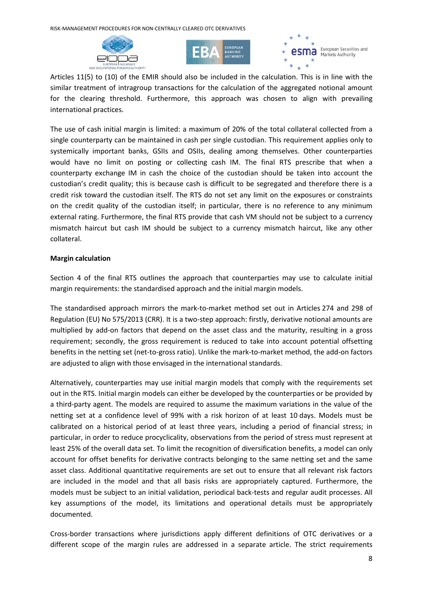





Articles 11(5) to (10) of the EMIR should also be included in the calculation. This is in line with the similar treatment of intragroup transactions for the calculation of the aggregated notional amount for the clearing threshold. Furthermore, this approach was chosen to align with prevailing international practices.

The use of cash initial margin is limited: a maximum of 20% of the total collateral collected from a single counterparty can be maintained in cash per single custodian. This requirement applies only to systemically important banks, GSIIs and OSIIs, dealing among themselves. Other counterparties would have no limit on posting or collecting cash IM. The final RTS prescribe that when a counterparty exchange IM in cash the choice of the custodian should be taken into account the custodian's credit quality; this is because cash is difficult to be segregated and therefore there is a credit risk toward the custodian itself. The RTS do not set any limit on the exposures or constraints on the credit quality of the custodian itself; in particular, there is no reference to any minimum external rating. Furthermore, the final RTS provide that cash VM should not be subject to a currency mismatch haircut but cash IM should be subject to a currency mismatch haircut, like any other collateral.

#### **Margin calculation**

Section 4 of the final RTS outlines the approach that counterparties may use to calculate initial margin requirements: the standardised approach and the initial margin models.

The standardised approach mirrors the mark-to-market method set out in Articles 274 and 298 of Regulation (EU) No 575/2013 (CRR). It is a two-step approach: firstly, derivative notional amounts are multiplied by add-on factors that depend on the asset class and the maturity, resulting in a gross requirement; secondly, the gross requirement is reduced to take into account potential offsetting benefits in the netting set (net-to-gross ratio). Unlike the mark-to-market method, the add-on factors are adjusted to align with those envisaged in the international standards.

Alternatively, counterparties may use initial margin models that comply with the requirements set out in the RTS. Initial margin models can either be developed by the counterparties or be provided by a third-party agent. The models are required to assume the maximum variations in the value of the netting set at a confidence level of 99% with a risk horizon of at least 10 days. Models must be calibrated on a historical period of at least three years, including a period of financial stress; in particular, in order to reduce procyclicality, observations from the period of stress must represent at least 25% of the overall data set. To limit the recognition of diversification benefits, a model can only account for offset benefits for derivative contracts belonging to the same netting set and the same asset class. Additional quantitative requirements are set out to ensure that all relevant risk factors are included in the model and that all basis risks are appropriately captured. Furthermore, the models must be subject to an initial validation, periodical back-tests and regular audit processes. All key assumptions of the model, its limitations and operational details must be appropriately documented.

Cross-border transactions where jurisdictions apply different definitions of OTC derivatives or a different scope of the margin rules are addressed in a separate article. The strict requirements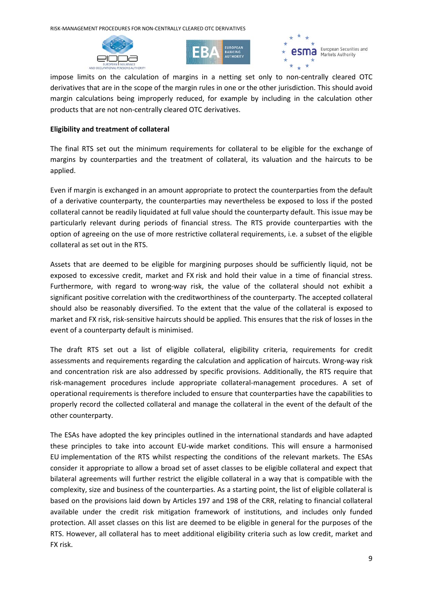





impose limits on the calculation of margins in a netting set only to non-centrally cleared OTC derivatives that are in the scope of the margin rules in one or the other jurisdiction. This should avoid margin calculations being improperly reduced, for example by including in the calculation other products that are not non-centrally cleared OTC derivatives.

#### **Eligibility and treatment of collateral**

The final RTS set out the minimum requirements for collateral to be eligible for the exchange of margins by counterparties and the treatment of collateral, its valuation and the haircuts to be applied.

Even if margin is exchanged in an amount appropriate to protect the counterparties from the default of a derivative counterparty, the counterparties may nevertheless be exposed to loss if the posted collateral cannot be readily liquidated at full value should the counterparty default. This issue may be particularly relevant during periods of financial stress. The RTS provide counterparties with the option of agreeing on the use of more restrictive collateral requirements, i.e. a subset of the eligible collateral as set out in the RTS.

Assets that are deemed to be eligible for margining purposes should be sufficiently liquid, not be exposed to excessive credit, market and FX risk and hold their value in a time of financial stress. Furthermore, with regard to wrong-way risk, the value of the collateral should not exhibit a significant positive correlation with the creditworthiness of the counterparty. The accepted collateral should also be reasonably diversified. To the extent that the value of the collateral is exposed to market and FX risk, risk-sensitive haircuts should be applied. This ensures that the risk of losses in the event of a counterparty default is minimised.

The draft RTS set out a list of eligible collateral, eligibility criteria, requirements for credit assessments and requirements regarding the calculation and application of haircuts. Wrong-way risk and concentration risk are also addressed by specific provisions. Additionally, the RTS require that risk-management procedures include appropriate collateral-management procedures. A set of operational requirements is therefore included to ensure that counterparties have the capabilities to properly record the collected collateral and manage the collateral in the event of the default of the other counterparty.

The ESAs have adopted the key principles outlined in the international standards and have adapted these principles to take into account EU-wide market conditions. This will ensure a harmonised EU implementation of the RTS whilst respecting the conditions of the relevant markets. The ESAs consider it appropriate to allow a broad set of asset classes to be eligible collateral and expect that bilateral agreements will further restrict the eligible collateral in a way that is compatible with the complexity, size and business of the counterparties. As a starting point, the list of eligible collateral is based on the provisions laid down by Articles 197 and 198 of the CRR, relating to financial collateral available under the credit risk mitigation framework of institutions, and includes only funded protection. All asset classes on this list are deemed to be eligible in general for the purposes of the RTS. However, all collateral has to meet additional eligibility criteria such as low credit, market and FX risk.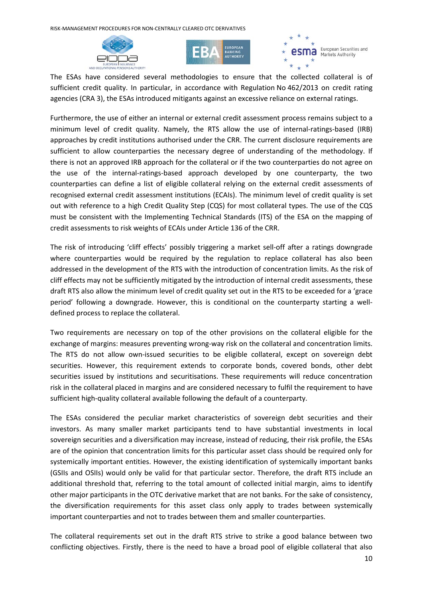





The ESAs have considered several methodologies to ensure that the collected collateral is of sufficient credit quality. In particular, in accordance with Regulation No 462/2013 on credit rating agencies (CRA 3), the ESAs introduced mitigants against an excessive reliance on external ratings.

Furthermore, the use of either an internal or external credit assessment process remains subject to a minimum level of credit quality. Namely, the RTS allow the use of internal-ratings-based (IRB) approaches by credit institutions authorised under the CRR. The current disclosure requirements are sufficient to allow counterparties the necessary degree of understanding of the methodology. If there is not an approved IRB approach for the collateral or if the two counterparties do not agree on the use of the internal-ratings-based approach developed by one counterparty, the two counterparties can define a list of eligible collateral relying on the external credit assessments of recognised external credit assessment institutions (ECAIs). The minimum level of credit quality is set out with reference to a high Credit Quality Step (CQS) for most collateral types. The use of the CQS must be consistent with the Implementing Technical Standards (ITS) of the ESA on the mapping of credit assessments to risk weights of ECAIs under Article 136 of the CRR.

The risk of introducing 'cliff effects' possibly triggering a market sell-off after a ratings downgrade where counterparties would be required by the regulation to replace collateral has also been addressed in the development of the RTS with the introduction of concentration limits. As the risk of cliff effects may not be sufficiently mitigated by the introduction of internal credit assessments, these draft RTS also allow the minimum level of credit quality set out in the RTS to be exceeded for a 'grace period' following a downgrade. However, this is conditional on the counterparty starting a welldefined process to replace the collateral.

Two requirements are necessary on top of the other provisions on the collateral eligible for the exchange of margins: measures preventing wrong-way risk on the collateral and concentration limits. The RTS do not allow own-issued securities to be eligible collateral, except on sovereign debt securities. However, this requirement extends to corporate bonds, covered bonds, other debt securities issued by institutions and securitisations. These requirements will reduce concentration risk in the collateral placed in margins and are considered necessary to fulfil the requirement to have sufficient high-quality collateral available following the default of a counterparty.

The ESAs considered the peculiar market characteristics of sovereign debt securities and their investors. As many smaller market participants tend to have substantial investments in local sovereign securities and a diversification may increase, instead of reducing, their risk profile, the ESAs are of the opinion that concentration limits for this particular asset class should be required only for systemically important entities. However, the existing identification of systemically important banks (GSIIs and OSIIs) would only be valid for that particular sector. Therefore, the draft RTS include an additional threshold that, referring to the total amount of collected initial margin, aims to identify other major participants in the OTC derivative market that are not banks. For the sake of consistency, the diversification requirements for this asset class only apply to trades between systemically important counterparties and not to trades between them and smaller counterparties.

The collateral requirements set out in the draft RTS strive to strike a good balance between two conflicting objectives. Firstly, there is the need to have a broad pool of eligible collateral that also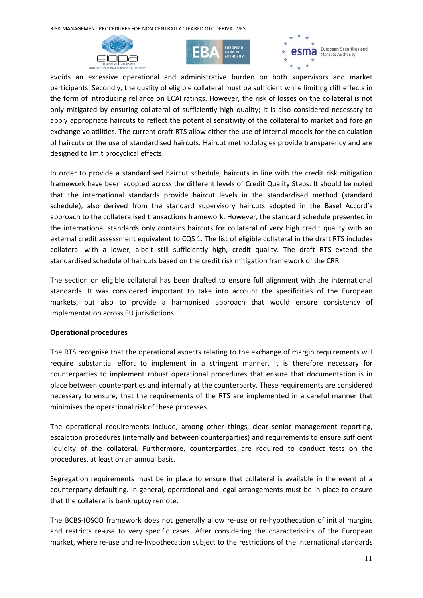





avoids an excessive operational and administrative burden on both supervisors and market participants. Secondly, the quality of eligible collateral must be sufficient while limiting cliff effects in the form of introducing reliance on ECAI ratings. However, the risk of losses on the collateral is not only mitigated by ensuring collateral of sufficiently high quality; it is also considered necessary to apply appropriate haircuts to reflect the potential sensitivity of the collateral to market and foreign exchange volatilities. The current draft RTS allow either the use of internal models for the calculation of haircuts or the use of standardised haircuts. Haircut methodologies provide transparency and are designed to limit procyclical effects.

In order to provide a standardised haircut schedule, haircuts in line with the credit risk mitigation framework have been adopted across the different levels of Credit Quality Steps. It should be noted that the international standards provide haircut levels in the standardised method (standard schedule), also derived from the standard supervisory haircuts adopted in the Basel Accord's approach to the collateralised transactions framework. However, the standard schedule presented in the international standards only contains haircuts for collateral of very high credit quality with an external credit assessment equivalent to CQS 1. The list of eligible collateral in the draft RTS includes collateral with a lower, albeit still sufficiently high, credit quality. The draft RTS extend the standardised schedule of haircuts based on the credit risk mitigation framework of the CRR.

The section on eligible collateral has been drafted to ensure full alignment with the international standards. It was considered important to take into account the specificities of the European markets, but also to provide a harmonised approach that would ensure consistency of implementation across EU jurisdictions.

#### **Operational procedures**

The RTS recognise that the operational aspects relating to the exchange of margin requirements will require substantial effort to implement in a stringent manner. It is therefore necessary for counterparties to implement robust operational procedures that ensure that documentation is in place between counterparties and internally at the counterparty. These requirements are considered necessary to ensure, that the requirements of the RTS are implemented in a careful manner that minimises the operational risk of these processes.

The operational requirements include, among other things, clear senior management reporting, escalation procedures (internally and between counterparties) and requirements to ensure sufficient liquidity of the collateral. Furthermore, counterparties are required to conduct tests on the procedures, at least on an annual basis.

Segregation requirements must be in place to ensure that collateral is available in the event of a counterparty defaulting. In general, operational and legal arrangements must be in place to ensure that the collateral is bankruptcy remote.

The BCBS-IOSCO framework does not generally allow re-use or re-hypothecation of initial margins and restricts re-use to very specific cases. After considering the characteristics of the European market, where re-use and re-hypothecation subject to the restrictions of the international standards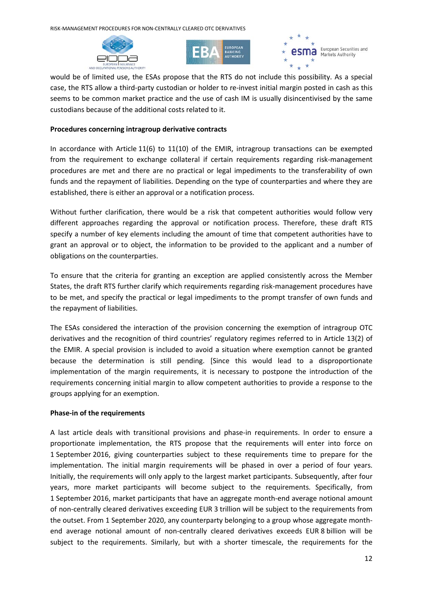





would be of limited use, the ESAs propose that the RTS do not include this possibility. As a special case, the RTS allow a third-party custodian or holder to re-invest initial margin posted in cash as this seems to be common market practice and the use of cash IM is usually disincentivised by the same custodians because of the additional costs related to it.

#### **Procedures concerning intragroup derivative contracts**

In accordance with Article 11(6) to 11(10) of the EMIR, intragroup transactions can be exempted from the requirement to exchange collateral if certain requirements regarding risk-management procedures are met and there are no practical or legal impediments to the transferability of own funds and the repayment of liabilities. Depending on the type of counterparties and where they are established, there is either an approval or a notification process.

Without further clarification, there would be a risk that competent authorities would follow very different approaches regarding the approval or notification process. Therefore, these draft RTS specify a number of key elements including the amount of time that competent authorities have to grant an approval or to object, the information to be provided to the applicant and a number of obligations on the counterparties.

To ensure that the criteria for granting an exception are applied consistently across the Member States, the draft RTS further clarify which requirements regarding risk-management procedures have to be met, and specify the practical or legal impediments to the prompt transfer of own funds and the repayment of liabilities.

The ESAs considered the interaction of the provision concerning the exemption of intragroup OTC derivatives and the recognition of third countries' regulatory regimes referred to in Article 13(2) of the EMIR. A special provision is included to avoid a situation where exemption cannot be granted because the determination is still pending. [Since this would lead to a disproportionate implementation of the margin requirements, it is necessary to postpone the introduction of the requirements concerning initial margin to allow competent authorities to provide a response to the groups applying for an exemption.

#### **Phase-in of the requirements**

A last article deals with transitional provisions and phase-in requirements. In order to ensure a proportionate implementation, the RTS propose that the requirements will enter into force on 1 September 2016, giving counterparties subject to these requirements time to prepare for the implementation. The initial margin requirements will be phased in over a period of four years. Initially, the requirements will only apply to the largest market participants. Subsequently, after four years, more market participants will become subject to the requirements. Specifically, from 1 September 2016, market participants that have an aggregate month-end average notional amount of non-centrally cleared derivatives exceeding EUR 3 trillion will be subject to the requirements from the outset. From 1 September 2020, any counterparty belonging to a group whose aggregate monthend average notional amount of non-centrally cleared derivatives exceeds EUR 8 billion will be subject to the requirements. Similarly, but with a shorter timescale, the requirements for the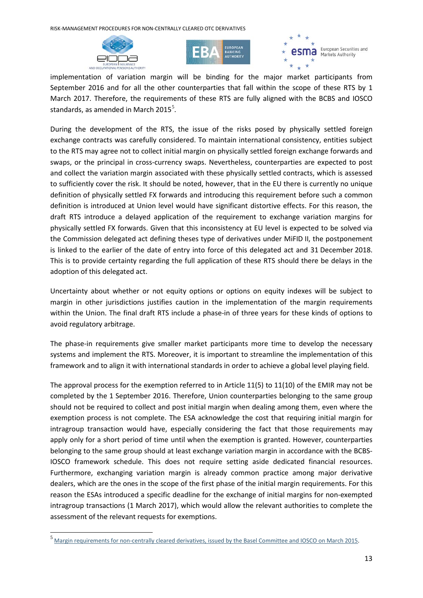





implementation of variation margin will be binding for the major market participants from September 2016 and for all the other counterparties that fall within the scope of these RTS by 1 March 2017. Therefore, the requirements of these RTS are fully aligned with the BCBS and IOSCO standards, as amended in March 201[5](#page-12-0)<sup>5</sup>.

During the development of the RTS, the issue of the risks posed by physically settled foreign exchange contracts was carefully considered. To maintain international consistency, entities subject to the RTS may agree not to collect initial margin on physically settled foreign exchange forwards and swaps, or the principal in cross-currency swaps. Nevertheless, counterparties are expected to post and collect the variation margin associated with these physically settled contracts, which is assessed to sufficiently cover the risk. It should be noted, however, that in the EU there is currently no unique definition of physically settled FX forwards and introducing this requirement before such a common definition is introduced at Union level would have significant distortive effects. For this reason, the draft RTS introduce a delayed application of the requirement to exchange variation margins for physically settled FX forwards. Given that this inconsistency at EU level is expected to be solved via the Commission delegated act defining theses type of derivatives under MiFID II, the postponement is linked to the earlier of the date of entry into force of this delegated act and 31 December 2018. This is to provide certainty regarding the full application of these RTS should there be delays in the adoption of this delegated act.

Uncertainty about whether or not equity options or options on equity indexes will be subject to margin in other jurisdictions justifies caution in the implementation of the margin requirements within the Union. The final draft RTS include a phase-in of three years for these kinds of options to avoid regulatory arbitrage.

The phase-in requirements give smaller market participants more time to develop the necessary systems and implement the RTS. Moreover, it is important to streamline the implementation of this framework and to align it with international standards in order to achieve a global level playing field.

The approval process for the exemption referred to in Article 11(5) to 11(10) of the EMIR may not be completed by the 1 September 2016. Therefore, Union counterparties belonging to the same group should not be required to collect and post initial margin when dealing among them, even where the exemption process is not complete. The ESA acknowledge the cost that requiring initial margin for intragroup transaction would have, especially considering the fact that those requirements may apply only for a short period of time until when the exemption is granted. However, counterparties belonging to the same group should at least exchange variation margin in accordance with the BCBS-IOSCO framework schedule. This does not require setting aside dedicated financial resources. Furthermore, exchanging variation margin is already common practice among major derivative dealers, which are the ones in the scope of the first phase of the initial margin requirements. For this reason the ESAs introduced a specific deadline for the exchange of initial margins for non-exempted intragroup transactions (1 March 2017), which would allow the relevant authorities to complete the assessment of the relevant requests for exemptions.

 $\overline{a}$ 

<span id="page-12-0"></span> $^5$  [Margin requirements for non-centrally cleared derivatives, issued by the Basel Committee and IOSCO on March 2015.](http://www.bis.org/bcbs/publ/d317.htm)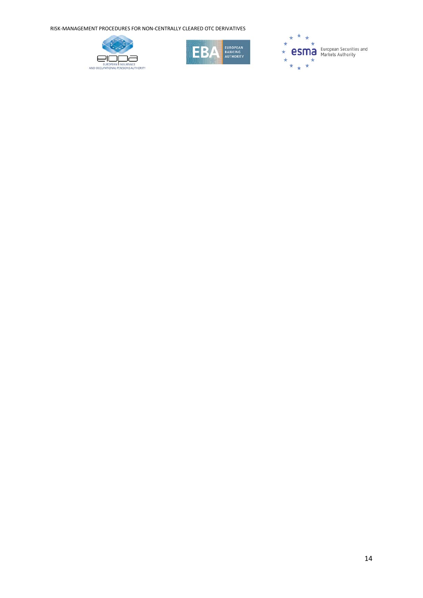





esma European Securities and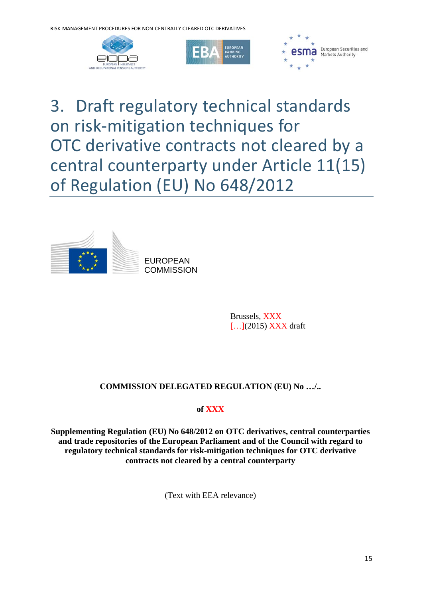





<span id="page-14-0"></span>3. Draft regulatory technical standards on risk-mitigation techniques for OTC derivative contracts not cleared by a central counterparty under Article 11(15) of Regulation (EU) No 648/2012



Brussels, XXX [...](2015) **XXX** draft

# **COMMISSION DELEGATED REGULATION (EU) No …/..**

**of XXX**

**Supplementing Regulation (EU) No 648/2012 on OTC derivatives, central counterparties and trade repositories of the European Parliament and of the Council with regard to regulatory technical standards for risk-mitigation techniques for OTC derivative contracts not cleared by a central counterparty**

(Text with EEA relevance)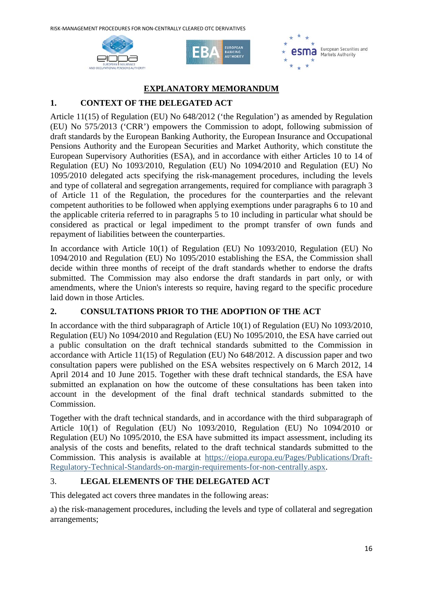





# **EXPLANATORY MEMORANDUM**

# **1. CONTEXT OF THE DELEGATED ACT**

Article 11(15) of Regulation (EU) No 648/2012 ('the Regulation') as amended by Regulation (EU) No 575/2013 ('CRR') empowers the Commission to adopt, following submission of draft standards by the European Banking Authority, the European Insurance and Occupational Pensions Authority and the European Securities and Market Authority, which constitute the European Supervisory Authorities (ESA), and in accordance with either Articles 10 to 14 of Regulation (EU) No 1093/2010, Regulation (EU) No 1094/2010 and Regulation (EU) No 1095/2010 delegated acts specifying the risk-management procedures, including the levels and type of collateral and segregation arrangements, required for compliance with paragraph 3 of Article 11 of the Regulation, the procedures for the counterparties and the relevant competent authorities to be followed when applying exemptions under paragraphs 6 to 10 and the applicable criteria referred to in paragraphs 5 to 10 including in particular what should be considered as practical or legal impediment to the prompt transfer of own funds and repayment of liabilities between the counterparties.

In accordance with Article 10(1) of Regulation (EU) No 1093/2010, Regulation (EU) No 1094/2010 and Regulation (EU) No 1095/2010 establishing the ESA, the Commission shall decide within three months of receipt of the draft standards whether to endorse the drafts submitted. The Commission may also endorse the draft standards in part only, or with amendments, where the Union's interests so require, having regard to the specific procedure laid down in those Articles.

# **2. CONSULTATIONS PRIOR TO THE ADOPTION OF THE ACT**

In accordance with the third subparagraph of Article 10(1) of Regulation (EU) No 1093/2010, Regulation (EU) No 1094/2010 and Regulation (EU) No 1095/2010, the ESA have carried out a public consultation on the draft technical standards submitted to the Commission in accordance with Article 11(15) of Regulation (EU) No 648/2012. A discussion paper and two consultation papers were published on the ESA websites respectively on 6 March 2012, 14 April 2014 and 10 June 2015. Together with these draft technical standards, the ESA have submitted an explanation on how the outcome of these consultations has been taken into account in the development of the final draft technical standards submitted to the Commission.

Together with the draft technical standards, and in accordance with the third subparagraph of Article 10(1) of Regulation (EU) No 1093/2010, Regulation (EU) No 1094/2010 or Regulation (EU) No 1095/2010, the ESA have submitted its impact assessment, including its analysis of the costs and benefits, related to the draft technical standards submitted to the Commission. This analysis is available at [https://eiopa.europa.eu/Pages/Publications/Draft-](https://eiopa.europa.eu/Pages/Publications/Draft-Regulatory-Technical-Standards-on-margin-requirements-for-non-centrally.aspx)[Regulatory-Technical-Standards-on-margin-requirements-for-non-centrally.aspx.](https://eiopa.europa.eu/Pages/Publications/Draft-Regulatory-Technical-Standards-on-margin-requirements-for-non-centrally.aspx)

# 3. **LEGAL ELEMENTS OF THE DELEGATED ACT**

This delegated act covers three mandates in the following areas:

a) the risk-management procedures, including the levels and type of collateral and segregation arrangements;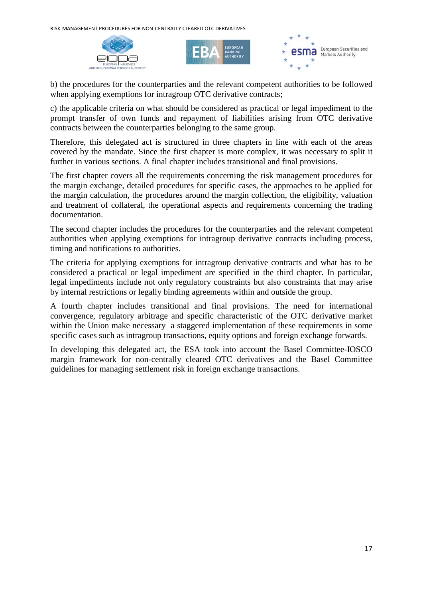





b) the procedures for the counterparties and the relevant competent authorities to be followed when applying exemptions for intragroup OTC derivative contracts;

c) the applicable criteria on what should be considered as practical or legal impediment to the prompt transfer of own funds and repayment of liabilities arising from OTC derivative contracts between the counterparties belonging to the same group.

Therefore, this delegated act is structured in three chapters in line with each of the areas covered by the mandate. Since the first chapter is more complex, it was necessary to split it further in various sections. A final chapter includes transitional and final provisions.

The first chapter covers all the requirements concerning the risk management procedures for the margin exchange, detailed procedures for specific cases, the approaches to be applied for the margin calculation, the procedures around the margin collection, the eligibility, valuation and treatment of collateral, the operational aspects and requirements concerning the trading documentation.

The second chapter includes the procedures for the counterparties and the relevant competent authorities when applying exemptions for intragroup derivative contracts including process, timing and notifications to authorities.

The criteria for applying exemptions for intragroup derivative contracts and what has to be considered a practical or legal impediment are specified in the third chapter. In particular, legal impediments include not only regulatory constraints but also constraints that may arise by internal restrictions or legally binding agreements within and outside the group.

A fourth chapter includes transitional and final provisions. The need for international convergence, regulatory arbitrage and specific characteristic of the OTC derivative market within the Union make necessary a staggered implementation of these requirements in some specific cases such as intragroup transactions, equity options and foreign exchange forwards.

In developing this delegated act, the ESA took into account the Basel Committee-IOSCO margin framework for non-centrally cleared OTC derivatives and the Basel Committee guidelines for managing settlement risk in foreign exchange transactions.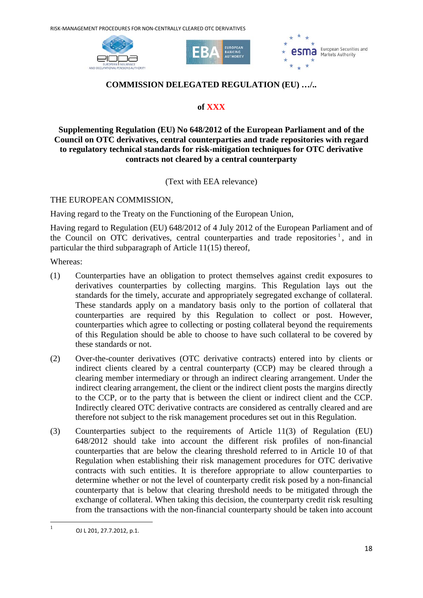



European Securities and **Manufacturitie**<br>Markets Authority

# **COMMISSION DELEGATED REGULATION (EU) …/..**

# **of XXX**

# **Supplementing Regulation (EU) No 648/2012 of the European Parliament and of the Council on OTC derivatives, central counterparties and trade repositories with regard to regulatory technical standards for risk-mitigation techniques for OTC derivative contracts not cleared by a central counterparty**

(Text with EEA relevance)

THE EUROPEAN COMMISSION,

Having regard to the Treaty on the Functioning of the European Union,

Having regard to Regulation (EU) 648/2012 of 4 July 2012 of the European Parliament and of the Council on OTC derivatives, central counterparties and trade repositories  $\frac{1}{1}$  $\frac{1}{1}$  $\frac{1}{1}$ , and in particular the third subparagraph of Article 11(15) thereof,

Whereas:

- (1) Counterparties have an obligation to protect themselves against credit exposures to derivatives counterparties by collecting margins. This Regulation lays out the standards for the timely, accurate and appropriately segregated exchange of collateral. These standards apply on a mandatory basis only to the portion of collateral that counterparties are required by this Regulation to collect or post. However, counterparties which agree to collecting or posting collateral beyond the requirements of this Regulation should be able to choose to have such collateral to be covered by these standards or not.
- (2) Over-the-counter derivatives (OTC derivative contracts) entered into by clients or indirect clients cleared by a central counterparty (CCP) may be cleared through a clearing member intermediary or through an indirect clearing arrangement. Under the indirect clearing arrangement, the client or the indirect client posts the margins directly to the CCP, or to the party that is between the client or indirect client and the CCP. Indirectly cleared OTC derivative contracts are considered as centrally cleared and are therefore not subject to the risk management procedures set out in this Regulation.
- (3) Counterparties subject to the requirements of Article 11(3) of Regulation (EU) 648/2012 should take into account the different risk profiles of non-financial counterparties that are below the clearing threshold referred to in Article 10 of that Regulation when establishing their risk management procedures for OTC derivative contracts with such entities. It is therefore appropriate to allow counterparties to determine whether or not the level of counterparty credit risk posed by a non-financial counterparty that is below that clearing threshold needs to be mitigated through the exchange of collateral. When taking this decision, the counterparty credit risk resulting from the transactions with the non-financial counterparty should be taken into account

 $\overline{a}$ 

<span id="page-17-0"></span> $^{1}$  OJ L 201, 27.7.2012, p.1.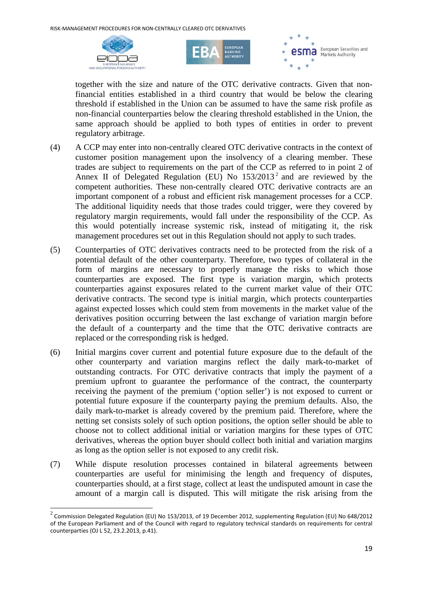

 $\overline{a}$ 





together with the size and nature of the OTC derivative contracts. Given that nonfinancial entities established in a third country that would be below the clearing threshold if established in the Union can be assumed to have the same risk profile as non-financial counterparties below the clearing threshold established in the Union, the same approach should be applied to both types of entities in order to prevent regulatory arbitrage.

- (4) A CCP may enter into non-centrally cleared OTC derivative contracts in the context of customer position management upon the insolvency of a clearing member. These trades are subject to requirements on the part of the CCP as referred to in point 2 of Annex II of Delegated Regulation (EU) No  $153/2013^2$  $153/2013^2$  $153/2013^2$  and are reviewed by the competent authorities. These non-centrally cleared OTC derivative contracts are an important component of a robust and efficient risk management processes for a CCP. The additional liquidity needs that those trades could trigger, were they covered by regulatory margin requirements, would fall under the responsibility of the CCP. As this would potentially increase systemic risk, instead of mitigating it, the risk management procedures set out in this Regulation should not apply to such trades.
- (5) Counterparties of OTC derivatives contracts need to be protected from the risk of a potential default of the other counterparty. Therefore, two types of collateral in the form of margins are necessary to properly manage the risks to which those counterparties are exposed. The first type is variation margin, which protects counterparties against exposures related to the current market value of their OTC derivative contracts. The second type is initial margin, which protects counterparties against expected losses which could stem from movements in the market value of the derivatives position occurring between the last exchange of variation margin before the default of a counterparty and the time that the OTC derivative contracts are replaced or the corresponding risk is hedged.
- (6) Initial margins cover current and potential future exposure due to the default of the other counterparty and variation margins reflect the daily mark-to-market of outstanding contracts. For OTC derivative contracts that imply the payment of a premium upfront to guarantee the performance of the contract, the counterparty receiving the payment of the premium ('option seller') is not exposed to current or potential future exposure if the counterparty paying the premium defaults. Also, the daily mark-to-market is already covered by the premium paid. Therefore, where the netting set consists solely of such option positions, the option seller should be able to choose not to collect additional initial or variation margins for these types of OTC derivatives, whereas the option buyer should collect both initial and variation margins as long as the option seller is not exposed to any credit risk.
- (7) While dispute resolution processes contained in bilateral agreements between counterparties are useful for minimising the length and frequency of disputes, counterparties should, at a first stage, collect at least the undisputed amount in case the amount of a margin call is disputed. This will mitigate the risk arising from the

<span id="page-18-0"></span> $2$  Commission Delegated Regulation (EU) No 153/2013, of 19 December 2012, supplementing Regulation (EU) No 648/2012 of the European Parliament and of the Council with regard to regulatory technical standards on requirements for central counterparties (OJ L 52, 23.2.2013, p.41).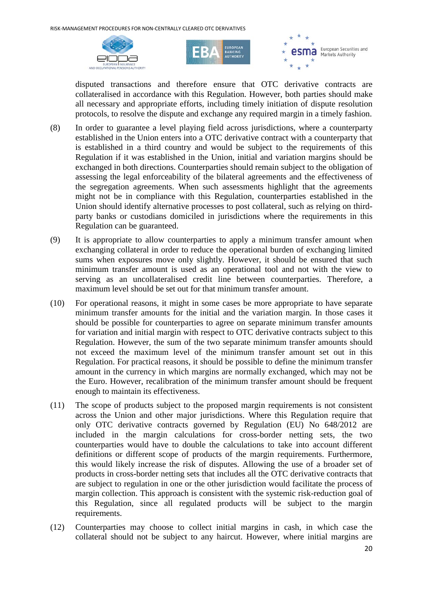





disputed transactions and therefore ensure that OTC derivative contracts are collateralised in accordance with this Regulation. However, both parties should make all necessary and appropriate efforts, including timely initiation of dispute resolution protocols, to resolve the dispute and exchange any required margin in a timely fashion.

- (8) In order to guarantee a level playing field across jurisdictions, where a counterparty established in the Union enters into a OTC derivative contract with a counterparty that is established in a third country and would be subject to the requirements of this Regulation if it was established in the Union, initial and variation margins should be exchanged in both directions. Counterparties should remain subject to the obligation of assessing the legal enforceability of the bilateral agreements and the effectiveness of the segregation agreements. When such assessments highlight that the agreements might not be in compliance with this Regulation, counterparties established in the Union should identify alternative processes to post collateral, such as relying on thirdparty banks or custodians domiciled in jurisdictions where the requirements in this Regulation can be guaranteed.
- (9) It is appropriate to allow counterparties to apply a minimum transfer amount when exchanging collateral in order to reduce the operational burden of exchanging limited sums when exposures move only slightly. However, it should be ensured that such minimum transfer amount is used as an operational tool and not with the view to serving as an uncollateralised credit line between counterparties. Therefore, a maximum level should be set out for that minimum transfer amount.
- (10) For operational reasons, it might in some cases be more appropriate to have separate minimum transfer amounts for the initial and the variation margin. In those cases it should be possible for counterparties to agree on separate minimum transfer amounts for variation and initial margin with respect to OTC derivative contracts subject to this Regulation. However, the sum of the two separate minimum transfer amounts should not exceed the maximum level of the minimum transfer amount set out in this Regulation. For practical reasons, it should be possible to define the minimum transfer amount in the currency in which margins are normally exchanged, which may not be the Euro. However, recalibration of the minimum transfer amount should be frequent enough to maintain its effectiveness.
- (11) The scope of products subject to the proposed margin requirements is not consistent across the Union and other major jurisdictions. Where this Regulation require that only OTC derivative contracts governed by Regulation (EU) No 648/2012 are included in the margin calculations for cross-border netting sets, the two counterparties would have to double the calculations to take into account different definitions or different scope of products of the margin requirements. Furthermore, this would likely increase the risk of disputes. Allowing the use of a broader set of products in cross-border netting sets that includes all the OTC derivative contracts that are subject to regulation in one or the other jurisdiction would facilitate the process of margin collection. This approach is consistent with the systemic risk-reduction goal of this Regulation, since all regulated products will be subject to the margin requirements.
- (12) Counterparties may choose to collect initial margins in cash, in which case the collateral should not be subject to any haircut. However, where initial margins are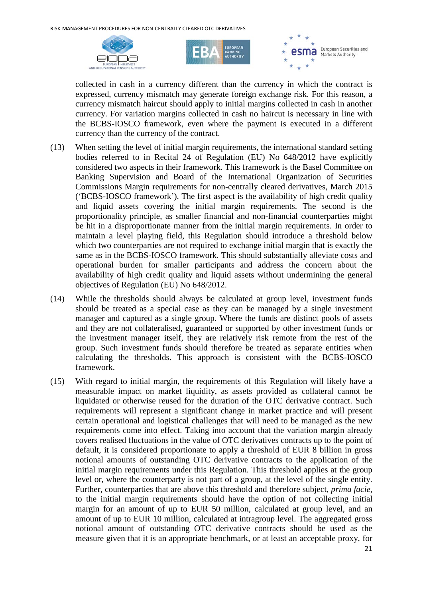





collected in cash in a currency different than the currency in which the contract is expressed, currency mismatch may generate foreign exchange risk. For this reason, a currency mismatch haircut should apply to initial margins collected in cash in another currency. For variation margins collected in cash no haircut is necessary in line with the BCBS-IOSCO framework, even where the payment is executed in a different currency than the currency of the contract.

- (13) When setting the level of initial margin requirements, the international standard setting bodies referred to in Recital 24 of Regulation (EU) No 648/2012 have explicitly considered two aspects in their framework. This framework is the Basel Committee on Banking Supervision and Board of the International Organization of Securities Commissions Margin requirements for non-centrally cleared derivatives, March 2015 ('BCBS-IOSCO framework'). The first aspect is the availability of high credit quality and liquid assets covering the initial margin requirements. The second is the proportionality principle, as smaller financial and non-financial counterparties might be hit in a disproportionate manner from the initial margin requirements. In order to maintain a level playing field, this Regulation should introduce a threshold below which two counterparties are not required to exchange initial margin that is exactly the same as in the BCBS-IOSCO framework. This should substantially alleviate costs and operational burden for smaller participants and address the concern about the availability of high credit quality and liquid assets without undermining the general objectives of Regulation (EU) No 648/2012.
- (14) While the thresholds should always be calculated at group level, investment funds should be treated as a special case as they can be managed by a single investment manager and captured as a single group. Where the funds are distinct pools of assets and they are not collateralised, guaranteed or supported by other investment funds or the investment manager itself, they are relatively risk remote from the rest of the group. Such investment funds should therefore be treated as separate entities when calculating the thresholds. This approach is consistent with the BCBS-IOSCO framework.
- (15) With regard to initial margin, the requirements of this Regulation will likely have a measurable impact on market liquidity, as assets provided as collateral cannot be liquidated or otherwise reused for the duration of the OTC derivative contract. Such requirements will represent a significant change in market practice and will present certain operational and logistical challenges that will need to be managed as the new requirements come into effect. Taking into account that the variation margin already covers realised fluctuations in the value of OTC derivatives contracts up to the point of default, it is considered proportionate to apply a threshold of EUR 8 billion in gross notional amounts of outstanding OTC derivative contracts to the application of the initial margin requirements under this Regulation. This threshold applies at the group level or, where the counterparty is not part of a group, at the level of the single entity. Further, counterparties that are above this threshold and therefore subject, *prima facie*, to the initial margin requirements should have the option of not collecting initial margin for an amount of up to EUR 50 million, calculated at group level, and an amount of up to EUR 10 million, calculated at intragroup level. The aggregated gross notional amount of outstanding OTC derivative contracts should be used as the measure given that it is an appropriate benchmark, or at least an acceptable proxy, for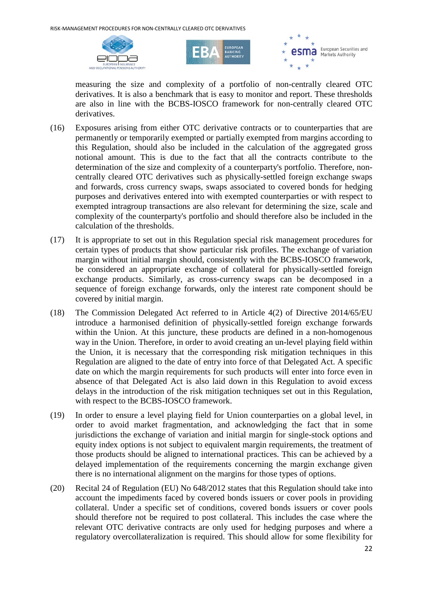





measuring the size and complexity of a portfolio of non-centrally cleared OTC derivatives. It is also a benchmark that is easy to monitor and report. These thresholds are also in line with the BCBS-IOSCO framework for non-centrally cleared OTC derivatives.

- (16) Exposures arising from either OTC derivative contracts or to counterparties that are permanently or temporarily exempted or partially exempted from margins according to this Regulation, should also be included in the calculation of the aggregated gross notional amount. This is due to the fact that all the contracts contribute to the determination of the size and complexity of a counterparty's portfolio. Therefore, noncentrally cleared OTC derivatives such as physically-settled foreign exchange swaps and forwards, cross currency swaps, swaps associated to covered bonds for hedging purposes and derivatives entered into with exempted counterparties or with respect to exempted intragroup transactions are also relevant for determining the size, scale and complexity of the counterparty's portfolio and should therefore also be included in the calculation of the thresholds.
- (17) It is appropriate to set out in this Regulation special risk management procedures for certain types of products that show particular risk profiles. The exchange of variation margin without initial margin should, consistently with the BCBS-IOSCO framework, be considered an appropriate exchange of collateral for physically-settled foreign exchange products. Similarly, as cross-currency swaps can be decomposed in a sequence of foreign exchange forwards, only the interest rate component should be covered by initial margin.
- (18) The Commission Delegated Act referred to in Article 4(2) of Directive 2014/65/EU introduce a harmonised definition of physically-settled foreign exchange forwards within the Union. At this juncture, these products are defined in a non-homogenous way in the Union. Therefore, in order to avoid creating an un-level playing field within the Union, it is necessary that the corresponding risk mitigation techniques in this Regulation are aligned to the date of entry into force of that Delegated Act. A specific date on which the margin requirements for such products will enter into force even in absence of that Delegated Act is also laid down in this Regulation to avoid excess delays in the introduction of the risk mitigation techniques set out in this Regulation, with respect to the BCBS-IOSCO framework.
- (19) In order to ensure a level playing field for Union counterparties on a global level, in order to avoid market fragmentation, and acknowledging the fact that in some jurisdictions the exchange of variation and initial margin for single-stock options and equity index options is not subject to equivalent margin requirements, the treatment of those products should be aligned to international practices. This can be achieved by a delayed implementation of the requirements concerning the margin exchange given there is no international alignment on the margins for those types of options.
- (20) Recital 24 of Regulation (EU) No 648/2012 states that this Regulation should take into account the impediments faced by covered bonds issuers or cover pools in providing collateral. Under a specific set of conditions, covered bonds issuers or cover pools should therefore not be required to post collateral. This includes the case where the relevant OTC derivative contracts are only used for hedging purposes and where a regulatory overcollateralization is required. This should allow for some flexibility for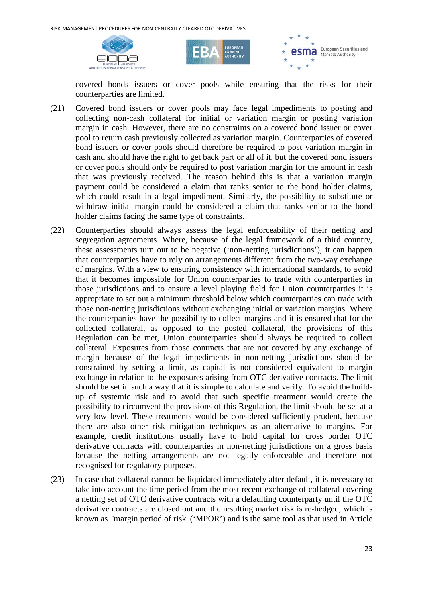





covered bonds issuers or cover pools while ensuring that the risks for their counterparties are limited.

- (21) Covered bond issuers or cover pools may face legal impediments to posting and collecting non-cash collateral for initial or variation margin or posting variation margin in cash. However, there are no constraints on a covered bond issuer or cover pool to return cash previously collected as variation margin. Counterparties of covered bond issuers or cover pools should therefore be required to post variation margin in cash and should have the right to get back part or all of it, but the covered bond issuers or cover pools should only be required to post variation margin for the amount in cash that was previously received. The reason behind this is that a variation margin payment could be considered a claim that ranks senior to the bond holder claims, which could result in a legal impediment. Similarly, the possibility to substitute or withdraw initial margin could be considered a claim that ranks senior to the bond holder claims facing the same type of constraints.
- (22) Counterparties should always assess the legal enforceability of their netting and segregation agreements. Where, because of the legal framework of a third country, these assessments turn out to be negative ('non-netting jurisdictions'), it can happen that counterparties have to rely on arrangements different from the two-way exchange of margins. With a view to ensuring consistency with international standards, to avoid that it becomes impossible for Union counterparties to trade with counterparties in those jurisdictions and to ensure a level playing field for Union counterparties it is appropriate to set out a minimum threshold below which counterparties can trade with those non-netting jurisdictions without exchanging initial or variation margins. Where the counterparties have the possibility to collect margins and it is ensured that for the collected collateral, as opposed to the posted collateral, the provisions of this Regulation can be met, Union counterparties should always be required to collect collateral. Exposures from those contracts that are not covered by any exchange of margin because of the legal impediments in non-netting jurisdictions should be constrained by setting a limit, as capital is not considered equivalent to margin exchange in relation to the exposures arising from OTC derivative contracts. The limit should be set in such a way that it is simple to calculate and verify. To avoid the buildup of systemic risk and to avoid that such specific treatment would create the possibility to circumvent the provisions of this Regulation, the limit should be set at a very low level. These treatments would be considered sufficiently prudent, because there are also other risk mitigation techniques as an alternative to margins. For example, credit institutions usually have to hold capital for cross border OTC derivative contracts with counterparties in non-netting jurisdictions on a gross basis because the netting arrangements are not legally enforceable and therefore not recognised for regulatory purposes.
- (23) In case that collateral cannot be liquidated immediately after default, it is necessary to take into account the time period from the most recent exchange of collateral covering a netting set of OTC derivative contracts with a defaulting counterparty until the OTC derivative contracts are closed out and the resulting market risk is re-hedged, which is known as 'margin period of risk' ('MPOR') and is the same tool as that used in Article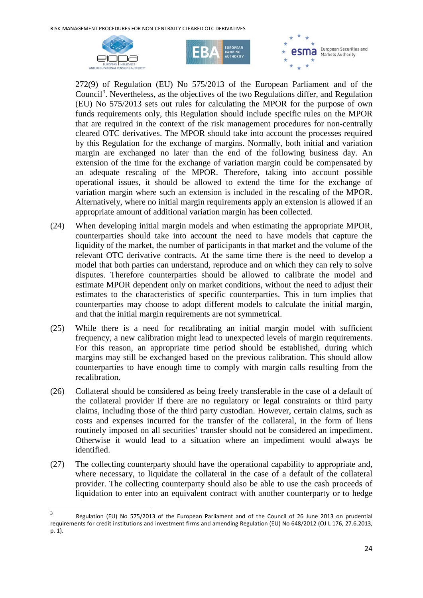

 $\overline{a}$ 





272(9) of Regulation (EU) No 575/2013 of the European Parliament and of the Council<sup>[3](#page-23-0)</sup>. Nevertheless, as the objectives of the two Regulations differ, and Regulation (EU) No 575/2013 sets out rules for calculating the MPOR for the purpose of own funds requirements only, this Regulation should include specific rules on the MPOR that are required in the context of the risk management procedures for non-centrally cleared OTC derivatives. The MPOR should take into account the processes required by this Regulation for the exchange of margins. Normally, both initial and variation margin are exchanged no later than the end of the following business day. An extension of the time for the exchange of variation margin could be compensated by an adequate rescaling of the MPOR. Therefore, taking into account possible operational issues, it should be allowed to extend the time for the exchange of variation margin where such an extension is included in the rescaling of the MPOR. Alternatively, where no initial margin requirements apply an extension is allowed if an appropriate amount of additional variation margin has been collected.

- (24) When developing initial margin models and when estimating the appropriate MPOR, counterparties should take into account the need to have models that capture the liquidity of the market, the number of participants in that market and the volume of the relevant OTC derivative contracts. At the same time there is the need to develop a model that both parties can understand, reproduce and on which they can rely to solve disputes. Therefore counterparties should be allowed to calibrate the model and estimate MPOR dependent only on market conditions, without the need to adjust their estimates to the characteristics of specific counterparties. This in turn implies that counterparties may choose to adopt different models to calculate the initial margin, and that the initial margin requirements are not symmetrical.
- (25) While there is a need for recalibrating an initial margin model with sufficient frequency, a new calibration might lead to unexpected levels of margin requirements. For this reason, an appropriate time period should be established, during which margins may still be exchanged based on the previous calibration. This should allow counterparties to have enough time to comply with margin calls resulting from the recalibration.
- (26) Collateral should be considered as being freely transferable in the case of a default of the collateral provider if there are no regulatory or legal constraints or third party claims, including those of the third party custodian. However, certain claims, such as costs and expenses incurred for the transfer of the collateral, in the form of liens routinely imposed on all securities' transfer should not be considered an impediment. Otherwise it would lead to a situation where an impediment would always be identified.
- (27) The collecting counterparty should have the operational capability to appropriate and, where necessary, to liquidate the collateral in the case of a default of the collateral provider. The collecting counterparty should also be able to use the cash proceeds of liquidation to enter into an equivalent contract with another counterparty or to hedge

<span id="page-23-0"></span><sup>3</sup> Regulation (EU) No 575/2013 of the European Parliament and of the Council of 26 June 2013 on prudential requirements for credit institutions and investment firms and amending Regulation (EU) No 648/2012 (OJ L 176, 27.6.2013, p. 1).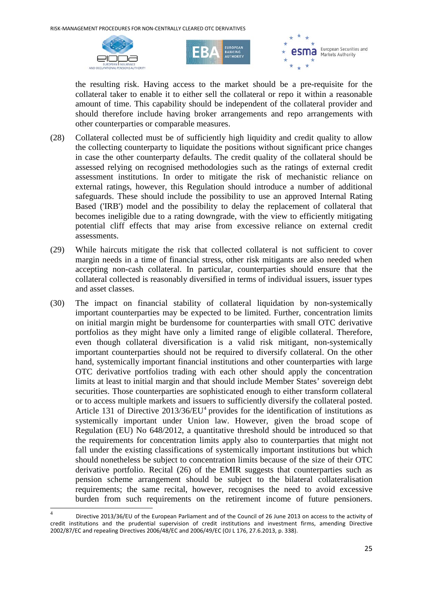

 $\overline{a}$ 





the resulting risk. Having access to the market should be a pre-requisite for the collateral taker to enable it to either sell the collateral or repo it within a reasonable amount of time. This capability should be independent of the collateral provider and should therefore include having broker arrangements and repo arrangements with other counterparties or comparable measures.

- (28) Collateral collected must be of sufficiently high liquidity and credit quality to allow the collecting counterparty to liquidate the positions without significant price changes in case the other counterparty defaults. The credit quality of the collateral should be assessed relying on recognised methodologies such as the ratings of external credit assessment institutions. In order to mitigate the risk of mechanistic reliance on external ratings, however, this Regulation should introduce a number of additional safeguards. These should include the possibility to use an approved Internal Rating Based ('IRB') model and the possibility to delay the replacement of collateral that becomes ineligible due to a rating downgrade, with the view to efficiently mitigating potential cliff effects that may arise from excessive reliance on external credit assessments.
- (29) While haircuts mitigate the risk that collected collateral is not sufficient to cover margin needs in a time of financial stress, other risk mitigants are also needed when accepting non-cash collateral. In particular, counterparties should ensure that the collateral collected is reasonably diversified in terms of individual issuers, issuer types and asset classes.
- (30) The impact on financial stability of collateral liquidation by non-systemically important counterparties may be expected to be limited. Further, concentration limits on initial margin might be burdensome for counterparties with small OTC derivative portfolios as they might have only a limited range of eligible collateral. Therefore, even though collateral diversification is a valid risk mitigant, non-systemically important counterparties should not be required to diversify collateral. On the other hand, systemically important financial institutions and other counterparties with large OTC derivative portfolios trading with each other should apply the concentration limits at least to initial margin and that should include Member States' sovereign debt securities. Those counterparties are sophisticated enough to either transform collateral or to access multiple markets and issuers to sufficiently diversify the collateral posted. Article 131 of Directive  $2013/36/EU<sup>4</sup>$  $2013/36/EU<sup>4</sup>$  $2013/36/EU<sup>4</sup>$  provides for the identification of institutions as systemically important under Union law. However, given the broad scope of Regulation (EU) No 648/2012, a quantitative threshold should be introduced so that the requirements for concentration limits apply also to counterparties that might not fall under the existing classifications of systemically important institutions but which should nonetheless be subject to concentration limits because of the size of their OTC derivative portfolio. Recital (26) of the EMIR suggests that counterparties such as pension scheme arrangement should be subject to the bilateral collateralisation requirements; the same recital, however, recognises the need to avoid excessive burden from such requirements on the retirement income of future pensioners.

<span id="page-24-0"></span><sup>4</sup> Directive 2013/36/EU of the European Parliament and of the Council of 26 June 2013 on access to the activity of credit institutions and the prudential supervision of credit institutions and investment firms, amending Directive 2002/87/EC and repealing Directives 2006/48/EC and 2006/49/EC (OJ L 176, 27.6.2013, p. 338).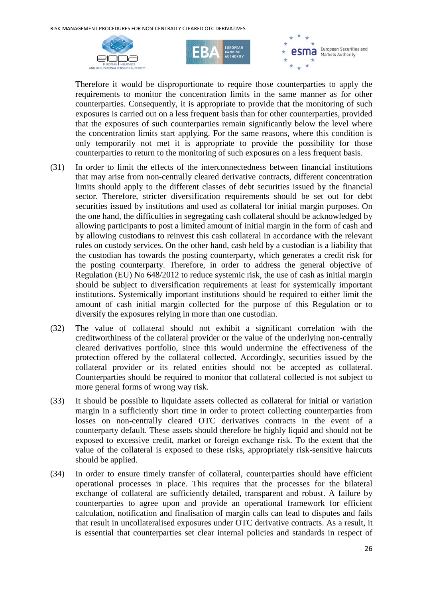





Therefore it would be disproportionate to require those counterparties to apply the requirements to monitor the concentration limits in the same manner as for other counterparties. Consequently, it is appropriate to provide that the monitoring of such exposures is carried out on a less frequent basis than for other counterparties, provided that the exposures of such counterparties remain significantly below the level where the concentration limits start applying. For the same reasons, where this condition is only temporarily not met it is appropriate to provide the possibility for those counterparties to return to the monitoring of such exposures on a less frequent basis.

- (31) In order to limit the effects of the interconnectedness between financial institutions that may arise from non-centrally cleared derivative contracts, different concentration limits should apply to the different classes of debt securities issued by the financial sector. Therefore, stricter diversification requirements should be set out for debt securities issued by institutions and used as collateral for initial margin purposes. On the one hand, the difficulties in segregating cash collateral should be acknowledged by allowing participants to post a limited amount of initial margin in the form of cash and by allowing custodians to reinvest this cash collateral in accordance with the relevant rules on custody services. On the other hand, cash held by a custodian is a liability that the custodian has towards the posting counterparty, which generates a credit risk for the posting counterparty. Therefore, in order to address the general objective of Regulation (EU) No 648/2012 to reduce systemic risk, the use of cash as initial margin should be subject to diversification requirements at least for systemically important institutions. Systemically important institutions should be required to either limit the amount of cash initial margin collected for the purpose of this Regulation or to diversify the exposures relying in more than one custodian.
- (32) The value of collateral should not exhibit a significant correlation with the creditworthiness of the collateral provider or the value of the underlying non-centrally cleared derivatives portfolio, since this would undermine the effectiveness of the protection offered by the collateral collected. Accordingly, securities issued by the collateral provider or its related entities should not be accepted as collateral. Counterparties should be required to monitor that collateral collected is not subject to more general forms of wrong way risk.
- (33) It should be possible to liquidate assets collected as collateral for initial or variation margin in a sufficiently short time in order to protect collecting counterparties from losses on non-centrally cleared OTC derivatives contracts in the event of a counterparty default. These assets should therefore be highly liquid and should not be exposed to excessive credit, market or foreign exchange risk. To the extent that the value of the collateral is exposed to these risks, appropriately risk-sensitive haircuts should be applied.
- (34) In order to ensure timely transfer of collateral, counterparties should have efficient operational processes in place. This requires that the processes for the bilateral exchange of collateral are sufficiently detailed, transparent and robust. A failure by counterparties to agree upon and provide an operational framework for efficient calculation, notification and finalisation of margin calls can lead to disputes and fails that result in uncollateralised exposures under OTC derivative contracts. As a result, it is essential that counterparties set clear internal policies and standards in respect of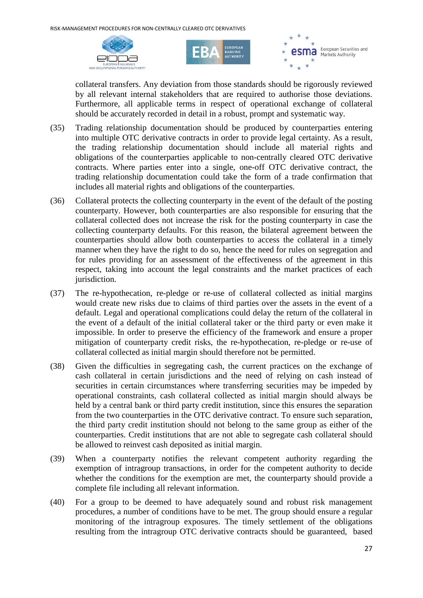





collateral transfers. Any deviation from those standards should be rigorously reviewed by all relevant internal stakeholders that are required to authorise those deviations. Furthermore, all applicable terms in respect of operational exchange of collateral should be accurately recorded in detail in a robust, prompt and systematic way.

- (35) Trading relationship documentation should be produced by counterparties entering into multiple OTC derivative contracts in order to provide legal certainty. As a result, the trading relationship documentation should include all material rights and obligations of the counterparties applicable to non-centrally cleared OTC derivative contracts. Where parties enter into a single, one-off OTC derivative contract, the trading relationship documentation could take the form of a trade confirmation that includes all material rights and obligations of the counterparties.
- (36) Collateral protects the collecting counterparty in the event of the default of the posting counterparty. However, both counterparties are also responsible for ensuring that the collateral collected does not increase the risk for the posting counterparty in case the collecting counterparty defaults. For this reason, the bilateral agreement between the counterparties should allow both counterparties to access the collateral in a timely manner when they have the right to do so, hence the need for rules on segregation and for rules providing for an assessment of the effectiveness of the agreement in this respect, taking into account the legal constraints and the market practices of each jurisdiction.
- (37) The re-hypothecation, re-pledge or re-use of collateral collected as initial margins would create new risks due to claims of third parties over the assets in the event of a default. Legal and operational complications could delay the return of the collateral in the event of a default of the initial collateral taker or the third party or even make it impossible. In order to preserve the efficiency of the framework and ensure a proper mitigation of counterparty credit risks, the re-hypothecation, re-pledge or re-use of collateral collected as initial margin should therefore not be permitted.
- (38) Given the difficulties in segregating cash, the current practices on the exchange of cash collateral in certain jurisdictions and the need of relying on cash instead of securities in certain circumstances where transferring securities may be impeded by operational constraints, cash collateral collected as initial margin should always be held by a central bank or third party credit institution, since this ensures the separation from the two counterparties in the OTC derivative contract. To ensure such separation, the third party credit institution should not belong to the same group as either of the counterparties. Credit institutions that are not able to segregate cash collateral should be allowed to reinvest cash deposited as initial margin.
- (39) When a counterparty notifies the relevant competent authority regarding the exemption of intragroup transactions, in order for the competent authority to decide whether the conditions for the exemption are met, the counterparty should provide a complete file including all relevant information.
- (40) For a group to be deemed to have adequately sound and robust risk management procedures, a number of conditions have to be met. The group should ensure a regular monitoring of the intragroup exposures. The timely settlement of the obligations resulting from the intragroup OTC derivative contracts should be guaranteed, based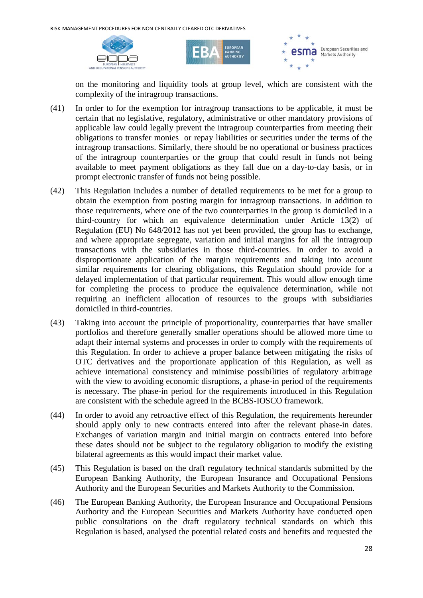





on the monitoring and liquidity tools at group level, which are consistent with the complexity of the intragroup transactions.

- (41) In order to for the exemption for intragroup transactions to be applicable, it must be certain that no legislative, regulatory, administrative or other mandatory provisions of applicable law could legally prevent the intragroup counterparties from meeting their obligations to transfer monies or repay liabilities or securities under the terms of the intragroup transactions. Similarly, there should be no operational or business practices of the intragroup counterparties or the group that could result in funds not being available to meet payment obligations as they fall due on a day-to-day basis, or in prompt electronic transfer of funds not being possible.
- (42) This Regulation includes a number of detailed requirements to be met for a group to obtain the exemption from posting margin for intragroup transactions. In addition to those requirements, where one of the two counterparties in the group is domiciled in a third-country for which an equivalence determination under Article 13(2) of Regulation (EU) No 648/2012 has not yet been provided, the group has to exchange, and where appropriate segregate, variation and initial margins for all the intragroup transactions with the subsidiaries in those third-countries. In order to avoid a disproportionate application of the margin requirements and taking into account similar requirements for clearing obligations, this Regulation should provide for a delayed implementation of that particular requirement. This would allow enough time for completing the process to produce the equivalence determination, while not requiring an inefficient allocation of resources to the groups with subsidiaries domiciled in third-countries.
- (43) Taking into account the principle of proportionality, counterparties that have smaller portfolios and therefore generally smaller operations should be allowed more time to adapt their internal systems and processes in order to comply with the requirements of this Regulation. In order to achieve a proper balance between mitigating the risks of OTC derivatives and the proportionate application of this Regulation, as well as achieve international consistency and minimise possibilities of regulatory arbitrage with the view to avoiding economic disruptions, a phase-in period of the requirements is necessary. The phase-in period for the requirements introduced in this Regulation are consistent with the schedule agreed in the BCBS-IOSCO framework.
- (44) In order to avoid any retroactive effect of this Regulation, the requirements hereunder should apply only to new contracts entered into after the relevant phase-in dates. Exchanges of variation margin and initial margin on contracts entered into before these dates should not be subject to the regulatory obligation to modify the existing bilateral agreements as this would impact their market value.
- (45) This Regulation is based on the draft regulatory technical standards submitted by the European Banking Authority, the European Insurance and Occupational Pensions Authority and the European Securities and Markets Authority to the Commission.
- (46) The European Banking Authority, the European Insurance and Occupational Pensions Authority and the European Securities and Markets Authority have conducted open public consultations on the draft regulatory technical standards on which this Regulation is based, analysed the potential related costs and benefits and requested the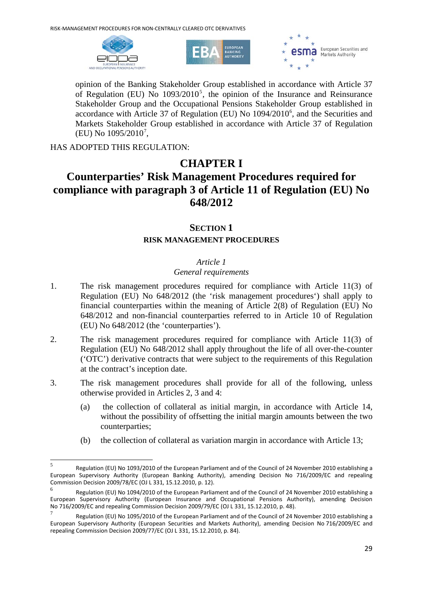





opinion of the Banking Stakeholder Group established in accordance with Article 37 of Regulation (EU) No 1093/2010<sup>[5](#page-28-0)</sup>, the opinion of the Insurance and Reinsurance Stakeholder Group and the Occupational Pensions Stakeholder Group established in accordance with Article 37 of Regulation (EU) No 1094/2010<sup>[6](#page-28-1)</sup>, and the Securities and Markets Stakeholder Group established in accordance with Article 37 of Regulation  $(EU)$  No  $1095/2010^7$  $1095/2010^7$ ,

# HAS ADOPTED THIS REGULATION:

 $\overline{a}$ 

# **CHAPTER I**

# **Counterparties' Risk Management Procedures required for compliance with paragraph 3 of Article 11 of Regulation (EU) No 648/2012**

# **SECTION 1 RISK MANAGEMENT PROCEDURES**

# *Article 1*

# *General requirements*

- 1. The risk management procedures required for compliance with Article 11(3) of Regulation (EU) No 648/2012 (the 'risk management procedures') shall apply to financial counterparties within the meaning of Article 2(8) of Regulation (EU) No 648/2012 and non-financial counterparties referred to in Article 10 of Regulation (EU) No 648/2012 (the 'counterparties').
- 2. The risk management procedures required for compliance with Article 11(3) of Regulation (EU) No 648/2012 shall apply throughout the life of all over-the-counter ('OTC') derivative contracts that were subject to the requirements of this Regulation at the contract's inception date.
- 3. The risk management procedures shall provide for all of the following, unless otherwise provided in Articles 2, 3 and 4:
	- (a) the collection of collateral as initial margin, in accordance with Article 14, without the possibility of offsetting the initial margin amounts between the two counterparties;
	- (b) the collection of collateral as variation margin in accordance with Article 13;

<span id="page-28-0"></span>Regulation (EU) No 1093/2010 of the European Parliament and of the Council of 24 November 2010 establishing a European Supervisory Authority (European Banking Authority), amending Decision No 716/2009/EC and repealing Commission Decision 2009/78/EC (OJ L 331, 15.12.2010, p. 12).

<span id="page-28-1"></span><sup>6</sup> Regulation (EU) No 1094/2010 of the European Parliament and of the Council of 24 November 2010 establishing a European Supervisory Authority (European Insurance and Occupational Pensions Authority), amending Decision No 716/2009/EC and repealing Commission Decision 2009/79/EC (OJ L 331, 15.12.2010, p. 48).

<span id="page-28-2"></span>Regulation (EU) No 1095/2010 of the European Parliament and of the Council of 24 November 2010 establishing a European Supervisory Authority (European Securities and Markets Authority), amending Decision No 716/2009/EC and repealing Commission Decision 2009/77/EC (OJ L 331, 15.12.2010, p. 84).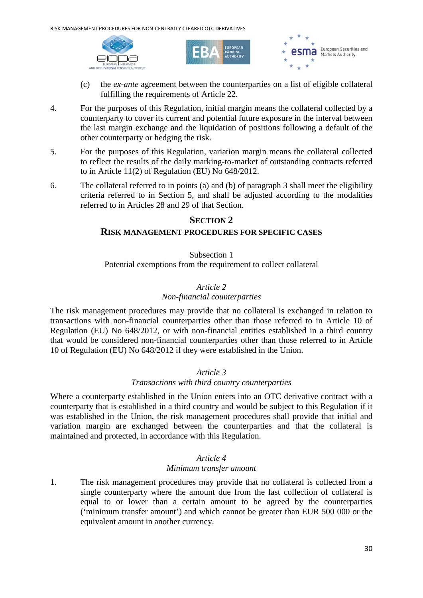





- (c) the *ex-ante* agreement between the counterparties on a list of eligible collateral fulfilling the requirements of Article 22.
- 4. For the purposes of this Regulation, initial margin means the collateral collected by a counterparty to cover its current and potential future exposure in the interval between the last margin exchange and the liquidation of positions following a default of the other counterparty or hedging the risk.
- 5. For the purposes of this Regulation, variation margin means the collateral collected to reflect the results of the daily marking-to-market of outstanding contracts referred to in Article 11(2) of Regulation (EU) No 648/2012.
- 6. The collateral referred to in points (a) and (b) of paragraph 3 shall meet the eligibility criteria referred to in Section 5, and shall be adjusted according to the modalities referred to in Articles 28 and 29 of that Section.

# **SECTION 2**

# **RISK MANAGEMENT PROCEDURES FOR SPECIFIC CASES**

# Subsection 1

Potential exemptions from the requirement to collect collateral

# *Article 2 Non-financial counterparties*

The risk management procedures may provide that no collateral is exchanged in relation to transactions with non-financial counterparties other than those referred to in Article 10 of Regulation (EU) No 648/2012, or with non-financial entities established in a third country that would be considered non-financial counterparties other than those referred to in Article 10 of Regulation (EU) No 648/2012 if they were established in the Union.

#### *Article 3*

#### *Transactions with third country counterparties*

Where a counterparty established in the Union enters into an OTC derivative contract with a counterparty that is established in a third country and would be subject to this Regulation if it was established in the Union, the risk management procedures shall provide that initial and variation margin are exchanged between the counterparties and that the collateral is maintained and protected, in accordance with this Regulation.

#### *Article 4*

#### *Minimum transfer amount*

1. The risk management procedures may provide that no collateral is collected from a single counterparty where the amount due from the last collection of collateral is equal to or lower than a certain amount to be agreed by the counterparties ('minimum transfer amount') and which cannot be greater than EUR 500 000 or the equivalent amount in another currency.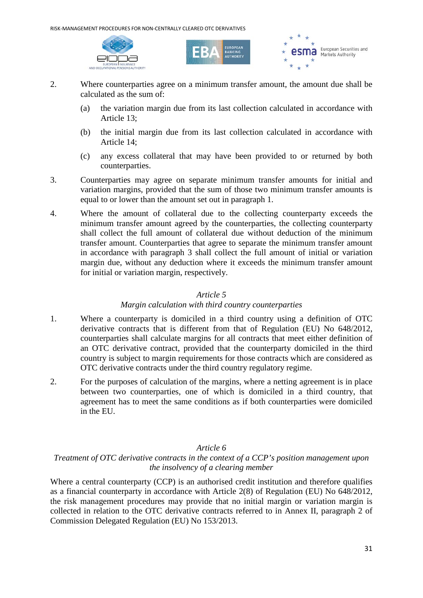





- 2. Where counterparties agree on a minimum transfer amount, the amount due shall be calculated as the sum of:
	- (a) the variation margin due from its last collection calculated in accordance with Article 13;
	- (b) the initial margin due from its last collection calculated in accordance with Article 14;
	- (c) any excess collateral that may have been provided to or returned by both counterparties.
- 3. Counterparties may agree on separate minimum transfer amounts for initial and variation margins, provided that the sum of those two minimum transfer amounts is equal to or lower than the amount set out in paragraph 1.
- 4. Where the amount of collateral due to the collecting counterparty exceeds the minimum transfer amount agreed by the counterparties, the collecting counterparty shall collect the full amount of collateral due without deduction of the minimum transfer amount. Counterparties that agree to separate the minimum transfer amount in accordance with paragraph 3 shall collect the full amount of initial or variation margin due, without any deduction where it exceeds the minimum transfer amount for initial or variation margin, respectively.

#### *Article 5*

# *Margin calculation with third country counterparties*

- 1. Where a counterparty is domiciled in a third country using a definition of OTC derivative contracts that is different from that of Regulation (EU) No 648/2012, counterparties shall calculate margins for all contracts that meet either definition of an OTC derivative contract, provided that the counterparty domiciled in the third country is subject to margin requirements for those contracts which are considered as OTC derivative contracts under the third country regulatory regime.
- 2. For the purposes of calculation of the margins, where a netting agreement is in place between two counterparties, one of which is domiciled in a third country, that agreement has to meet the same conditions as if both counterparties were domiciled in the EU.

# *Article 6*

#### *Treatment of OTC derivative contracts in the context of a CCP's position management upon the insolvency of a clearing member*

Where a central counterparty (CCP) is an authorised credit institution and therefore qualifies as a financial counterparty in accordance with Article 2(8) of Regulation (EU) No 648/2012, the risk management procedures may provide that no initial margin or variation margin is collected in relation to the OTC derivative contracts referred to in Annex II, paragraph 2 of Commission Delegated Regulation (EU) No 153/2013.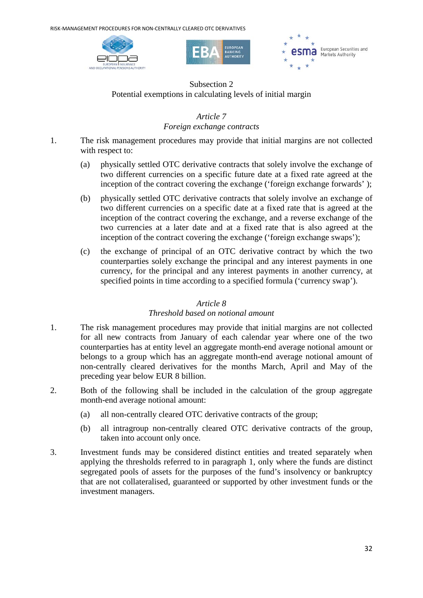





#### Subsection 2 Potential exemptions in calculating levels of initial margin

# *Article 7 Foreign exchange contracts*

- 1. The risk management procedures may provide that initial margins are not collected with respect to:
	- (a) physically settled OTC derivative contracts that solely involve the exchange of two different currencies on a specific future date at a fixed rate agreed at the inception of the contract covering the exchange ('foreign exchange forwards');
	- (b) physically settled OTC derivative contracts that solely involve an exchange of two different currencies on a specific date at a fixed rate that is agreed at the inception of the contract covering the exchange, and a reverse exchange of the two currencies at a later date and at a fixed rate that is also agreed at the inception of the contract covering the exchange ('foreign exchange swaps');
	- (c) the exchange of principal of an OTC derivative contract by which the two counterparties solely exchange the principal and any interest payments in one currency, for the principal and any interest payments in another currency, at specified points in time according to a specified formula ('currency swap').

#### *Article 8*

# *Threshold based on notional amount*

- 1. The risk management procedures may provide that initial margins are not collected for all new contracts from January of each calendar year where one of the two counterparties has at entity level an aggregate month-end average notional amount or belongs to a group which has an aggregate month-end average notional amount of non-centrally cleared derivatives for the months March, April and May of the preceding year below EUR 8 billion.
- 2. Both of the following shall be included in the calculation of the group aggregate month-end average notional amount:
	- (a) all non-centrally cleared OTC derivative contracts of the group;
	- (b) all intragroup non-centrally cleared OTC derivative contracts of the group, taken into account only once.
- 3. Investment funds may be considered distinct entities and treated separately when applying the thresholds referred to in paragraph 1, only where the funds are distinct segregated pools of assets for the purposes of the fund's insolvency or bankruptcy that are not collateralised, guaranteed or supported by other investment funds or the investment managers.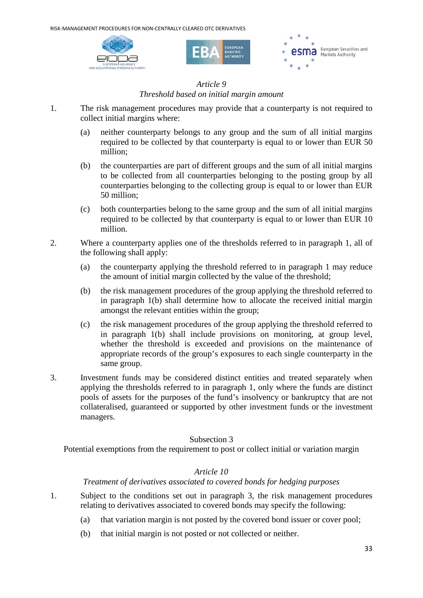





*Article 9 Threshold based on initial margin amount*

- 1. The risk management procedures may provide that a counterparty is not required to collect initial margins where:
	- (a) neither counterparty belongs to any group and the sum of all initial margins required to be collected by that counterparty is equal to or lower than EUR 50 million;
	- (b) the counterparties are part of different groups and the sum of all initial margins to be collected from all counterparties belonging to the posting group by all counterparties belonging to the collecting group is equal to or lower than EUR 50 million;
	- (c) both counterparties belong to the same group and the sum of all initial margins required to be collected by that counterparty is equal to or lower than EUR 10 million.
- 2. Where a counterparty applies one of the thresholds referred to in paragraph 1, all of the following shall apply:
	- (a) the counterparty applying the threshold referred to in paragraph 1 may reduce the amount of initial margin collected by the value of the threshold;
	- (b) the risk management procedures of the group applying the threshold referred to in paragraph 1(b) shall determine how to allocate the received initial margin amongst the relevant entities within the group;
	- (c) the risk management procedures of the group applying the threshold referred to in paragraph 1(b) shall include provisions on monitoring, at group level, whether the threshold is exceeded and provisions on the maintenance of appropriate records of the group's exposures to each single counterparty in the same group.
- 3. Investment funds may be considered distinct entities and treated separately when applying the thresholds referred to in paragraph 1, only where the funds are distinct pools of assets for the purposes of the fund's insolvency or bankruptcy that are not collateralised, guaranteed or supported by other investment funds or the investment managers.

# Subsection 3

Potential exemptions from the requirement to post or collect initial or variation margin

# *Article 10*

# *Treatment of derivatives associated to covered bonds for hedging purposes*

1. Subject to the conditions set out in paragraph 3, the risk management procedures relating to derivatives associated to covered bonds may specify the following:

- (a) that variation margin is not posted by the covered bond issuer or cover pool;
- (b) that initial margin is not posted or not collected or neither.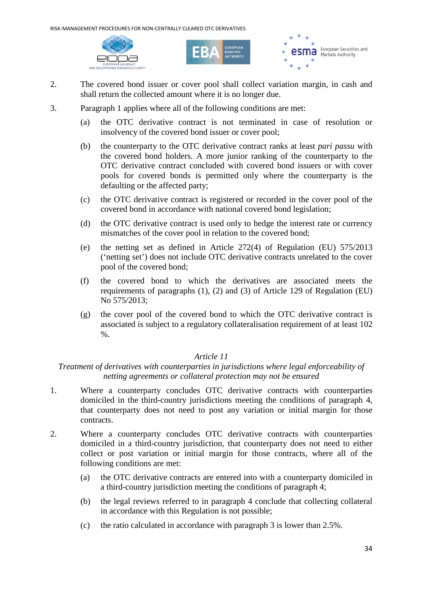





- 2. The covered bond issuer or cover pool shall collect variation margin, in cash and shall return the collected amount where it is no longer due.
- 3. Paragraph 1 applies where all of the following conditions are met:
	- (a) the OTC derivative contract is not terminated in case of resolution or insolvency of the covered bond issuer or cover pool;
	- (b) the counterparty to the OTC derivative contract ranks at least *pari passu* with the covered bond holders. A more junior ranking of the counterparty to the OTC derivative contract concluded with covered bond issuers or with cover pools for covered bonds is permitted only where the counterparty is the defaulting or the affected party;
	- (c) the OTC derivative contract is registered or recorded in the cover pool of the covered bond in accordance with national covered bond legislation;
	- (d) the OTC derivative contract is used only to hedge the interest rate or currency mismatches of the cover pool in relation to the covered bond;
	- (e) the netting set as defined in Article 272(4) of Regulation (EU) 575/2013 ('netting set') does not include OTC derivative contracts unrelated to the cover pool of the covered bond;
	- (f) the covered bond to which the derivatives are associated meets the requirements of paragraphs (1), (2) and (3) of Article 129 of Regulation (EU) No 575/2013;
	- (g) the cover pool of the covered bond to which the OTC derivative contract is associated is subject to a regulatory collateralisation requirement of at least 102 %.

#### *Article 11*

#### *Treatment of derivatives with counterparties in jurisdictions where legal enforceability of netting agreements or collateral protection may not be ensured*

- 1. Where a counterparty concludes OTC derivative contracts with counterparties domiciled in the third-country jurisdictions meeting the conditions of paragraph 4, that counterparty does not need to post any variation or initial margin for those contracts.
- 2. Where a counterparty concludes OTC derivative contracts with counterparties domiciled in a third-country jurisdiction, that counterparty does not need to either collect or post variation or initial margin for those contracts, where all of the following conditions are met:
	- (a) the OTC derivative contracts are entered into with a counterparty domiciled in a third-country jurisdiction meeting the conditions of paragraph 4;
	- (b) the legal reviews referred to in paragraph 4 conclude that collecting collateral in accordance with this Regulation is not possible;
	- (c) the ratio calculated in accordance with paragraph 3 is lower than 2.5%.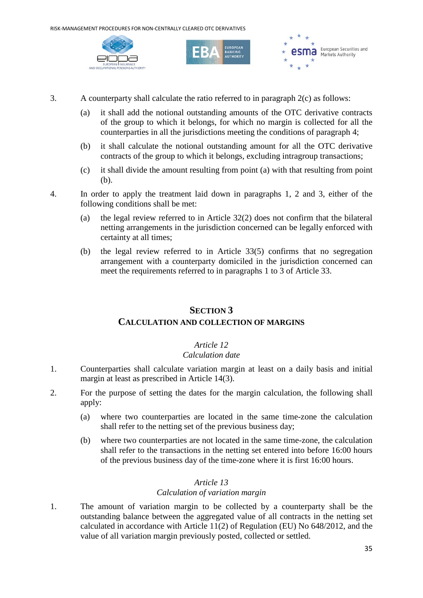





- 3. A counterparty shall calculate the ratio referred to in paragraph 2(c) as follows:
	- (a) it shall add the notional outstanding amounts of the OTC derivative contracts of the group to which it belongs, for which no margin is collected for all the counterparties in all the jurisdictions meeting the conditions of paragraph 4;
	- (b) it shall calculate the notional outstanding amount for all the OTC derivative contracts of the group to which it belongs, excluding intragroup transactions;
	- (c) it shall divide the amount resulting from point (a) with that resulting from point (b).
- 4. In order to apply the treatment laid down in paragraphs 1, 2 and 3, either of the following conditions shall be met:
	- (a) the legal review referred to in Article 32(2) does not confirm that the bilateral netting arrangements in the jurisdiction concerned can be legally enforced with certainty at all times;
	- (b) the legal review referred to in Article 33(5) confirms that no segregation arrangement with a counterparty domiciled in the jurisdiction concerned can meet the requirements referred to in paragraphs 1 to 3 of Article 33.

# **SECTION 3 CALCULATION AND COLLECTION OF MARGINS**

# *Article 12*

# *Calculation date*

- 1. Counterparties shall calculate variation margin at least on a daily basis and initial margin at least as prescribed in Article 14(3).
- 2. For the purpose of setting the dates for the margin calculation, the following shall apply:
	- (a) where two counterparties are located in the same time-zone the calculation shall refer to the netting set of the previous business day;
	- (b) where two counterparties are not located in the same time-zone, the calculation shall refer to the transactions in the netting set entered into before 16:00 hours of the previous business day of the time-zone where it is first 16:00 hours.

# *Article 13*

# *Calculation of variation margin*

1. The amount of variation margin to be collected by a counterparty shall be the outstanding balance between the aggregated value of all contracts in the netting set calculated in accordance with Article 11(2) of Regulation (EU) No 648/2012, and the value of all variation margin previously posted, collected or settled.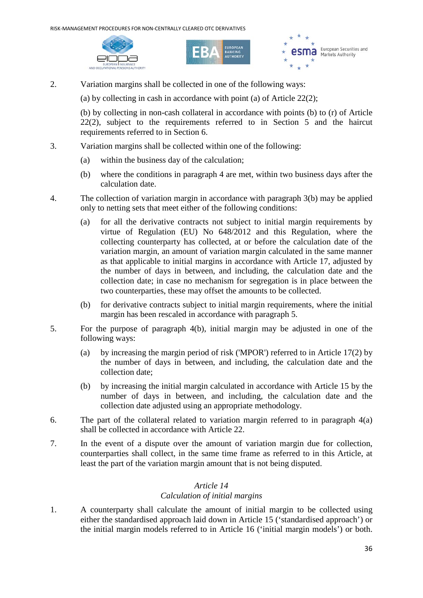





2. Variation margins shall be collected in one of the following ways:

(a) by collecting in cash in accordance with point (a) of Article 22(2);

(b) by collecting in non-cash collateral in accordance with points (b) to (r) of Article 22(2), subject to the requirements referred to in Section 5 and the haircut requirements referred to in Section 6.

- 3. Variation margins shall be collected within one of the following:
	- (a) within the business day of the calculation;
	- (b) where the conditions in paragraph 4 are met, within two business days after the calculation date.
- 4. The collection of variation margin in accordance with paragraph 3(b) may be applied only to netting sets that meet either of the following conditions:
	- (a) for all the derivative contracts not subject to initial margin requirements by virtue of Regulation (EU) No 648/2012 and this Regulation, where the collecting counterparty has collected, at or before the calculation date of the variation margin, an amount of variation margin calculated in the same manner as that applicable to initial margins in accordance with Article 17, adjusted by the number of days in between, and including, the calculation date and the collection date; in case no mechanism for segregation is in place between the two counterparties, these may offset the amounts to be collected.
	- (b) for derivative contracts subject to initial margin requirements, where the initial margin has been rescaled in accordance with paragraph 5.
- 5. For the purpose of paragraph 4(b), initial margin may be adjusted in one of the following ways:
	- (a) by increasing the margin period of risk ('MPOR') referred to in Article 17(2) by the number of days in between, and including, the calculation date and the collection date;
	- (b) by increasing the initial margin calculated in accordance with Article 15 by the number of days in between, and including, the calculation date and the collection date adjusted using an appropriate methodology.
- 6. The part of the collateral related to variation margin referred to in paragraph 4(a) shall be collected in accordance with Article 22.
- 7. In the event of a dispute over the amount of variation margin due for collection, counterparties shall collect, in the same time frame as referred to in this Article, at least the part of the variation margin amount that is not being disputed.

# *Article 14*

# *Calculation of initial margins*

1. A counterparty shall calculate the amount of initial margin to be collected using either the standardised approach laid down in Article 15 ('standardised approach') or the initial margin models referred to in Article 16 ('initial margin models') or both.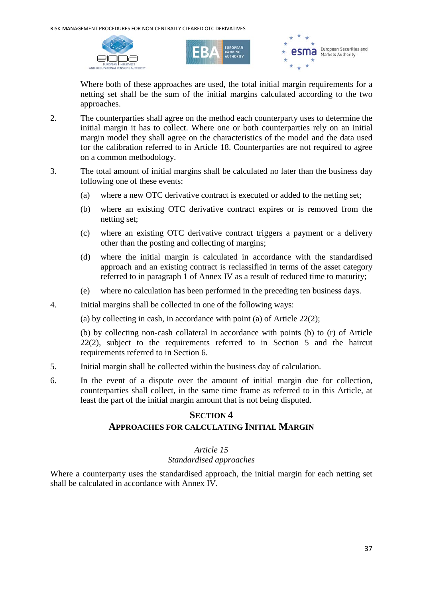





Where both of these approaches are used, the total initial margin requirements for a netting set shall be the sum of the initial margins calculated according to the two approaches.

- 2. The counterparties shall agree on the method each counterparty uses to determine the initial margin it has to collect. Where one or both counterparties rely on an initial margin model they shall agree on the characteristics of the model and the data used for the calibration referred to in Article 18. Counterparties are not required to agree on a common methodology.
- 3. The total amount of initial margins shall be calculated no later than the business day following one of these events:
	- (a) where a new OTC derivative contract is executed or added to the netting set;
	- (b) where an existing OTC derivative contract expires or is removed from the netting set;
	- (c) where an existing OTC derivative contract triggers a payment or a delivery other than the posting and collecting of margins;
	- (d) where the initial margin is calculated in accordance with the standardised approach and an existing contract is reclassified in terms of the asset category referred to in paragraph 1 of Annex IV as a result of reduced time to maturity;
	- (e) where no calculation has been performed in the preceding ten business days.
- 4. Initial margins shall be collected in one of the following ways:

(a) by collecting in cash, in accordance with point (a) of Article 22(2);

(b) by collecting non-cash collateral in accordance with points (b) to (r) of Article 22(2), subject to the requirements referred to in Section 5 and the haircut requirements referred to in Section 6.

- 5. Initial margin shall be collected within the business day of calculation.
- 6. In the event of a dispute over the amount of initial margin due for collection, counterparties shall collect, in the same time frame as referred to in this Article, at least the part of the initial margin amount that is not being disputed.

## **SECTION 4**

## **APPROACHES FOR CALCULATING INITIAL MARGIN**

#### *Article 15*

#### *Standardised approaches*

Where a counterparty uses the standardised approach, the initial margin for each netting set shall be calculated in accordance with Annex IV.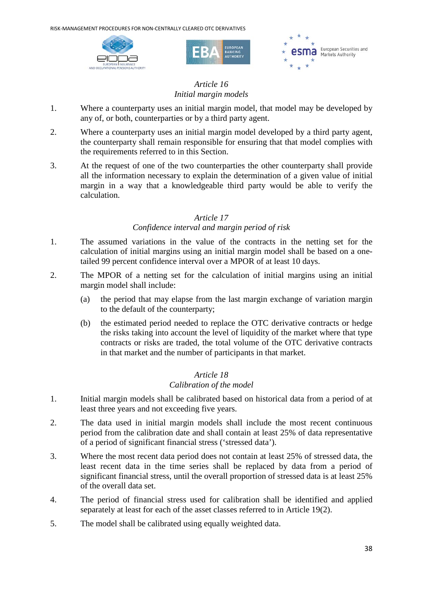





## *Article 16 Initial margin models*

- 1. Where a counterparty uses an initial margin model, that model may be developed by any of, or both, counterparties or by a third party agent.
- 2. Where a counterparty uses an initial margin model developed by a third party agent, the counterparty shall remain responsible for ensuring that that model complies with the requirements referred to in this Section.
- 3. At the request of one of the two counterparties the other counterparty shall provide all the information necessary to explain the determination of a given value of initial margin in a way that a knowledgeable third party would be able to verify the calculation.

#### *Article 17*

#### *Confidence interval and margin period of risk*

- 1. The assumed variations in the value of the contracts in the netting set for the calculation of initial margins using an initial margin model shall be based on a onetailed 99 percent confidence interval over a MPOR of at least 10 days.
- 2. The MPOR of a netting set for the calculation of initial margins using an initial margin model shall include:
	- (a) the period that may elapse from the last margin exchange of variation margin to the default of the counterparty;
	- (b) the estimated period needed to replace the OTC derivative contracts or hedge the risks taking into account the level of liquidity of the market where that type contracts or risks are traded, the total volume of the OTC derivative contracts in that market and the number of participants in that market.

#### *Article 18 Calibration of the model*

- 1. Initial margin models shall be calibrated based on historical data from a period of at least three years and not exceeding five years.
- 2. The data used in initial margin models shall include the most recent continuous period from the calibration date and shall contain at least 25% of data representative of a period of significant financial stress ('stressed data').
- 3. Where the most recent data period does not contain at least 25% of stressed data, the least recent data in the time series shall be replaced by data from a period of significant financial stress, until the overall proportion of stressed data is at least 25% of the overall data set.
- 4. The period of financial stress used for calibration shall be identified and applied separately at least for each of the asset classes referred to in Article 19(2).
- 5. The model shall be calibrated using equally weighted data.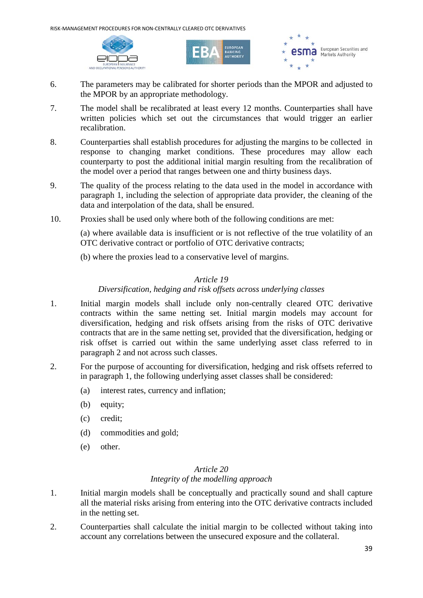





- 6. The parameters may be calibrated for shorter periods than the MPOR and adjusted to the MPOR by an appropriate methodology.
- 7. The model shall be recalibrated at least every 12 months. Counterparties shall have written policies which set out the circumstances that would trigger an earlier recalibration.
- 8. Counterparties shall establish procedures for adjusting the margins to be collected in response to changing market conditions. These procedures may allow each counterparty to post the additional initial margin resulting from the recalibration of the model over a period that ranges between one and thirty business days.
- 9. The quality of the process relating to the data used in the model in accordance with paragraph 1, including the selection of appropriate data provider, the cleaning of the data and interpolation of the data, shall be ensured.
- 10. Proxies shall be used only where both of the following conditions are met:

(a) where available data is insufficient or is not reflective of the true volatility of an OTC derivative contract or portfolio of OTC derivative contracts;

(b) where the proxies lead to a conservative level of margins.

#### *Article 19*

#### *Diversification, hedging and risk offsets across underlying classes*

- 1. Initial margin models shall include only non-centrally cleared OTC derivative contracts within the same netting set. Initial margin models may account for diversification, hedging and risk offsets arising from the risks of OTC derivative contracts that are in the same netting set, provided that the diversification, hedging or risk offset is carried out within the same underlying asset class referred to in paragraph 2 and not across such classes.
- 2. For the purpose of accounting for diversification, hedging and risk offsets referred to in paragraph 1, the following underlying asset classes shall be considered:
	- (a) interest rates, currency and inflation;
	- (b) equity;
	- (c) credit;
	- (d) commodities and gold;
	- (e) other.

## *Article 20*

#### *Integrity of the modelling approach*

- 1. Initial margin models shall be conceptually and practically sound and shall capture all the material risks arising from entering into the OTC derivative contracts included in the netting set.
- 2. Counterparties shall calculate the initial margin to be collected without taking into account any correlations between the unsecured exposure and the collateral.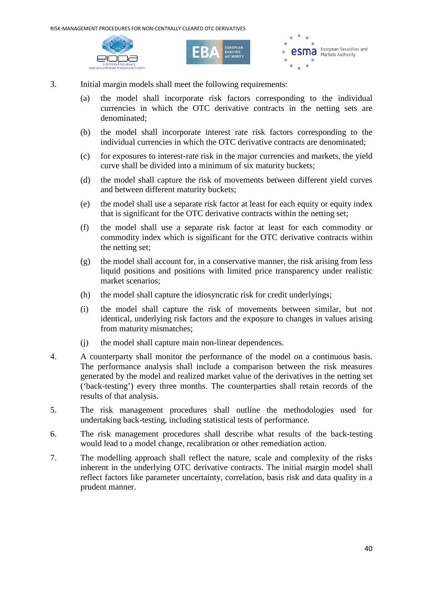





- 3. Initial margin models shall meet the following requirements:
	- (a) the model shall incorporate risk factors corresponding to the individual currencies in which the OTC derivative contracts in the netting sets are denominated;
	- (b) the model shall incorporate interest rate risk factors corresponding to the individual currencies in which the OTC derivative contracts are denominated;
	- (c) for exposures to interest-rate risk in the major currencies and markets, the yield curve shall be divided into a minimum of six maturity buckets;
	- (d) the model shall capture the risk of movements between different yield curves and between different maturity buckets;
	- (e) the model shall use a separate risk factor at least for each equity or equity index that is significant for the OTC derivative contracts within the netting set;
	- (f) the model shall use a separate risk factor at least for each commodity or commodity index which is significant for the OTC derivative contracts within the netting set;
	- (g) the model shall account for, in a conservative manner, the risk arising from less liquid positions and positions with limited price transparency under realistic market scenarios;
	- (h) the model shall capture the idiosyncratic risk for credit underlyings;
	- (i) the model shall capture the risk of movements between similar, but not identical, underlying risk factors and the exposure to changes in values arising from maturity mismatches;
	- (j) the model shall capture main non-linear dependences.
- 4. A counterparty shall monitor the performance of the model on a continuous basis. The performance analysis shall include a comparison between the risk measures generated by the model and realized market value of the derivatives in the netting set ('back-testing') every three months. The counterparties shall retain records of the results of that analysis.
- 5. The risk management procedures shall outline the methodologies used for undertaking back-testing, including statistical tests of performance.
- 6. The risk management procedures shall describe what results of the back-testing would lead to a model change, recalibration or other remediation action.
- 7. The modelling approach shall reflect the nature, scale and complexity of the risks inherent in the underlying OTC derivative contracts. The initial margin model shall reflect factors like parameter uncertainty, correlation, basis risk and data quality in a prudent manner.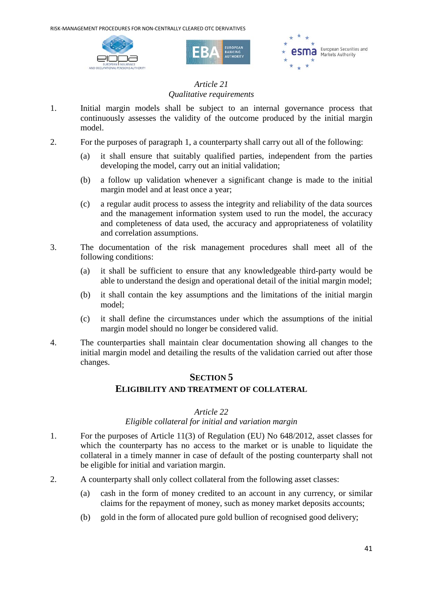





#### *Article 21 Qualitative requirements*

- 1. Initial margin models shall be subject to an internal governance process that continuously assesses the validity of the outcome produced by the initial margin model.
- 2. For the purposes of paragraph 1, a counterparty shall carry out all of the following:
	- (a) it shall ensure that suitably qualified parties, independent from the parties developing the model, carry out an initial validation;
	- (b) a follow up validation whenever a significant change is made to the initial margin model and at least once a year;
	- (c) a regular audit process to assess the integrity and reliability of the data sources and the management information system used to run the model, the accuracy and completeness of data used, the accuracy and appropriateness of volatility and correlation assumptions.
- 3. The documentation of the risk management procedures shall meet all of the following conditions:
	- (a) it shall be sufficient to ensure that any knowledgeable third-party would be able to understand the design and operational detail of the initial margin model;
	- (b) it shall contain the key assumptions and the limitations of the initial margin model;
	- (c) it shall define the circumstances under which the assumptions of the initial margin model should no longer be considered valid.
- 4. The counterparties shall maintain clear documentation showing all changes to the initial margin model and detailing the results of the validation carried out after those changes.

## **SECTION 5**

#### **ELIGIBILITY AND TREATMENT OF COLLATERAL**

#### *Article 22*

#### *Eligible collateral for initial and variation margin*

- 1. For the purposes of Article 11(3) of Regulation (EU) No 648/2012, asset classes for which the counterparty has no access to the market or is unable to liquidate the collateral in a timely manner in case of default of the posting counterparty shall not be eligible for initial and variation margin.
- 2. A counterparty shall only collect collateral from the following asset classes:
	- (a) cash in the form of money credited to an account in any currency, or similar claims for the repayment of money, such as money market deposits accounts;
	- (b) gold in the form of allocated pure gold bullion of recognised good delivery;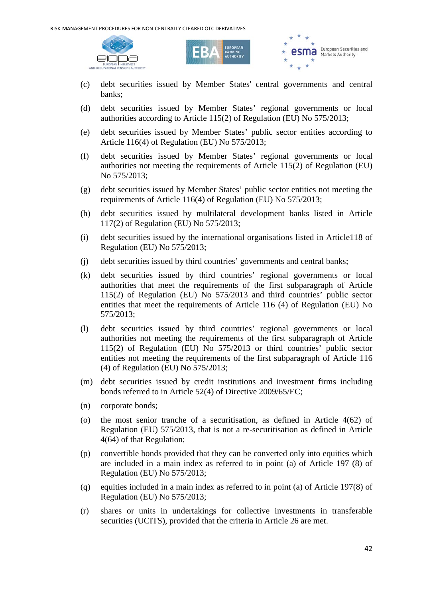





- (c) debt securities issued by Member States' central governments and central banks;
- (d) debt securities issued by Member States' regional governments or local authorities according to Article 115(2) of Regulation (EU) No 575/2013;
- (e) debt securities issued by Member States' public sector entities according to Article 116(4) of Regulation (EU) No 575/2013;
- (f) debt securities issued by Member States' regional governments or local authorities not meeting the requirements of Article 115(2) of Regulation (EU) No 575/2013;
- (g) debt securities issued by Member States' public sector entities not meeting the requirements of Article 116(4) of Regulation (EU) No 575/2013;
- (h) debt securities issued by multilateral development banks listed in Article 117(2) of Regulation (EU) No 575/2013;
- (i) debt securities issued by the international organisations listed in Article118 of Regulation (EU) No 575/2013;
- (j) debt securities issued by third countries' governments and central banks;
- (k) debt securities issued by third countries' regional governments or local authorities that meet the requirements of the first subparagraph of Article 115(2) of Regulation (EU) No 575/2013 and third countries' public sector entities that meet the requirements of Article 116 (4) of Regulation (EU) No 575/2013;
- (l) debt securities issued by third countries' regional governments or local authorities not meeting the requirements of the first subparagraph of Article 115(2) of Regulation (EU) No 575/2013 or third countries' public sector entities not meeting the requirements of the first subparagraph of Article 116 (4) of Regulation (EU) No 575/2013;
- (m) debt securities issued by credit institutions and investment firms including bonds referred to in Article 52(4) of Directive 2009/65/EC;
- (n) corporate bonds;
- (o) the most senior tranche of a securitisation, as defined in Article 4(62) of Regulation (EU) 575/2013, that is not a re-securitisation as defined in Article 4(64) of that Regulation;
- (p) convertible bonds provided that they can be converted only into equities which are included in a main index as referred to in point (a) of Article 197 (8) of Regulation (EU) No 575/2013;
- (q) equities included in a main index as referred to in point (a) of Article 197(8) of Regulation (EU) No 575/2013;
- (r) shares or units in undertakings for collective investments in transferable securities (UCITS), provided that the criteria in Article 26 are met.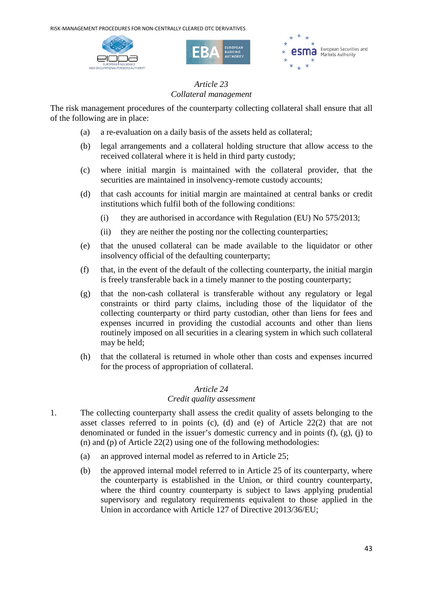





## *Article 23 Collateral management*

The risk management procedures of the counterparty collecting collateral shall ensure that all of the following are in place:

- (a) a re-evaluation on a daily basis of the assets held as collateral;
- (b) legal arrangements and a collateral holding structure that allow access to the received collateral where it is held in third party custody;
- (c) where initial margin is maintained with the collateral provider, that the securities are maintained in insolvency-remote custody accounts;
- (d) that cash accounts for initial margin are maintained at central banks or credit institutions which fulfil both of the following conditions:
	- (i) they are authorised in accordance with Regulation (EU) No 575/2013;
	- (ii) they are neither the posting nor the collecting counterparties;
- (e) that the unused collateral can be made available to the liquidator or other insolvency official of the defaulting counterparty;
- (f) that, in the event of the default of the collecting counterparty, the initial margin is freely transferable back in a timely manner to the posting counterparty;
- (g) that the non-cash collateral is transferable without any regulatory or legal constraints or third party claims, including those of the liquidator of the collecting counterparty or third party custodian, other than liens for fees and expenses incurred in providing the custodial accounts and other than liens routinely imposed on all securities in a clearing system in which such collateral may be held;
- (h) that the collateral is returned in whole other than costs and expenses incurred for the process of appropriation of collateral.

#### *Article 24*

#### *Credit quality assessment*

- 1. The collecting counterparty shall assess the credit quality of assets belonging to the asset classes referred to in points (c), (d) and (e) of Article 22(2) that are not denominated or funded in the issuer's domestic currency and in points (f), (g), (j) to (n) and (p) of Article 22(2) using one of the following methodologies:
	- (a) an approved internal model as referred to in Article 25;
	- (b) the approved internal model referred to in Article 25 of its counterparty, where the counterparty is established in the Union, or third country counterparty, where the third country counterparty is subject to laws applying prudential supervisory and regulatory requirements equivalent to those applied in the Union in accordance with Article 127 of Directive 2013/36/EU;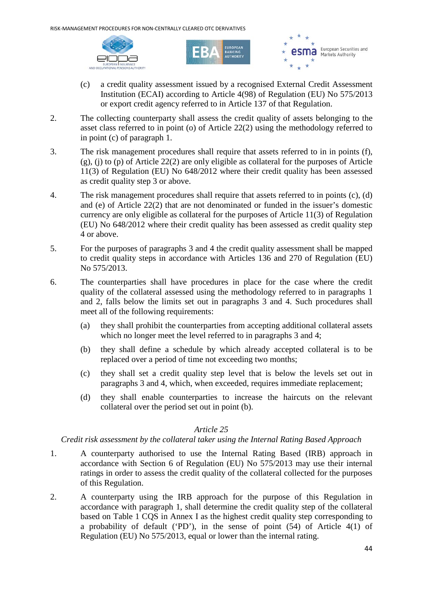





- (c) a credit quality assessment issued by a recognised External Credit Assessment Institution (ECAI) according to Article 4(98) of Regulation (EU) No 575/2013 or export credit agency referred to in Article 137 of that Regulation.
- 2. The collecting counterparty shall assess the credit quality of assets belonging to the asset class referred to in point (o) of Article 22(2) using the methodology referred to in point (c) of paragraph 1.
- 3. The risk management procedures shall require that assets referred to in in points (f), (g), (j) to (p) of Article 22(2) are only eligible as collateral for the purposes of Article 11(3) of Regulation (EU) No 648/2012 where their credit quality has been assessed as credit quality step 3 or above.
- 4. The risk management procedures shall require that assets referred to in points (c), (d) and (e) of Article 22(2) that are not denominated or funded in the issuer's domestic currency are only eligible as collateral for the purposes of Article 11(3) of Regulation (EU) No 648/2012 where their credit quality has been assessed as credit quality step 4 or above.
- 5. For the purposes of paragraphs 3 and 4 the credit quality assessment shall be mapped to credit quality steps in accordance with Articles 136 and 270 of Regulation (EU) No 575/2013.
- 6. The counterparties shall have procedures in place for the case where the credit quality of the collateral assessed using the methodology referred to in paragraphs 1 and 2, falls below the limits set out in paragraphs 3 and 4. Such procedures shall meet all of the following requirements:
	- (a) they shall prohibit the counterparties from accepting additional collateral assets which no longer meet the level referred to in paragraphs 3 and 4;
	- (b) they shall define a schedule by which already accepted collateral is to be replaced over a period of time not exceeding two months;
	- (c) they shall set a credit quality step level that is below the levels set out in paragraphs 3 and 4, which, when exceeded, requires immediate replacement;
	- (d) they shall enable counterparties to increase the haircuts on the relevant collateral over the period set out in point (b).

#### *Article 25*

#### *Credit risk assessment by the collateral taker using the Internal Rating Based Approach*

- 1. A counterparty authorised to use the Internal Rating Based (IRB) approach in accordance with Section 6 of Regulation (EU) No 575/2013 may use their internal ratings in order to assess the credit quality of the collateral collected for the purposes of this Regulation.
- 2. A counterparty using the IRB approach for the purpose of this Regulation in accordance with paragraph 1, shall determine the credit quality step of the collateral based on Table 1 CQS in Annex I as the highest credit quality step corresponding to a probability of default ('PD'), in the sense of point (54) of Article 4(1) of Regulation (EU) No 575/2013, equal or lower than the internal rating.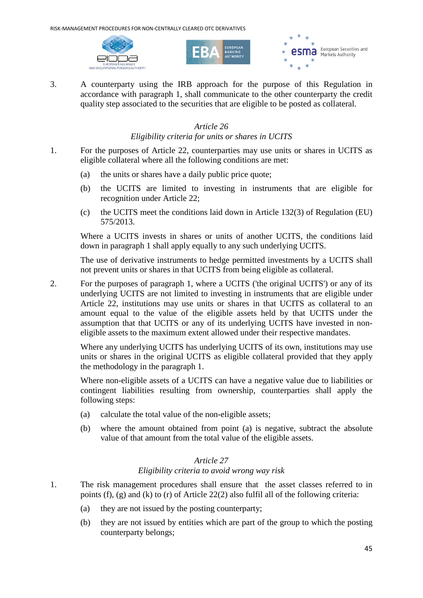





3. A counterparty using the IRB approach for the purpose of this Regulation in accordance with paragraph 1, shall communicate to the other counterparty the credit quality step associated to the securities that are eligible to be posted as collateral.

## *Article 26*

#### *Eligibility criteria for units or shares in UCITS*

- 1. For the purposes of Article 22, counterparties may use units or shares in UCITS as eligible collateral where all the following conditions are met:
	- (a) the units or shares have a daily public price quote;
	- (b) the UCITS are limited to investing in instruments that are eligible for recognition under Article 22;
	- (c) the UCITS meet the conditions laid down in Article 132(3) of Regulation (EU) 575/2013.

Where a UCITS invests in shares or units of another UCITS, the conditions laid down in paragraph 1 shall apply equally to any such underlying UCITS.

The use of derivative instruments to hedge permitted investments by a UCITS shall not prevent units or shares in that UCITS from being eligible as collateral.

2. For the purposes of paragraph 1, where a UCITS ('the original UCITS') or any of its underlying UCITS are not limited to investing in instruments that are eligible under Article 22, institutions may use units or shares in that UCITS as collateral to an amount equal to the value of the eligible assets held by that UCITS under the assumption that that UCITS or any of its underlying UCITS have invested in noneligible assets to the maximum extent allowed under their respective mandates.

Where any underlying UCITS has underlying UCITS of its own, institutions may use units or shares in the original UCITS as eligible collateral provided that they apply the methodology in the paragraph 1.

Where non-eligible assets of a UCITS can have a negative value due to liabilities or contingent liabilities resulting from ownership, counterparties shall apply the following steps:

- (a) calculate the total value of the non-eligible assets;
- (b) where the amount obtained from point (a) is negative, subtract the absolute value of that amount from the total value of the eligible assets.

#### *Article 27*

#### *Eligibility criteria to avoid wrong way risk*

- 1. The risk management procedures shall ensure that the asset classes referred to in points (f), (g) and (k) to (r) of Article 22(2) also fulfil all of the following criteria:
	- (a) they are not issued by the posting counterparty;
	- (b) they are not issued by entities which are part of the group to which the posting counterparty belongs;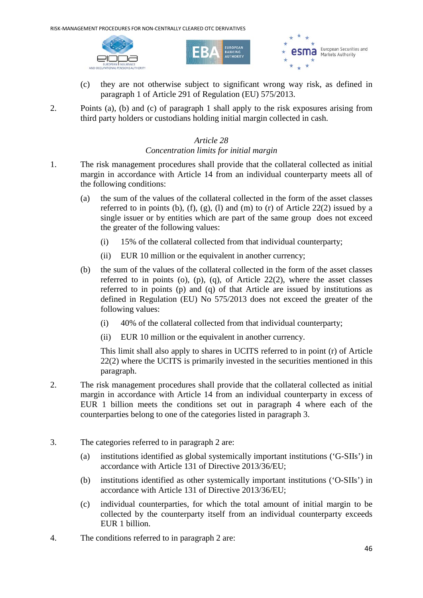





- (c) they are not otherwise subject to significant wrong way risk, as defined in paragraph 1 of Article 291 of Regulation (EU) 575/2013.
- 2. Points (a), (b) and (c) of paragraph 1 shall apply to the risk exposures arising from third party holders or custodians holding initial margin collected in cash.

#### *Article 28*

#### *Concentration limits for initial margin*

- 1. The risk management procedures shall provide that the collateral collected as initial margin in accordance with Article 14 from an individual counterparty meets all of the following conditions:
	- (a) the sum of the values of the collateral collected in the form of the asset classes referred to in points (b),  $(f)$ ,  $(g)$ ,  $(l)$  and  $(m)$  to  $(r)$  of Article 22(2) issued by a single issuer or by entities which are part of the same group does not exceed the greater of the following values:
		- (i) 15% of the collateral collected from that individual counterparty;
		- (ii) EUR 10 million or the equivalent in another currency;
	- (b) the sum of the values of the collateral collected in the form of the asset classes referred to in points (o), (p), (q), of Article  $22(2)$ , where the asset classes referred to in points (p) and (q) of that Article are issued by institutions as defined in Regulation (EU) No 575/2013 does not exceed the greater of the following values:
		- (i) 40% of the collateral collected from that individual counterparty;
		- (ii) EUR 10 million or the equivalent in another currency.

This limit shall also apply to shares in UCITS referred to in point (r) of Article 22(2) where the UCITS is primarily invested in the securities mentioned in this paragraph.

- 2. The risk management procedures shall provide that the collateral collected as initial margin in accordance with Article 14 from an individual counterparty in excess of EUR 1 billion meets the conditions set out in paragraph 4 where each of the counterparties belong to one of the categories listed in paragraph 3.
- 3. The categories referred to in paragraph 2 are:
	- (a) institutions identified as global systemically important institutions ('G-SIIs') in accordance with Article 131 of Directive 2013/36/EU;
	- (b) institutions identified as other systemically important institutions ('O-SIIs') in accordance with Article 131 of Directive 2013/36/EU;
	- (c) individual counterparties, for which the total amount of initial margin to be collected by the counterparty itself from an individual counterparty exceeds EUR 1 billion.
- 4. The conditions referred to in paragraph 2 are: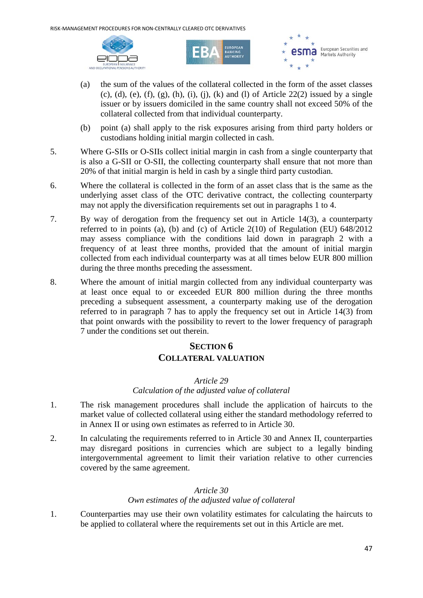





- (a) the sum of the values of the collateral collected in the form of the asset classes (c), (d), (e), (f), (g), (h), (i), (j), (k) and (l) of Article 22(2) issued by a single issuer or by issuers domiciled in the same country shall not exceed 50% of the collateral collected from that individual counterparty.
- (b) point (a) shall apply to the risk exposures arising from third party holders or custodians holding initial margin collected in cash.
- 5. Where G-SIIs or O-SIIs collect initial margin in cash from a single counterparty that is also a G-SII or O-SII, the collecting counterparty shall ensure that not more than 20% of that initial margin is held in cash by a single third party custodian.
- 6. Where the collateral is collected in the form of an asset class that is the same as the underlying asset class of the OTC derivative contract, the collecting counterparty may not apply the diversification requirements set out in paragraphs 1 to 4.
- 7. By way of derogation from the frequency set out in Article 14(3), a counterparty referred to in points (a), (b) and (c) of Article 2(10) of Regulation (EU) 648/2012 may assess compliance with the conditions laid down in paragraph 2 with a frequency of at least three months, provided that the amount of initial margin collected from each individual counterparty was at all times below EUR 800 million during the three months preceding the assessment.
- 8. Where the amount of initial margin collected from any individual counterparty was at least once equal to or exceeded EUR 800 million during the three months preceding a subsequent assessment, a counterparty making use of the derogation referred to in paragraph 7 has to apply the frequency set out in Article 14(3) from that point onwards with the possibility to revert to the lower frequency of paragraph 7 under the conditions set out therein.

## **SECTION 6 COLLATERAL VALUATION**

#### *Article 29*

#### *Calculation of the adjusted value of collateral*

- 1. The risk management procedures shall include the application of haircuts to the market value of collected collateral using either the standard methodology referred to in Annex II or using own estimates as referred to in Article 30.
- 2. In calculating the requirements referred to in Article 30 and Annex II, counterparties may disregard positions in currencies which are subject to a legally binding intergovernmental agreement to limit their variation relative to other currencies covered by the same agreement.

#### *Article 30*

#### *Own estimates of the adjusted value of collateral*

1. Counterparties may use their own volatility estimates for calculating the haircuts to be applied to collateral where the requirements set out in this Article are met.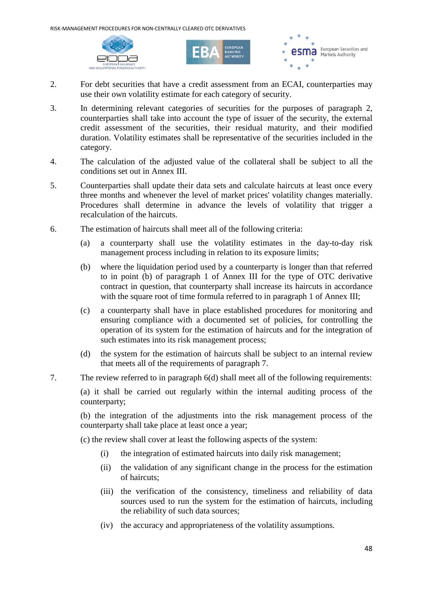





- 2. For debt securities that have a credit assessment from an ECAI, counterparties may use their own volatility estimate for each category of security.
- 3. In determining relevant categories of securities for the purposes of paragraph 2, counterparties shall take into account the type of issuer of the security, the external credit assessment of the securities, their residual maturity, and their modified duration. Volatility estimates shall be representative of the securities included in the category.
- 4. The calculation of the adjusted value of the collateral shall be subject to all the conditions set out in Annex III.
- 5. Counterparties shall update their data sets and calculate haircuts at least once every three months and whenever the level of market prices' volatility changes materially. Procedures shall determine in advance the levels of volatility that trigger a recalculation of the haircuts.
- 6. The estimation of haircuts shall meet all of the following criteria:
	- (a) a counterparty shall use the volatility estimates in the day-to-day risk management process including in relation to its exposure limits;
	- (b) where the liquidation period used by a counterparty is longer than that referred to in point (b) of paragraph 1 of Annex III for the type of OTC derivative contract in question, that counterparty shall increase its haircuts in accordance with the square root of time formula referred to in paragraph 1 of Annex III;
	- (c) a counterparty shall have in place established procedures for monitoring and ensuring compliance with a documented set of policies, for controlling the operation of its system for the estimation of haircuts and for the integration of such estimates into its risk management process;
	- (d) the system for the estimation of haircuts shall be subject to an internal review that meets all of the requirements of paragraph 7.
- 7. The review referred to in paragraph 6(d) shall meet all of the following requirements:

(a) it shall be carried out regularly within the internal auditing process of the counterparty;

(b) the integration of the adjustments into the risk management process of the counterparty shall take place at least once a year;

(c) the review shall cover at least the following aspects of the system:

- (i) the integration of estimated haircuts into daily risk management;
- (ii) the validation of any significant change in the process for the estimation of haircuts;
- (iii) the verification of the consistency, timeliness and reliability of data sources used to run the system for the estimation of haircuts, including the reliability of such data sources;
- (iv) the accuracy and appropriateness of the volatility assumptions.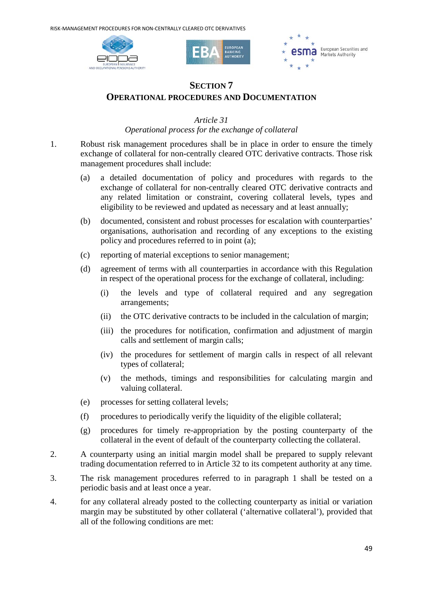





## **SECTION 7 OPERATIONAL PROCEDURES AND DOCUMENTATION**

*Article 31*

#### *Operational process for the exchange of collateral*

- 1. Robust risk management procedures shall be in place in order to ensure the timely exchange of collateral for non-centrally cleared OTC derivative contracts. Those risk management procedures shall include:
	- (a) a detailed documentation of policy and procedures with regards to the exchange of collateral for non-centrally cleared OTC derivative contracts and any related limitation or constraint, covering collateral levels, types and eligibility to be reviewed and updated as necessary and at least annually;
	- (b) documented, consistent and robust processes for escalation with counterparties' organisations, authorisation and recording of any exceptions to the existing policy and procedures referred to in point (a);
	- (c) reporting of material exceptions to senior management;
	- (d) agreement of terms with all counterparties in accordance with this Regulation in respect of the operational process for the exchange of collateral, including:
		- (i) the levels and type of collateral required and any segregation arrangements;
		- (ii) the OTC derivative contracts to be included in the calculation of margin;
		- (iii) the procedures for notification, confirmation and adjustment of margin calls and settlement of margin calls;
		- (iv) the procedures for settlement of margin calls in respect of all relevant types of collateral;
		- (v) the methods, timings and responsibilities for calculating margin and valuing collateral.
	- (e) processes for setting collateral levels;
	- (f) procedures to periodically verify the liquidity of the eligible collateral;
	- (g) procedures for timely re-appropriation by the posting counterparty of the collateral in the event of default of the counterparty collecting the collateral.
- 2. A counterparty using an initial margin model shall be prepared to supply relevant trading documentation referred to in Article 32 to its competent authority at any time.
- 3. The risk management procedures referred to in paragraph 1 shall be tested on a periodic basis and at least once a year.
- 4. for any collateral already posted to the collecting counterparty as initial or variation margin may be substituted by other collateral ('alternative collateral'), provided that all of the following conditions are met: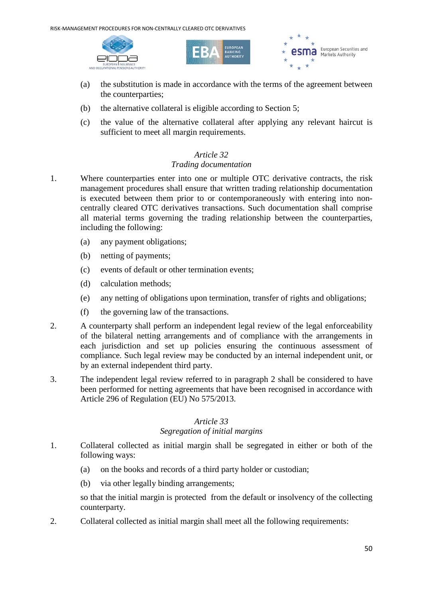





- (a) the substitution is made in accordance with the terms of the agreement between the counterparties;
- (b) the alternative collateral is eligible according to Section 5;
- (c) the value of the alternative collateral after applying any relevant haircut is sufficient to meet all margin requirements.

#### *Article 32 Trading documentation*

- 1. Where counterparties enter into one or multiple OTC derivative contracts, the risk management procedures shall ensure that written trading relationship documentation is executed between them prior to or contemporaneously with entering into noncentrally cleared OTC derivatives transactions. Such documentation shall comprise all material terms governing the trading relationship between the counterparties, including the following:
	- (a) any payment obligations;
	- (b) netting of payments;
	- (c) events of default or other termination events;
	- (d) calculation methods;
	- (e) any netting of obligations upon termination, transfer of rights and obligations;
	- (f) the governing law of the transactions.
- 2. A counterparty shall perform an independent legal review of the legal enforceability of the bilateral netting arrangements and of compliance with the arrangements in each jurisdiction and set up policies ensuring the continuous assessment of compliance. Such legal review may be conducted by an internal independent unit, or by an external independent third party.
- 3. The independent legal review referred to in paragraph 2 shall be considered to have been performed for netting agreements that have been recognised in accordance with Article 296 of Regulation (EU) No 575/2013.

#### *Article 33*

#### *Segregation of initial margins*

- 1. Collateral collected as initial margin shall be segregated in either or both of the following ways:
	- (a) on the books and records of a third party holder or custodian;
	- (b) via other legally binding arrangements;

so that the initial margin is protected from the default or insolvency of the collecting counterparty.

2. Collateral collected as initial margin shall meet all the following requirements: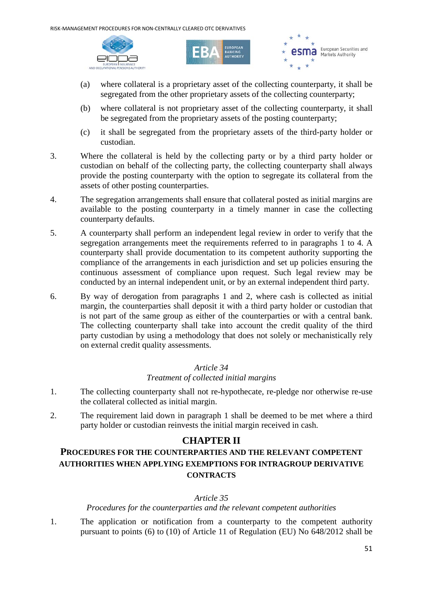





- (a) where collateral is a proprietary asset of the collecting counterparty, it shall be segregated from the other proprietary assets of the collecting counterparty;
- (b) where collateral is not proprietary asset of the collecting counterparty, it shall be segregated from the proprietary assets of the posting counterparty;
- (c) it shall be segregated from the proprietary assets of the third-party holder or custodian.
- 3. Where the collateral is held by the collecting party or by a third party holder or custodian on behalf of the collecting party, the collecting counterparty shall always provide the posting counterparty with the option to segregate its collateral from the assets of other posting counterparties.
- 4. The segregation arrangements shall ensure that collateral posted as initial margins are available to the posting counterparty in a timely manner in case the collecting counterparty defaults.
- 5. A counterparty shall perform an independent legal review in order to verify that the segregation arrangements meet the requirements referred to in paragraphs 1 to 4. A counterparty shall provide documentation to its competent authority supporting the compliance of the arrangements in each jurisdiction and set up policies ensuring the continuous assessment of compliance upon request. Such legal review may be conducted by an internal independent unit, or by an external independent third party.
- 6. By way of derogation from paragraphs 1 and 2, where cash is collected as initial margin, the counterparties shall deposit it with a third party holder or custodian that is not part of the same group as either of the counterparties or with a central bank. The collecting counterparty shall take into account the credit quality of the third party custodian by using a methodology that does not solely or mechanistically rely on external credit quality assessments.

#### *Article 34*

#### *Treatment of collected initial margins*

- 1. The collecting counterparty shall not re-hypothecate, re-pledge nor otherwise re-use the collateral collected as initial margin.
- 2. The requirement laid down in paragraph 1 shall be deemed to be met where a third party holder or custodian reinvests the initial margin received in cash.

## **CHAPTER II**

## **PROCEDURES FOR THE COUNTERPARTIES AND THE RELEVANT COMPETENT AUTHORITIES WHEN APPLYING EXEMPTIONS FOR INTRAGROUP DERIVATIVE CONTRACTS**

#### *Article 35*

#### *Procedures for the counterparties and the relevant competent authorities*

1. The application or notification from a counterparty to the competent authority pursuant to points (6) to (10) of Article 11 of Regulation (EU) No 648/2012 shall be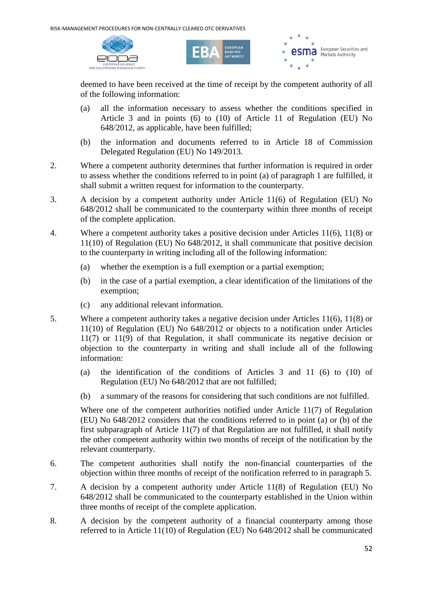





deemed to have been received at the time of receipt by the competent authority of all of the following information:

- (a) all the information necessary to assess whether the conditions specified in Article 3 and in points (6) to (10) of Article 11 of Regulation (EU) No 648/2012, as applicable, have been fulfilled;
- (b) the information and documents referred to in Article 18 of Commission Delegated Regulation (EU) No 149/2013.
- 2. Where a competent authority determines that further information is required in order to assess whether the conditions referred to in point (a) of paragraph 1 are fulfilled, it shall submit a written request for information to the counterparty.
- 3. A decision by a competent authority under Article 11(6) of Regulation (EU) No 648/2012 shall be communicated to the counterparty within three months of receipt of the complete application.
- 4. Where a competent authority takes a positive decision under Articles 11(6), 11(8) or 11(10) of Regulation (EU) No 648/2012, it shall communicate that positive decision to the counterparty in writing including all of the following information:
	- (a) whether the exemption is a full exemption or a partial exemption;
	- (b) in the case of a partial exemption, a clear identification of the limitations of the exemption;
	- (c) any additional relevant information.
- 5. Where a competent authority takes a negative decision under Articles 11(6), 11(8) or 11(10) of Regulation (EU) No 648/2012 or objects to a notification under Articles 11(7) or 11(9) of that Regulation, it shall communicate its negative decision or objection to the counterparty in writing and shall include all of the following information:
	- (a) the identification of the conditions of Articles 3 and 11 (6) to (10) of Regulation (EU) No 648/2012 that are not fulfilled;
	- (b) a summary of the reasons for considering that such conditions are not fulfilled.

Where one of the competent authorities notified under Article 11(7) of Regulation (EU) No 648/2012 considers that the conditions referred to in point (a) or (b) of the first subparagraph of Article 11(7) of that Regulation are not fulfilled, it shall notify the other competent authority within two months of receipt of the notification by the relevant counterparty.

- 6. The competent authorities shall notify the non-financial counterparties of the objection within three months of receipt of the notification referred to in paragraph 5.
- 7. A decision by a competent authority under Article 11(8) of Regulation (EU) No 648/2012 shall be communicated to the counterparty established in the Union within three months of receipt of the complete application.
- 8. A decision by the competent authority of a financial counterparty among those referred to in Article 11(10) of Regulation (EU) No 648/2012 shall be communicated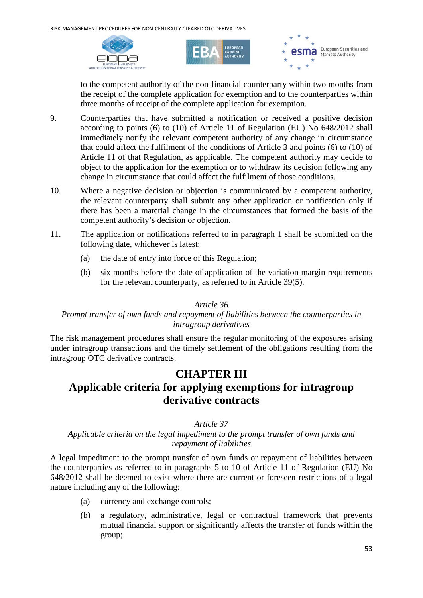





to the competent authority of the non-financial counterparty within two months from the receipt of the complete application for exemption and to the counterparties within three months of receipt of the complete application for exemption.

- 9. Counterparties that have submitted a notification or received a positive decision according to points (6) to (10) of Article 11 of Regulation (EU) No 648/2012 shall immediately notify the relevant competent authority of any change in circumstance that could affect the fulfilment of the conditions of Article 3 and points (6) to (10) of Article 11 of that Regulation, as applicable. The competent authority may decide to object to the application for the exemption or to withdraw its decision following any change in circumstance that could affect the fulfilment of those conditions.
- 10. Where a negative decision or objection is communicated by a competent authority, the relevant counterparty shall submit any other application or notification only if there has been a material change in the circumstances that formed the basis of the competent authority's decision or objection.
- 11. The application or notifications referred to in paragraph 1 shall be submitted on the following date, whichever is latest:
	- (a) the date of entry into force of this Regulation;
	- (b) six months before the date of application of the variation margin requirements for the relevant counterparty, as referred to in Article 39(5).

#### *Article 36*

#### *Prompt transfer of own funds and repayment of liabilities between the counterparties in intragroup derivatives*

The risk management procedures shall ensure the regular monitoring of the exposures arising under intragroup transactions and the timely settlement of the obligations resulting from the intragroup OTC derivative contracts.

## **CHAPTER III**

# **Applicable criteria for applying exemptions for intragroup derivative contracts**

#### *Article 37*

#### *Applicable criteria on the legal impediment to the prompt transfer of own funds and repayment of liabilities*

A legal impediment to the prompt transfer of own funds or repayment of liabilities between the counterparties as referred to in paragraphs 5 to 10 of Article 11 of Regulation (EU) No 648/2012 shall be deemed to exist where there are current or foreseen restrictions of a legal nature including any of the following:

- (a) currency and exchange controls;
- (b) a regulatory, administrative, legal or contractual framework that prevents mutual financial support or significantly affects the transfer of funds within the group;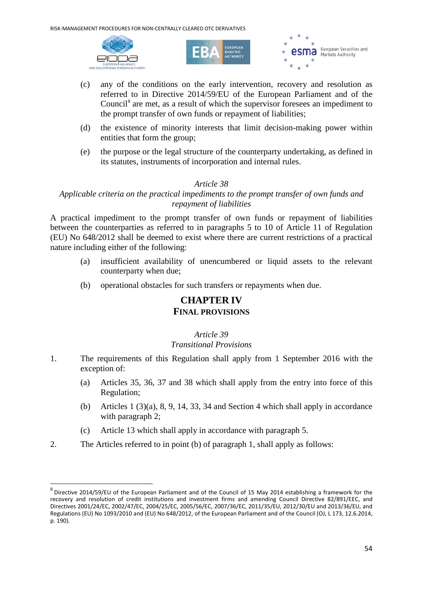





- (c) any of the conditions on the early intervention, recovery and resolution as referred to in Directive 2014/59/EU of the European Parliament and of the Council[8](#page-53-0) are met, as a result of which the supervisor foresees an impediment to the prompt transfer of own funds or repayment of liabilities;
- (d) the existence of minority interests that limit decision-making power within entities that form the group;
- (e) the purpose or the legal structure of the counterparty undertaking, as defined in its statutes, instruments of incorporation and internal rules.

#### *Article 38*

#### *Applicable criteria on the practical impediments to the prompt transfer of own funds and repayment of liabilities*

A practical impediment to the prompt transfer of own funds or repayment of liabilities between the counterparties as referred to in paragraphs 5 to 10 of Article 11 of Regulation (EU) No 648/2012 shall be deemed to exist where there are current restrictions of a practical nature including either of the following:

- (a) insufficient availability of unencumbered or liquid assets to the relevant counterparty when due;
- (b) operational obstacles for such transfers or repayments when due.

## **CHAPTER IV FINAL PROVISIONS**

#### *Article 39 Transitional Provisions*

- 1. The requirements of this Regulation shall apply from 1 September 2016 with the exception of:
	- (a) Articles 35, 36, 37 and 38 which shall apply from the entry into force of this Regulation;
	- (b) Articles  $1(3)(a)$ ,  $8, 9, 14, 33, 34$  and Section 4 which shall apply in accordance with paragraph 2;
	- (c) Article 13 which shall apply in accordance with paragraph 5.
- 2. The Articles referred to in point (b) of paragraph 1, shall apply as follows:

 $\overline{a}$ 

<span id="page-53-0"></span> $8$  Directive 2014/59/EU of the European Parliament and of the Council of 15 May 2014 establishing a framework for the recovery and resolution of credit institutions and investment firms and amending Council Directive 82/891/EEC, and Directives 2001/24/EC, 2002/47/EC, 2004/25/EC, 2005/56/EC, 2007/36/EC, 2011/35/EU, 2012/30/EU and 2013/36/EU, and Regulations (EU) No 1093/2010 and (EU) No 648/2012, of the European Parliament and of the Council (OJ, L 173, 12.6.2014, p. 190).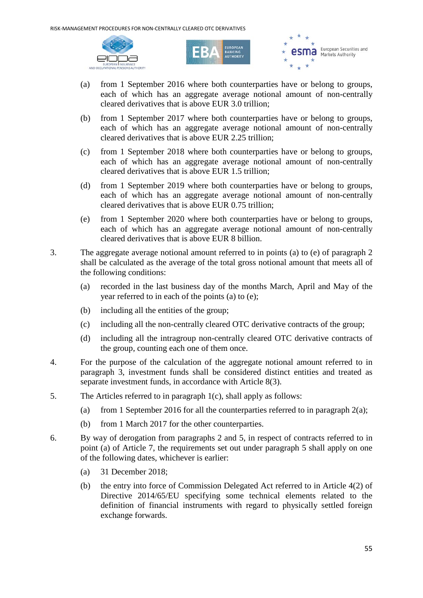





- (a) from 1 September 2016 where both counterparties have or belong to groups, each of which has an aggregate average notional amount of non-centrally cleared derivatives that is above EUR 3.0 trillion;
- (b) from 1 September 2017 where both counterparties have or belong to groups, each of which has an aggregate average notional amount of non-centrally cleared derivatives that is above EUR 2.25 trillion;
- (c) from 1 September 2018 where both counterparties have or belong to groups, each of which has an aggregate average notional amount of non-centrally cleared derivatives that is above EUR 1.5 trillion;
- (d) from 1 September 2019 where both counterparties have or belong to groups, each of which has an aggregate average notional amount of non-centrally cleared derivatives that is above EUR 0.75 trillion;
- (e) from 1 September 2020 where both counterparties have or belong to groups, each of which has an aggregate average notional amount of non-centrally cleared derivatives that is above EUR 8 billion.
- 3. The aggregate average notional amount referred to in points (a) to (e) of paragraph 2 shall be calculated as the average of the total gross notional amount that meets all of the following conditions:
	- (a) recorded in the last business day of the months March, April and May of the year referred to in each of the points (a) to (e);
	- (b) including all the entities of the group;
	- (c) including all the non-centrally cleared OTC derivative contracts of the group;
	- (d) including all the intragroup non-centrally cleared OTC derivative contracts of the group, counting each one of them once.
- 4. For the purpose of the calculation of the aggregate notional amount referred to in paragraph 3, investment funds shall be considered distinct entities and treated as separate investment funds, in accordance with Article 8(3).
- 5. The Articles referred to in paragraph 1(c), shall apply as follows:
	- (a) from 1 September 2016 for all the counterparties referred to in paragraph  $2(a)$ ;
	- (b) from 1 March 2017 for the other counterparties.
- 6. By way of derogation from paragraphs 2 and 5, in respect of contracts referred to in point (a) of Article 7, the requirements set out under paragraph 5 shall apply on one of the following dates, whichever is earlier:
	- (a) 31 December 2018;
	- (b) the entry into force of Commission Delegated Act referred to in Article 4(2) of Directive 2014/65/EU specifying some technical elements related to the definition of financial instruments with regard to physically settled foreign exchange forwards.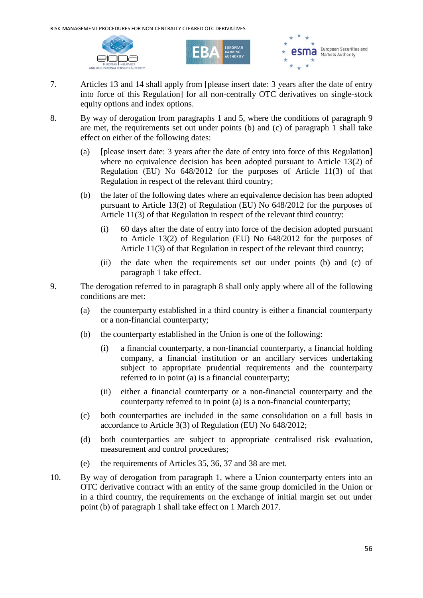





- 7. Articles 13 and 14 shall apply from [please insert date: 3 years after the date of entry into force of this Regulation] for all non-centrally OTC derivatives on single-stock equity options and index options.
- 8. By way of derogation from paragraphs 1 and 5, where the conditions of paragraph 9 are met, the requirements set out under points (b) and (c) of paragraph 1 shall take effect on either of the following dates:
	- (a) [please insert date: 3 years after the date of entry into force of this Regulation] where no equivalence decision has been adopted pursuant to Article 13(2) of Regulation (EU) No 648/2012 for the purposes of Article 11(3) of that Regulation in respect of the relevant third country;
	- (b) the later of the following dates where an equivalence decision has been adopted pursuant to Article 13(2) of Regulation (EU) No 648/2012 for the purposes of Article 11(3) of that Regulation in respect of the relevant third country:
		- (i) 60 days after the date of entry into force of the decision adopted pursuant to Article 13(2) of Regulation (EU) No 648/2012 for the purposes of Article 11(3) of that Regulation in respect of the relevant third country;
		- (ii) the date when the requirements set out under points (b) and (c) of paragraph 1 take effect.
- 9. The derogation referred to in paragraph 8 shall only apply where all of the following conditions are met:
	- (a) the counterparty established in a third country is either a financial counterparty or a non-financial counterparty;
	- (b) the counterparty established in the Union is one of the following:
		- (i) a financial counterparty, a non-financial counterparty, a financial holding company, a financial institution or an ancillary services undertaking subject to appropriate prudential requirements and the counterparty referred to in point (a) is a financial counterparty;
		- (ii) either a financial counterparty or a non-financial counterparty and the counterparty referred to in point (a) is a non-financial counterparty;
	- (c) both counterparties are included in the same consolidation on a full basis in accordance to Article 3(3) of Regulation (EU) No 648/2012;
	- (d) both counterparties are subject to appropriate centralised risk evaluation, measurement and control procedures;
	- (e) the requirements of Articles 35, 36, 37 and 38 are met.
- 10. By way of derogation from paragraph 1, where a Union counterparty enters into an OTC derivative contract with an entity of the same group domiciled in the Union or in a third country, the requirements on the exchange of initial margin set out under point (b) of paragraph 1 shall take effect on 1 March 2017.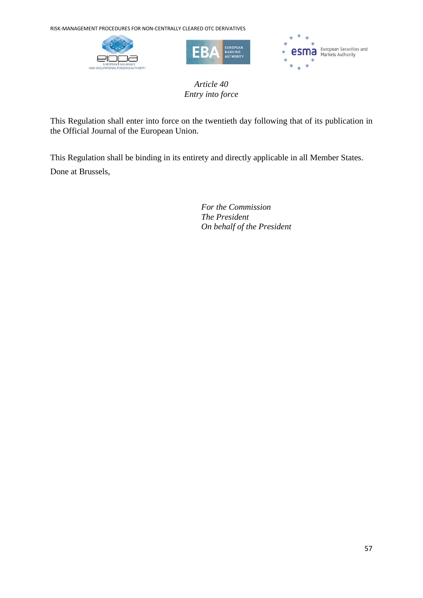





*Article 40 Entry into force*

This Regulation shall enter into force on the twentieth day following that of its publication in the Official Journal of the European Union.

This Regulation shall be binding in its entirety and directly applicable in all Member States. Done at Brussels,

> *For the Commission The President On behalf of the President*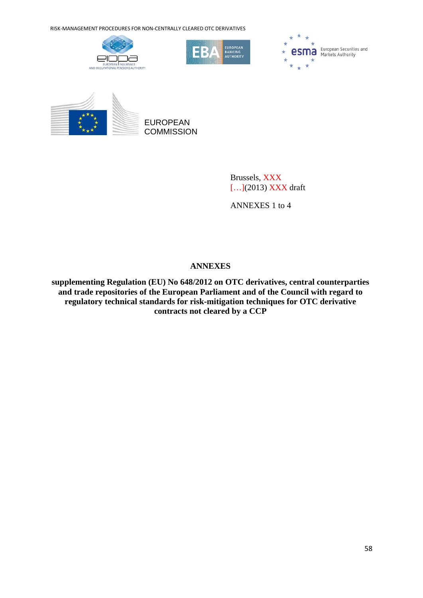





esma European Securities and



Brussels, XXX [...](2013) XXX draft

ANNEXES 1 to 4

## **ANNEXES**

**supplementing Regulation (EU) No 648/2012 on OTC derivatives, central counterparties and trade repositories of the European Parliament and of the Council with regard to regulatory technical standards for risk-mitigation techniques for OTC derivative contracts not cleared by a CCP**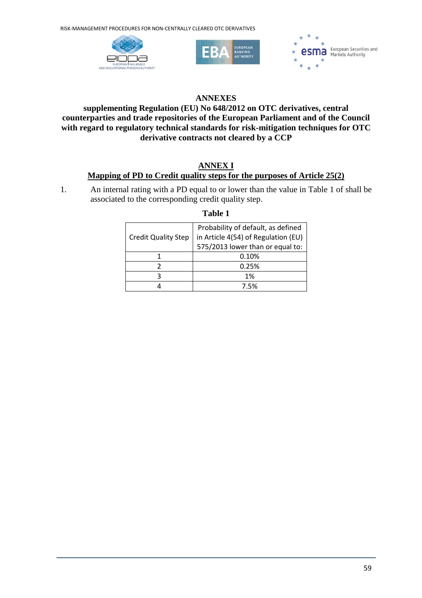





#### **ANNEXES**

## **supplementing Regulation (EU) No 648/2012 on OTC derivatives, central counterparties and trade repositories of the European Parliament and of the Council with regard to regulatory technical standards for risk-mitigation techniques for OTC derivative contracts not cleared by a CCP**

#### **ANNEX I Mapping of PD to Credit quality steps for the purposes of Article 25(2)**

1. An internal rating with a PD equal to or lower than the value in Table 1 of shall be associated to the corresponding credit quality step.

|                            | Probability of default, as defined  |
|----------------------------|-------------------------------------|
| <b>Credit Quality Step</b> | in Article 4(54) of Regulation (EU) |
|                            | 575/2013 lower than or equal to:    |
|                            | 0.10%                               |
|                            | 0.25%                               |
|                            | 1%                                  |
|                            | 75%                                 |

#### **Table 1**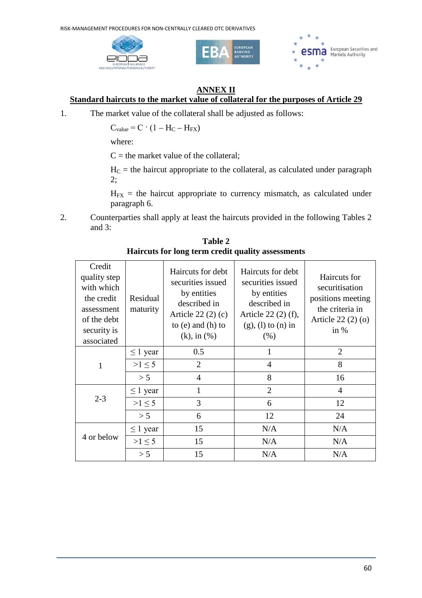





## **ANNEX II**

## **Standard haircuts to the market value of collateral for the purposes of Article 29**

1. The market value of the collateral shall be adjusted as follows:

 $C_{value} = C \cdot (1 - H_C - H_{FX})$ 

where:

 $C =$  the market value of the collateral;

 $H_C$  = the haircut appropriate to the collateral, as calculated under paragraph 2;

 $H_{FX}$  = the haircut appropriate to currency mismatch, as calculated under paragraph 6.

2. Counterparties shall apply at least the haircuts provided in the following Tables 2 and 3:

| <b>Half Cuts for folly term credit quality assessments</b>                                                   |                      |                                                                                                                                           |                                                                                                                               |                                                                                                        |  |  |
|--------------------------------------------------------------------------------------------------------------|----------------------|-------------------------------------------------------------------------------------------------------------------------------------------|-------------------------------------------------------------------------------------------------------------------------------|--------------------------------------------------------------------------------------------------------|--|--|
| Credit<br>quality step<br>with which<br>the credit<br>assessment<br>of the debt<br>security is<br>associated | Residual<br>maturity | Haircuts for debt<br>securities issued<br>by entities<br>described in<br>Article $22(2)(c)$<br>to $(e)$ and $(h)$ to<br>$(k)$ , in $(\%)$ | Haircuts for debt<br>securities issued<br>by entities<br>described in<br>Article 22 (2) (f),<br>$(g)$ , (l) to (n) in<br>(% ) | Haircuts for<br>securitisation<br>positions meeting<br>the criteria in<br>Article $22(2)(0)$<br>in $%$ |  |  |
|                                                                                                              | $\leq 1$ year        | 0.5                                                                                                                                       | $\mathbf{1}$                                                                                                                  | $\overline{2}$                                                                                         |  |  |
| 1                                                                                                            | $>1 \leq 5$          | 2                                                                                                                                         | $\overline{4}$                                                                                                                | 8                                                                                                      |  |  |
|                                                                                                              | > 5                  | 4                                                                                                                                         | 8                                                                                                                             | 16                                                                                                     |  |  |
|                                                                                                              | $\leq 1$ year        | $\mathbf{1}$                                                                                                                              | $\overline{2}$                                                                                                                | $\overline{4}$                                                                                         |  |  |
| $2 - 3$                                                                                                      | $>1 \leq 5$          | 3                                                                                                                                         | 6                                                                                                                             | 12                                                                                                     |  |  |
|                                                                                                              | > 5                  | 6                                                                                                                                         | 12                                                                                                                            | 24                                                                                                     |  |  |
| 4 or below                                                                                                   | $\leq 1$ year        | 15                                                                                                                                        | N/A                                                                                                                           | N/A                                                                                                    |  |  |
|                                                                                                              | $>1 \leq 5$          | 15                                                                                                                                        | N/A                                                                                                                           | N/A                                                                                                    |  |  |
|                                                                                                              | > 5                  | 15                                                                                                                                        | N/A                                                                                                                           | N/A                                                                                                    |  |  |

**Table 2 Haircuts for long term credit quality assessments**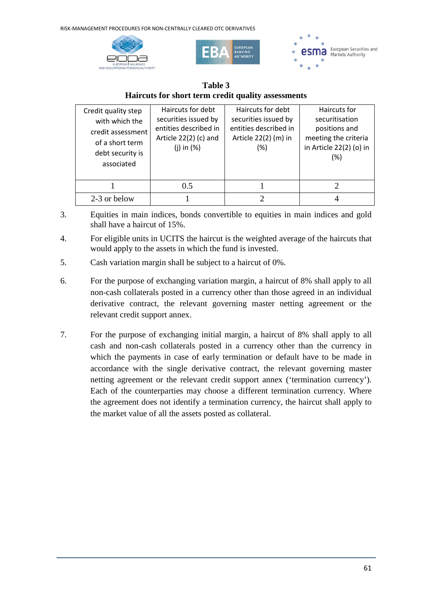





**Table 3 Haircuts for short term credit quality assessments**

| Credit quality step                               | Haircuts for debt                       | Haircuts for debt              | Haircuts for                                              |
|---------------------------------------------------|-----------------------------------------|--------------------------------|-----------------------------------------------------------|
| with which the                                    | securities issued by                    | securities issued by           | securitisation                                            |
| credit assessment                                 | entities described in                   | entities described in          | positions and                                             |
| of a short term<br>debt security is<br>associated | Article $22(2)$ (c) and<br>(i) in $(%)$ | Article 22(2) (m) in<br>$(\%)$ | meeting the criteria<br>in Article 22(2) (o) in<br>$(\%)$ |
|                                                   | 0.5                                     |                                |                                                           |
| 2-3 or below                                      |                                         |                                |                                                           |

- 3. Equities in main indices, bonds convertible to equities in main indices and gold shall have a haircut of 15%.
- 4. For eligible units in UCITS the haircut is the weighted average of the haircuts that would apply to the assets in which the fund is invested.
- 5. Cash variation margin shall be subject to a haircut of 0%.
- 6. For the purpose of exchanging variation margin, a haircut of 8% shall apply to all non-cash collaterals posted in a currency other than those agreed in an individual derivative contract, the relevant governing master netting agreement or the relevant credit support annex.
- 7. For the purpose of exchanging initial margin, a haircut of 8% shall apply to all cash and non-cash collaterals posted in a currency other than the currency in which the payments in case of early termination or default have to be made in accordance with the single derivative contract, the relevant governing master netting agreement or the relevant credit support annex ('termination currency'). Each of the counterparties may choose a different termination currency. Where the agreement does not identify a termination currency, the haircut shall apply to the market value of all the assets posted as collateral.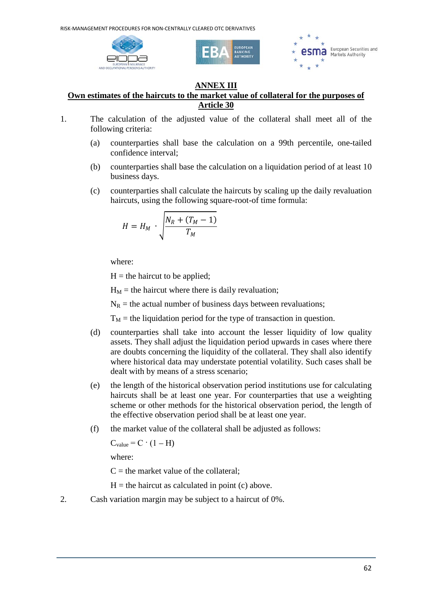





#### **ANNEX III Own estimates of the haircuts to the market value of collateral for the purposes of Article 30**

- 1. The calculation of the adjusted value of the collateral shall meet all of the following criteria:
	- (a) counterparties shall base the calculation on a 99th percentile, one-tailed confidence interval;
	- (b) counterparties shall base the calculation on a liquidation period of at least 10 business days.
	- (c) counterparties shall calculate the haircuts by scaling up the daily revaluation haircuts, using the following square-root-of time formula:

$$
H = H_M \cdot \sqrt{\frac{N_R + (T_M - 1)}{T_M}}
$$

where:

 $H =$  the haircut to be applied;

 $H_M$  = the haircut where there is daily revaluation;

 $N_R$  = the actual number of business days between revaluations;

 $T_M$  = the liquidation period for the type of transaction in question.

- (d) counterparties shall take into account the lesser liquidity of low quality assets. They shall adjust the liquidation period upwards in cases where there are doubts concerning the liquidity of the collateral. They shall also identify where historical data may understate potential volatility. Such cases shall be dealt with by means of a stress scenario;
- (e) the length of the historical observation period institutions use for calculating haircuts shall be at least one year. For counterparties that use a weighting scheme or other methods for the historical observation period, the length of the effective observation period shall be at least one year.
- (f) the market value of the collateral shall be adjusted as follows:

 $C_{value} = C \cdot (1 - H)$ 

where:

 $C =$  the market value of the collateral;

 $H =$  the haircut as calculated in point (c) above.

2. Cash variation margin may be subject to a haircut of 0%.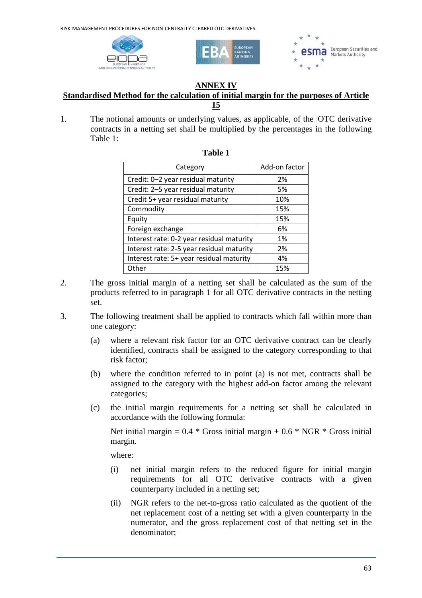





#### **ANNEX IV Standardised Method for the calculation of initial margin for the purposes of Article 15**

1. The notional amounts or underlying values, as applicable, of the |OTC derivative contracts in a netting set shall be multiplied by the percentages in the following Table 1:

| Category                                  | Add-on factor |
|-------------------------------------------|---------------|
| Credit: 0-2 year residual maturity        | 2%            |
| Credit: 2-5 year residual maturity        | 5%            |
| Credit 5+ year residual maturity          | 10%           |
| Commodity                                 | 15%           |
| Equity                                    | 15%           |
| Foreign exchange                          | 6%            |
| Interest rate: 0-2 year residual maturity | 1%            |
| Interest rate: 2-5 year residual maturity | 2%            |
| Interest rate: 5+ year residual maturity  | 4%            |
| Other                                     | 15%           |

| ını<br>h<br>я |  |
|---------------|--|
|---------------|--|

- 2. The gross initial margin of a netting set shall be calculated as the sum of the products referred to in paragraph 1 for all OTC derivative contracts in the netting set.
- 3. The following treatment shall be applied to contracts which fall within more than one category:
	- (a) where a relevant risk factor for an OTC derivative contract can be clearly identified, contracts shall be assigned to the category corresponding to that risk factor;
	- (b) where the condition referred to in point (a) is not met, contracts shall be assigned to the category with the highest add-on factor among the relevant categories;
	- (c) the initial margin requirements for a netting set shall be calculated in accordance with the following formula:

Net initial margin =  $0.4 *$  Gross initial margin +  $0.6 *$  NGR  $*$  Gross initial margin.

where:

- (i) net initial margin refers to the reduced figure for initial margin requirements for all OTC derivative contracts with a given counterparty included in a netting set;
- (ii) NGR refers to the net-to-gross ratio calculated as the quotient of the net replacement cost of a netting set with a given counterparty in the numerator, and the gross replacement cost of that netting set in the denominator;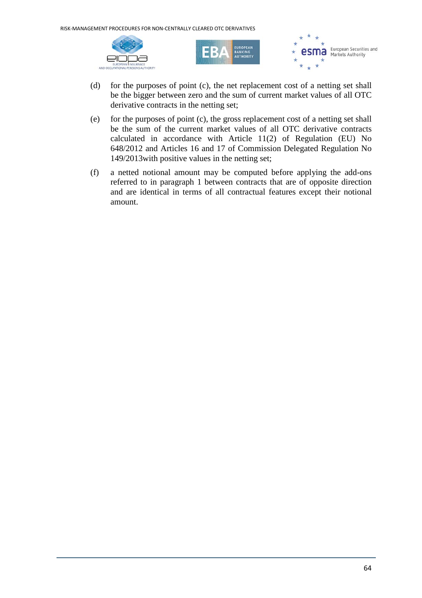





- (d) for the purposes of point (c), the net replacement cost of a netting set shall be the bigger between zero and the sum of current market values of all OTC derivative contracts in the netting set;
- (e) for the purposes of point (c), the gross replacement cost of a netting set shall be the sum of the current market values of all OTC derivative contracts calculated in accordance with Article 11(2) of Regulation (EU) No 648/2012 and Articles 16 and 17 of Commission Delegated Regulation No 149/2013with positive values in the netting set;
- (f) a netted notional amount may be computed before applying the add-ons referred to in paragraph 1 between contracts that are of opposite direction and are identical in terms of all contractual features except their notional amount.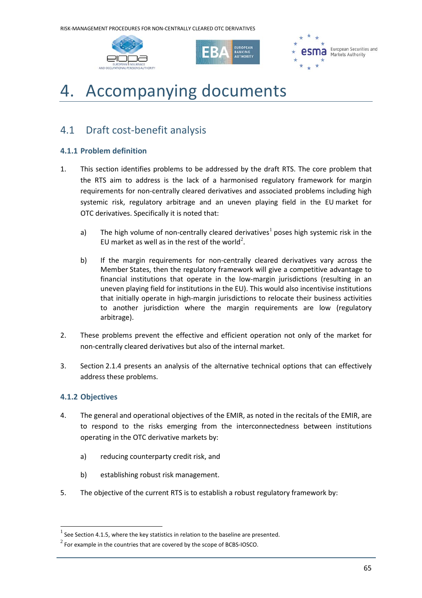





# 4. Accompanying documents

## 4.1 Draft cost-benefit analysis

## **4.1.1 Problem definition**

- 1. This section identifies problems to be addressed by the draft RTS. The core problem that the RTS aim to address is the lack of a harmonised regulatory framework for margin requirements for non-centrally cleared derivatives and associated problems including high systemic risk, regulatory arbitrage and an uneven playing field in the EU market for OTC derivatives. Specifically it is noted that:
	- a) The high volume of non-centrally cleared derivatives<sup>[1](#page-64-0)</sup> poses high systemic risk in the EU market as well as in the rest of the world<sup>[2](#page-64-1)</sup>.
	- b) If the margin requirements for non-centrally cleared derivatives vary across the Member States, then the regulatory framework will give a competitive advantage to financial institutions that operate in the low-margin jurisdictions (resulting in an uneven playing field for institutions in the EU). This would also incentivise institutions that initially operate in high-margin jurisdictions to relocate their business activities to another jurisdiction where the margin requirements are low (regulatory arbitrage).
- 2. These problems prevent the effective and efficient operation not only of the market for non-centrally cleared derivatives but also of the internal market.
- 3. Section [2.1.4](#page-66-0) presents an analysis of the alternative technical options that can effectively address these problems.

#### **4.1.2 Objectives**

 $\overline{a}$ 

- 4. The general and operational objectives of the EMIR, as noted in the recitals of the EMIR, are to respond to the risks emerging from the interconnectedness between institutions operating in the OTC derivative markets by:
	- a) reducing counterparty credit risk, and
	- b) establishing robust risk management.
- 5. The objective of the current RTS is to establish a robust regulatory framework by:

<span id="page-64-0"></span> $<sup>1</sup>$  See Sectio[n 4.1.5,](#page-85-0) where the key statistics in relation to the baseline are presented.</sup>

<span id="page-64-1"></span> $^2$  For example in the countries that are covered by the scope of BCBS-IOSCO.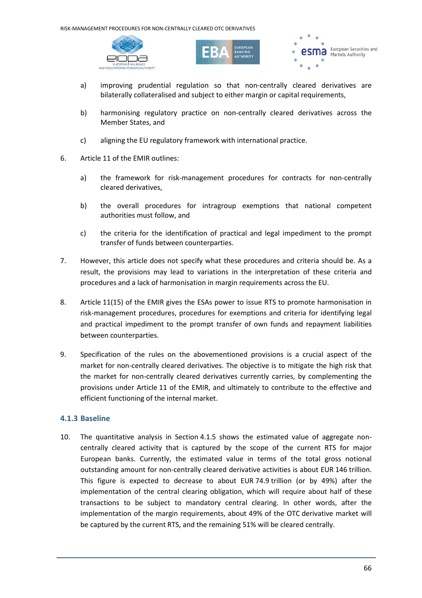





- a) improving prudential regulation so that non-centrally cleared derivatives are bilaterally collateralised and subject to either margin or capital requirements,
- b) harmonising regulatory practice on non-centrally cleared derivatives across the Member States, and
- c) aligning the EU regulatory framework with international practice.
- 6. Article 11 of the EMIR outlines:
	- a) the framework for risk-management procedures for contracts for non-centrally cleared derivatives,
	- b) the overall procedures for intragroup exemptions that national competent authorities must follow, and
	- c) the criteria for the identification of practical and legal impediment to the prompt transfer of funds between counterparties.
- 7. However, this article does not specify what these procedures and criteria should be. As a result, the provisions may lead to variations in the interpretation of these criteria and procedures and a lack of harmonisation in margin requirements across the EU.
- 8. Article 11(15) of the EMIR gives the ESAs power to issue RTS to promote harmonisation in risk-management procedures, procedures for exemptions and criteria for identifying legal and practical impediment to the prompt transfer of own funds and repayment liabilities between counterparties.
- 9. Specification of the rules on the abovementioned provisions is a crucial aspect of the market for non-centrally cleared derivatives. The objective is to mitigate the high risk that the market for non-centrally cleared derivatives currently carries, by complementing the provisions under Article 11 of the EMIR, and ultimately to contribute to the effective and efficient functioning of the internal market.

#### **4.1.3 Baseline**

10. The quantitative analysis in Section 4.1.5 shows the estimated value of aggregate noncentrally cleared activity that is captured by the scope of the current RTS for major European banks. Currently, the estimated value in terms of the total gross notional outstanding amount for non-centrally cleared derivative activities is about EUR 146 trillion. This figure is expected to decrease to about EUR 74.9 trillion (or by 49%) after the implementation of the central clearing obligation, which will require about half of these transactions to be subject to mandatory central clearing. In other words, after the implementation of the margin requirements, about 49% of the OTC derivative market will be captured by the current RTS, and the remaining 51% will be cleared centrally.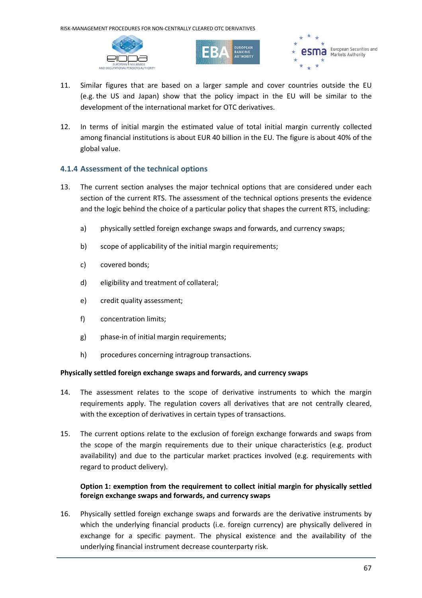





- 11. Similar figures that are based on a larger sample and cover countries outside the EU (e.g. the US and Japan) show that the policy impact in the EU will be similar to the development of the international market for OTC derivatives.
- 12. In terms of initial margin the estimated value of total initial margin currently collected among financial institutions is about EUR 40 billion in the EU. The figure is about 40% of the global value.

#### <span id="page-66-0"></span>**4.1.4 Assessment of the technical options**

- 13. The current section analyses the major technical options that are considered under each section of the current RTS. The assessment of the technical options presents the evidence and the logic behind the choice of a particular policy that shapes the current RTS, including:
	- a) physically settled foreign exchange swaps and forwards, and currency swaps;
	- b) scope of applicability of the initial margin requirements;
	- c) covered bonds;
	- d) eligibility and treatment of collateral;
	- e) credit quality assessment;
	- f) concentration limits;
	- g) phase-in of initial margin requirements;
	- h) procedures concerning intragroup transactions.

#### **Physically settled foreign exchange swaps and forwards, and currency swaps**

- 14. The assessment relates to the scope of derivative instruments to which the margin requirements apply. The regulation covers all derivatives that are not centrally cleared, with the exception of derivatives in certain types of transactions.
- 15. The current options relate to the exclusion of foreign exchange forwards and swaps from the scope of the margin requirements due to their unique characteristics (e.g. product availability) and due to the particular market practices involved (e.g. requirements with regard to product delivery).

#### **Option 1: exemption from the requirement to collect initial margin for physically settled foreign exchange swaps and forwards, and currency swaps**

16. Physically settled foreign exchange swaps and forwards are the derivative instruments by which the underlying financial products (i.e. foreign currency) are physically delivered in exchange for a specific payment. The physical existence and the availability of the underlying financial instrument decrease counterparty risk.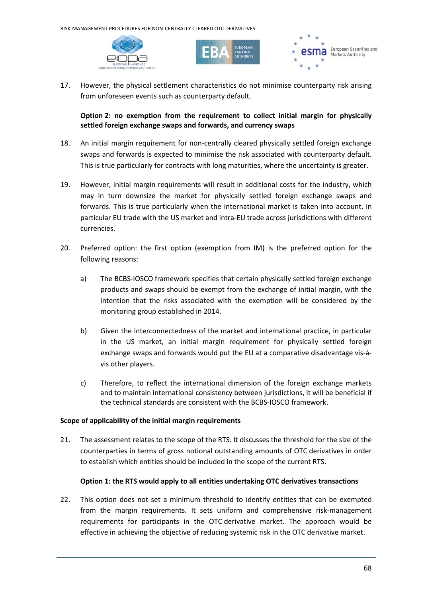





17. However, the physical settlement characteristics do not minimise counterparty risk arising from unforeseen events such as counterparty default.

**Option 2: no exemption from the requirement to collect initial margin for physically settled foreign exchange swaps and forwards, and currency swaps**

- 18. An initial margin requirement for non-centrally cleared physically settled foreign exchange swaps and forwards is expected to minimise the risk associated with counterparty default. This is true particularly for contracts with long maturities, where the uncertainty is greater.
- 19. However, initial margin requirements will result in additional costs for the industry, which may in turn downsize the market for physically settled foreign exchange swaps and forwards. This is true particularly when the international market is taken into account, in particular EU trade with the US market and intra-EU trade across jurisdictions with different currencies.
- 20. Preferred option: the first option (exemption from IM) is the preferred option for the following reasons:
	- a) The BCBS-IOSCO framework specifies that certain physically settled foreign exchange products and swaps should be exempt from the exchange of initial margin, with the intention that the risks associated with the exemption will be considered by the monitoring group established in 2014.
	- b) Given the interconnectedness of the market and international practice, in particular in the US market, an initial margin requirement for physically settled foreign exchange swaps and forwards would put the EU at a comparative disadvantage vis-àvis other players.
	- c) Therefore, to reflect the international dimension of the foreign exchange markets and to maintain international consistency between jurisdictions, it will be beneficial if the technical standards are consistent with the BCBS-IOSCO framework.

#### **Scope of applicability of the initial margin requirements**

21. The assessment relates to the scope of the RTS. It discusses the threshold for the size of the counterparties in terms of gross notional outstanding amounts of OTC derivatives in order to establish which entities should be included in the scope of the current RTS.

#### **Option 1: the RTS would apply to all entities undertaking OTC derivatives transactions**

22. This option does not set a minimum threshold to identify entities that can be exempted from the margin requirements. It sets uniform and comprehensive risk-management requirements for participants in the OTC derivative market. The approach would be effective in achieving the objective of reducing systemic risk in the OTC derivative market.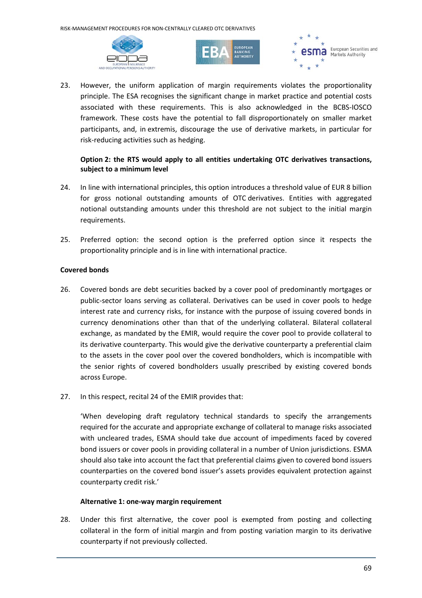





23. However, the uniform application of margin requirements violates the proportionality principle. The ESA recognises the significant change in market practice and potential costs associated with these requirements. This is also acknowledged in the BCBS-IOSCO framework. These costs have the potential to fall disproportionately on smaller market participants, and, in extremis, discourage the use of derivative markets, in particular for risk-reducing activities such as hedging.

#### **Option 2: the RTS would apply to all entities undertaking OTC derivatives transactions, subject to a minimum level**

- 24. In line with international principles, this option introduces a threshold value of EUR 8 billion for gross notional outstanding amounts of OTC derivatives. Entities with aggregated notional outstanding amounts under this threshold are not subject to the initial margin requirements.
- 25. Preferred option: the second option is the preferred option since it respects the proportionality principle and is in line with international practice.

#### **Covered bonds**

- 26. Covered bonds are debt securities backed by a cover pool of predominantly mortgages or public-sector loans serving as collateral. Derivatives can be used in cover pools to hedge interest rate and currency risks, for instance with the purpose of issuing covered bonds in currency denominations other than that of the underlying collateral. Bilateral collateral exchange, as mandated by the EMIR, would require the cover pool to provide collateral to its derivative counterparty. This would give the derivative counterparty a preferential claim to the assets in the cover pool over the covered bondholders, which is incompatible with the senior rights of covered bondholders usually prescribed by existing covered bonds across Europe.
- 27. In this respect, recital 24 of the EMIR provides that:

'When developing draft regulatory technical standards to specify the arrangements required for the accurate and appropriate exchange of collateral to manage risks associated with uncleared trades, ESMA should take due account of impediments faced by covered bond issuers or cover pools in providing collateral in a number of Union jurisdictions. ESMA should also take into account the fact that preferential claims given to covered bond issuers counterparties on the covered bond issuer's assets provides equivalent protection against counterparty credit risk.'

#### **Alternative 1: one-way margin requirement**

28. Under this first alternative, the cover pool is exempted from posting and collecting collateral in the form of initial margin and from posting variation margin to its derivative counterparty if not previously collected.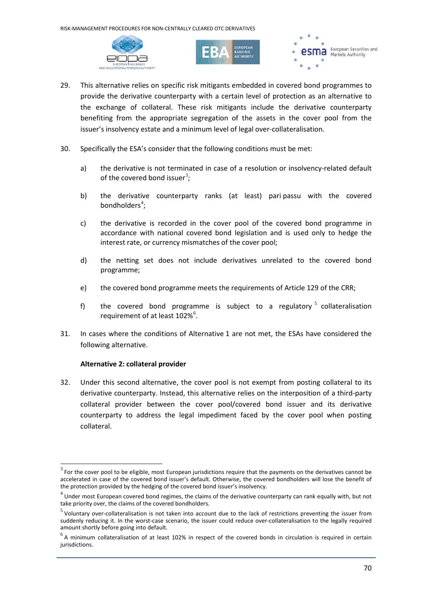





- 29. This alternative relies on specific risk mitigants embedded in covered bond programmes to provide the derivative counterparty with a certain level of protection as an alternative to the exchange of collateral. These risk mitigants include the derivative counterparty benefiting from the appropriate segregation of the assets in the cover pool from the issuer's insolvency estate and a minimum level of legal over-collateralisation.
- 30. Specifically the ESA's consider that the following conditions must be met:
	- a) the derivative is not terminated in case of a resolution or insolvency-related default of the covered bond issuer<sup>[3](#page-69-0)</sup>;
	- b) the derivative counterparty ranks (at least) pari passu with the covered bondholders $4$ ;
	- c) the derivative is recorded in the cover pool of the covered bond programme in accordance with national covered bond legislation and is used only to hedge the interest rate, or currency mismatches of the cover pool;
	- d) the netting set does not include derivatives unrelated to the covered bond programme;
	- e) the covered bond programme meets the requirements of Article 129 of the CRR;
	- f) the covered bond programme is subject to a regulatory  $5$  collateralisation requirement of at least  $102\%$ <sup>[6](#page-69-3)</sup>.
- 31. In cases where the conditions of Alternative 1 are not met, the ESAs have considered the following alternative.

#### **Alternative 2: collateral provider**

 $\overline{a}$ 

32. Under this second alternative, the cover pool is not exempt from posting collateral to its derivative counterparty. Instead, this alternative relies on the interposition of a third-party collateral provider between the cover pool/covered bond issuer and its derivative counterparty to address the legal impediment faced by the cover pool when posting collateral.

<span id="page-69-0"></span> $3$  For the cover pool to be eligible, most European jurisdictions require that the payments on the derivatives cannot be accelerated in case of the covered bond issuer's default. Otherwise, the covered bondholders will lose the benefit of the protection provided by the hedging of the covered bond issuer's insolvency.

<span id="page-69-1"></span> $^4$  Under most European covered bond regimes, the claims of the derivative counterparty can rank equally with, but not take priority over, the claims of the covered bondholders.

<span id="page-69-2"></span> $<sup>5</sup>$  Voluntary over-collateralisation is not taken into account due to the lack of restrictions preventing the issuer from</sup> suddenly reducing it. In the worst-case scenario, the issuer could reduce over-collateralisation to the legally required amount shortly before going into default.

<span id="page-69-3"></span> $<sup>6</sup>$ A minimum collateralisation of at least 102% in respect of the covered bonds in circulation is required in certain</sup> jurisdictions.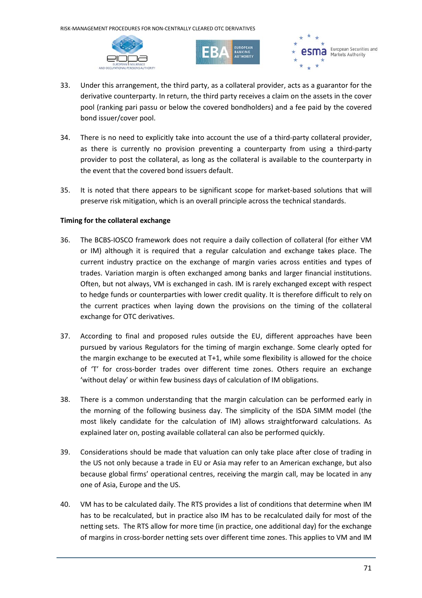





- 33. Under this arrangement, the third party, as a collateral provider, acts as a guarantor for the derivative counterparty. In return, the third party receives a claim on the assets in the cover pool (ranking pari passu or below the covered bondholders) and a fee paid by the covered bond issuer/cover pool.
- 34. There is no need to explicitly take into account the use of a third-party collateral provider, as there is currently no provision preventing a counterparty from using a third-party provider to post the collateral, as long as the collateral is available to the counterparty in the event that the covered bond issuers default.
- 35. It is noted that there appears to be significant scope for market-based solutions that will preserve risk mitigation, which is an overall principle across the technical standards.

#### **Timing for the collateral exchange**

- 36. The BCBS-IOSCO framework does not require a daily collection of collateral (for either VM or IM) although it is required that a regular calculation and exchange takes place. The current industry practice on the exchange of margin varies across entities and types of trades. Variation margin is often exchanged among banks and larger financial institutions. Often, but not always, VM is exchanged in cash. IM is rarely exchanged except with respect to hedge funds or counterparties with lower credit quality. It is therefore difficult to rely on the current practices when laying down the provisions on the timing of the collateral exchange for OTC derivatives.
- 37. According to final and proposed rules outside the EU, different approaches have been pursued by various Regulators for the timing of margin exchange. Some clearly opted for the margin exchange to be executed at T+1, while some flexibility is allowed for the choice of 'T' for cross-border trades over different time zones. Others require an exchange 'without delay' or within few business days of calculation of IM obligations.
- 38. There is a common understanding that the margin calculation can be performed early in the morning of the following business day. The simplicity of the ISDA SIMM model (the most likely candidate for the calculation of IM) allows straightforward calculations. As explained later on, posting available collateral can also be performed quickly.
- 39. Considerations should be made that valuation can only take place after close of trading in the US not only because a trade in EU or Asia may refer to an American exchange, but also because global firms' operational centres, receiving the margin call, may be located in any one of Asia, Europe and the US.
- 40. VM has to be calculated daily. The RTS provides a list of conditions that determine when IM has to be recalculated, but in practice also IM has to be recalculated daily for most of the netting sets. The RTS allow for more time (in practice, one additional day) for the exchange of margins in cross-border netting sets over different time zones. This applies to VM and IM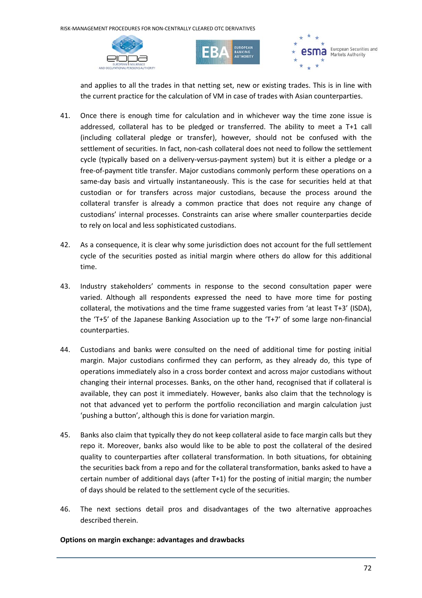





and applies to all the trades in that netting set, new or existing trades. This is in line with the current practice for the calculation of VM in case of trades with Asian counterparties.

- 41. Once there is enough time for calculation and in whichever way the time zone issue is addressed, collateral has to be pledged or transferred. The ability to meet a T+1 call (including collateral pledge or transfer), however, should not be confused with the settlement of securities. In fact, non-cash collateral does not need to follow the settlement cycle (typically based on a delivery-versus-payment system) but it is either a pledge or a free-of-payment title transfer. Major custodians commonly perform these operations on a same-day basis and virtually instantaneously. This is the case for securities held at that custodian or for transfers across major custodians, because the process around the collateral transfer is already a common practice that does not require any change of custodians' internal processes. Constraints can arise where smaller counterparties decide to rely on local and less sophisticated custodians.
- 42. As a consequence, it is clear why some jurisdiction does not account for the full settlement cycle of the securities posted as initial margin where others do allow for this additional time.
- 43. Industry stakeholders' comments in response to the second consultation paper were varied. Although all respondents expressed the need to have more time for posting collateral, the motivations and the time frame suggested varies from 'at least T+3' (ISDA), the 'T+5' of the Japanese Banking Association up to the 'T+7' of some large non-financial counterparties.
- 44. Custodians and banks were consulted on the need of additional time for posting initial margin. Major custodians confirmed they can perform, as they already do, this type of operations immediately also in a cross border context and across major custodians without changing their internal processes. Banks, on the other hand, recognised that if collateral is available, they can post it immediately. However, banks also claim that the technology is not that advanced yet to perform the portfolio reconciliation and margin calculation just 'pushing a button', although this is done for variation margin.
- 45. Banks also claim that typically they do not keep collateral aside to face margin calls but they repo it. Moreover, banks also would like to be able to post the collateral of the desired quality to counterparties after collateral transformation. In both situations, for obtaining the securities back from a repo and for the collateral transformation, banks asked to have a certain number of additional days (after T+1) for the posting of initial margin; the number of days should be related to the settlement cycle of the securities.
- 46. The next sections detail pros and disadvantages of the two alternative approaches described therein.

#### **Options on margin exchange: advantages and drawbacks**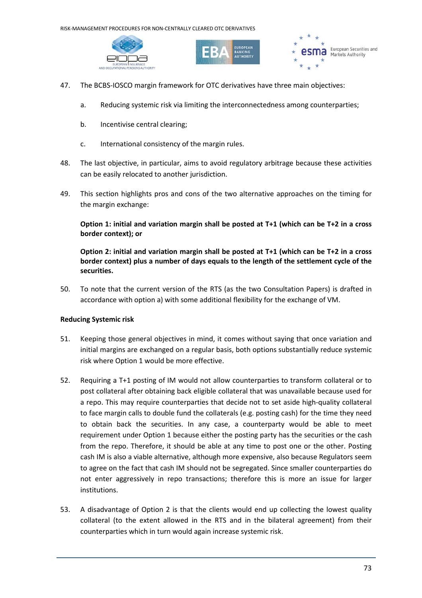





- 47. The BCBS-IOSCO margin framework for OTC derivatives have three main objectives:
	- a. Reducing systemic risk via limiting the interconnectedness among counterparties;
	- b. Incentivise central clearing;
	- c. International consistency of the margin rules.
- 48. The last objective, in particular, aims to avoid regulatory arbitrage because these activities can be easily relocated to another jurisdiction.
- 49. This section highlights pros and cons of the two alternative approaches on the timing for the margin exchange:

**Option 1: initial and variation margin shall be posted at T+1 (which can be T+2 in a cross border context); or**

**Option 2: initial and variation margin shall be posted at T+1 (which can be T+2 in a cross border context) plus a number of days equals to the length of the settlement cycle of the securities.**

50. To note that the current version of the RTS (as the two Consultation Papers) is drafted in accordance with option a) with some additional flexibility for the exchange of VM.

#### **Reducing Systemic risk**

- 51. Keeping those general objectives in mind, it comes without saying that once variation and initial margins are exchanged on a regular basis, both options substantially reduce systemic risk where Option 1 would be more effective.
- 52. Requiring a T+1 posting of IM would not allow counterparties to transform collateral or to post collateral after obtaining back eligible collateral that was unavailable because used for a repo. This may require counterparties that decide not to set aside high-quality collateral to face margin calls to double fund the collaterals (e.g. posting cash) for the time they need to obtain back the securities. In any case, a counterparty would be able to meet requirement under Option 1 because either the posting party has the securities or the cash from the repo. Therefore, it should be able at any time to post one or the other. Posting cash IM is also a viable alternative, although more expensive, also because Regulators seem to agree on the fact that cash IM should not be segregated. Since smaller counterparties do not enter aggressively in repo transactions; therefore this is more an issue for larger institutions.
- 53. A disadvantage of Option 2 is that the clients would end up collecting the lowest quality collateral (to the extent allowed in the RTS and in the bilateral agreement) from their counterparties which in turn would again increase systemic risk.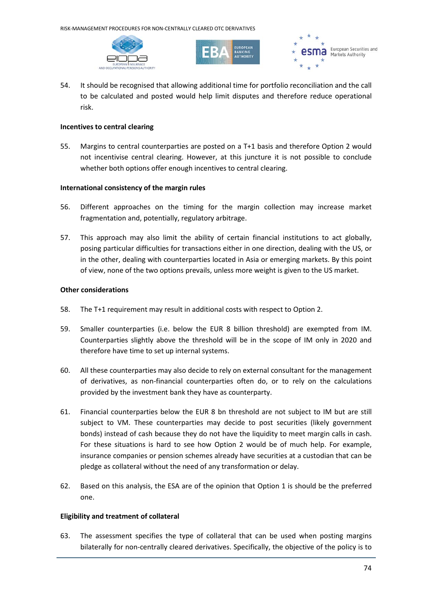





54. It should be recognised that allowing additional time for portfolio reconciliation and the call to be calculated and posted would help limit disputes and therefore reduce operational risk.

#### **Incentives to central clearing**

55. Margins to central counterparties are posted on a T+1 basis and therefore Option 2 would not incentivise central clearing. However, at this juncture it is not possible to conclude whether both options offer enough incentives to central clearing.

#### **International consistency of the margin rules**

- 56. Different approaches on the timing for the margin collection may increase market fragmentation and, potentially, regulatory arbitrage.
- 57. This approach may also limit the ability of certain financial institutions to act globally, posing particular difficulties for transactions either in one direction, dealing with the US, or in the other, dealing with counterparties located in Asia or emerging markets. By this point of view, none of the two options prevails, unless more weight is given to the US market.

#### **Other considerations**

- 58. The T+1 requirement may result in additional costs with respect to Option 2.
- 59. Smaller counterparties (i.e. below the EUR 8 billion threshold) are exempted from IM. Counterparties slightly above the threshold will be in the scope of IM only in 2020 and therefore have time to set up internal systems.
- 60. All these counterparties may also decide to rely on external consultant for the management of derivatives, as non-financial counterparties often do, or to rely on the calculations provided by the investment bank they have as counterparty.
- 61. Financial counterparties below the EUR 8 bn threshold are not subject to IM but are still subject to VM. These counterparties may decide to post securities (likely government bonds) instead of cash because they do not have the liquidity to meet margin calls in cash. For these situations is hard to see how Option 2 would be of much help. For example, insurance companies or pension schemes already have securities at a custodian that can be pledge as collateral without the need of any transformation or delay.
- 62. Based on this analysis, the ESA are of the opinion that Option 1 is should be the preferred one.

#### **Eligibility and treatment of collateral**

63. The assessment specifies the type of collateral that can be used when posting margins bilaterally for non-centrally cleared derivatives. Specifically, the objective of the policy is to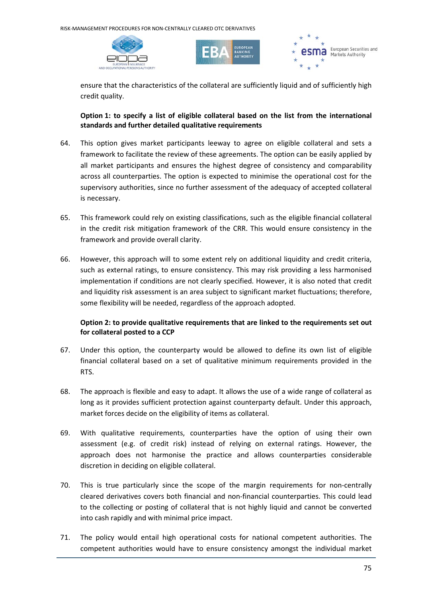





ensure that the characteristics of the collateral are sufficiently liquid and of sufficiently high credit quality.

**Option 1: to specify a list of eligible collateral based on the list from the international standards and further detailed qualitative requirements**

- 64. This option gives market participants leeway to agree on eligible collateral and sets a framework to facilitate the review of these agreements. The option can be easily applied by all market participants and ensures the highest degree of consistency and comparability across all counterparties. The option is expected to minimise the operational cost for the supervisory authorities, since no further assessment of the adequacy of accepted collateral is necessary.
- 65. This framework could rely on existing classifications, such as the eligible financial collateral in the credit risk mitigation framework of the CRR. This would ensure consistency in the framework and provide overall clarity.
- 66. However, this approach will to some extent rely on additional liquidity and credit criteria, such as external ratings, to ensure consistency. This may risk providing a less harmonised implementation if conditions are not clearly specified. However, it is also noted that credit and liquidity risk assessment is an area subject to significant market fluctuations; therefore, some flexibility will be needed, regardless of the approach adopted.

## **Option 2: to provide qualitative requirements that are linked to the requirements set out for collateral posted to a CCP**

- 67. Under this option, the counterparty would be allowed to define its own list of eligible financial collateral based on a set of qualitative minimum requirements provided in the RTS.
- 68. The approach is flexible and easy to adapt. It allows the use of a wide range of collateral as long as it provides sufficient protection against counterparty default. Under this approach, market forces decide on the eligibility of items as collateral.
- 69. With qualitative requirements, counterparties have the option of using their own assessment (e.g. of credit risk) instead of relying on external ratings. However, the approach does not harmonise the practice and allows counterparties considerable discretion in deciding on eligible collateral.
- 70. This is true particularly since the scope of the margin requirements for non-centrally cleared derivatives covers both financial and non-financial counterparties. This could lead to the collecting or posting of collateral that is not highly liquid and cannot be converted into cash rapidly and with minimal price impact.
- 71. The policy would entail high operational costs for national competent authorities. The competent authorities would have to ensure consistency amongst the individual market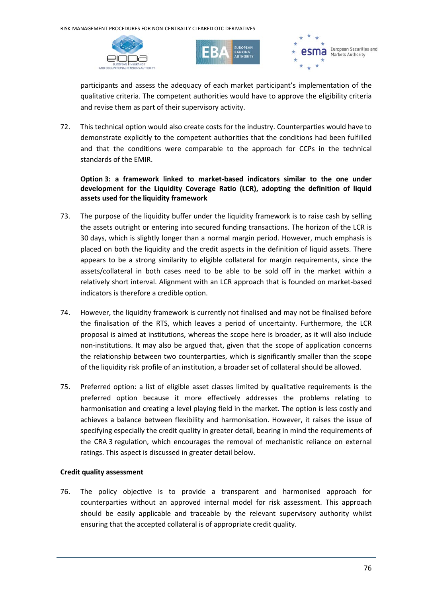





participants and assess the adequacy of each market participant's implementation of the qualitative criteria. The competent authorities would have to approve the eligibility criteria and revise them as part of their supervisory activity.

72. This technical option would also create costs for the industry. Counterparties would have to demonstrate explicitly to the competent authorities that the conditions had been fulfilled and that the conditions were comparable to the approach for CCPs in the technical standards of the EMIR.

## **Option 3: a framework linked to market-based indicators similar to the one under development for the Liquidity Coverage Ratio (LCR), adopting the definition of liquid assets used for the liquidity framework**

- 73. The purpose of the liquidity buffer under the liquidity framework is to raise cash by selling the assets outright or entering into secured funding transactions. The horizon of the LCR is 30 days, which is slightly longer than a normal margin period. However, much emphasis is placed on both the liquidity and the credit aspects in the definition of liquid assets. There appears to be a strong similarity to eligible collateral for margin requirements, since the assets/collateral in both cases need to be able to be sold off in the market within a relatively short interval. Alignment with an LCR approach that is founded on market-based indicators is therefore a credible option.
- 74. However, the liquidity framework is currently not finalised and may not be finalised before the finalisation of the RTS, which leaves a period of uncertainty. Furthermore, the LCR proposal is aimed at institutions, whereas the scope here is broader, as it will also include non-institutions. It may also be argued that, given that the scope of application concerns the relationship between two counterparties, which is significantly smaller than the scope of the liquidity risk profile of an institution, a broader set of collateral should be allowed.
- 75. Preferred option: a list of eligible asset classes limited by qualitative requirements is the preferred option because it more effectively addresses the problems relating to harmonisation and creating a level playing field in the market. The option is less costly and achieves a balance between flexibility and harmonisation. However, it raises the issue of specifying especially the credit quality in greater detail, bearing in mind the requirements of the CRA 3 regulation, which encourages the removal of mechanistic reliance on external ratings. This aspect is discussed in greater detail below.

## **Credit quality assessment**

76. The policy objective is to provide a transparent and harmonised approach for counterparties without an approved internal model for risk assessment. This approach should be easily applicable and traceable by the relevant supervisory authority whilst ensuring that the accepted collateral is of appropriate credit quality.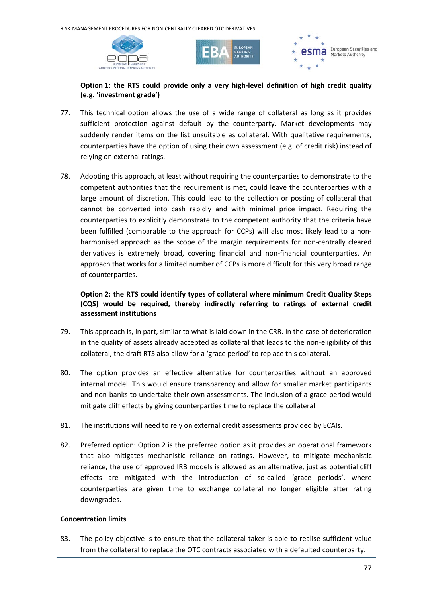





## **Option 1: the RTS could provide only a very high-level definition of high credit quality (e.g. 'investment grade')**

- 77. This technical option allows the use of a wide range of collateral as long as it provides sufficient protection against default by the counterparty. Market developments may suddenly render items on the list unsuitable as collateral. With qualitative requirements, counterparties have the option of using their own assessment (e.g. of credit risk) instead of relying on external ratings.
- 78. Adopting this approach, at least without requiring the counterparties to demonstrate to the competent authorities that the requirement is met, could leave the counterparties with a large amount of discretion. This could lead to the collection or posting of collateral that cannot be converted into cash rapidly and with minimal price impact. Requiring the counterparties to explicitly demonstrate to the competent authority that the criteria have been fulfilled (comparable to the approach for CCPs) will also most likely lead to a nonharmonised approach as the scope of the margin requirements for non-centrally cleared derivatives is extremely broad, covering financial and non-financial counterparties. An approach that works for a limited number of CCPs is more difficult for this very broad range of counterparties.

## **Option 2: the RTS could identify types of collateral where minimum Credit Quality Steps (CQS) would be required, thereby indirectly referring to ratings of external credit assessment institutions**

- 79. This approach is, in part, similar to what is laid down in the CRR. In the case of deterioration in the quality of assets already accepted as collateral that leads to the non-eligibility of this collateral, the draft RTS also allow for a 'grace period' to replace this collateral.
- 80. The option provides an effective alternative for counterparties without an approved internal model. This would ensure transparency and allow for smaller market participants and non-banks to undertake their own assessments. The inclusion of a grace period would mitigate cliff effects by giving counterparties time to replace the collateral.
- 81. The institutions will need to rely on external credit assessments provided by ECAIs.
- 82. Preferred option: Option 2 is the preferred option as it provides an operational framework that also mitigates mechanistic reliance on ratings. However, to mitigate mechanistic reliance, the use of approved IRB models is allowed as an alternative, just as potential cliff effects are mitigated with the introduction of so-called 'grace periods', where counterparties are given time to exchange collateral no longer eligible after rating downgrades.

## **Concentration limits**

83. The policy objective is to ensure that the collateral taker is able to realise sufficient value from the collateral to replace the OTC contracts associated with a defaulted counterparty.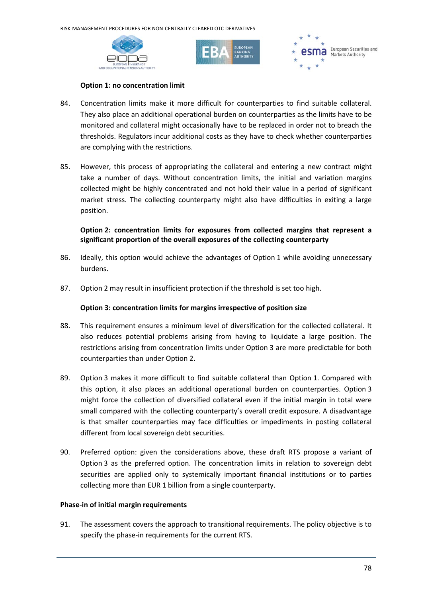





#### **Option 1: no concentration limit**

- 84. Concentration limits make it more difficult for counterparties to find suitable collateral. They also place an additional operational burden on counterparties as the limits have to be monitored and collateral might occasionally have to be replaced in order not to breach the thresholds. Regulators incur additional costs as they have to check whether counterparties are complying with the restrictions.
- 85. However, this process of appropriating the collateral and entering a new contract might take a number of days. Without concentration limits, the initial and variation margins collected might be highly concentrated and not hold their value in a period of significant market stress. The collecting counterparty might also have difficulties in exiting a large position.

## **Option 2: concentration limits for exposures from collected margins that represent a significant proportion of the overall exposures of the collecting counterparty**

- 86. Ideally, this option would achieve the advantages of Option 1 while avoiding unnecessary burdens.
- 87. Option 2 may result in insufficient protection if the threshold is set too high.

#### **Option 3: concentration limits for margins irrespective of position size**

- 88. This requirement ensures a minimum level of diversification for the collected collateral. It also reduces potential problems arising from having to liquidate a large position. The restrictions arising from concentration limits under Option 3 are more predictable for both counterparties than under Option 2.
- 89. Option 3 makes it more difficult to find suitable collateral than Option 1. Compared with this option, it also places an additional operational burden on counterparties. Option 3 might force the collection of diversified collateral even if the initial margin in total were small compared with the collecting counterparty's overall credit exposure. A disadvantage is that smaller counterparties may face difficulties or impediments in posting collateral different from local sovereign debt securities.
- 90. Preferred option: given the considerations above, these draft RTS propose a variant of Option 3 as the preferred option. The concentration limits in relation to sovereign debt securities are applied only to systemically important financial institutions or to parties collecting more than EUR 1 billion from a single counterparty.

#### **Phase-in of initial margin requirements**

91. The assessment covers the approach to transitional requirements. The policy objective is to specify the phase-in requirements for the current RTS.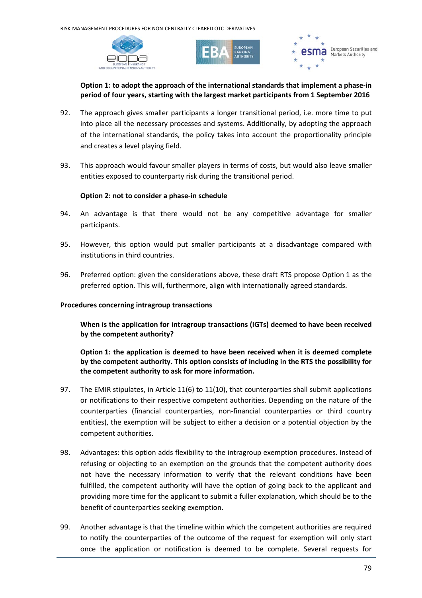





#### **Option 1: to adopt the approach of the international standards that implement a phase-in period of four years, starting with the largest market participants from 1 September 2016**

- 92. The approach gives smaller participants a longer transitional period, i.e. more time to put into place all the necessary processes and systems. Additionally, by adopting the approach of the international standards, the policy takes into account the proportionality principle and creates a level playing field.
- 93. This approach would favour smaller players in terms of costs, but would also leave smaller entities exposed to counterparty risk during the transitional period.

#### **Option 2: not to consider a phase-in schedule**

- 94. An advantage is that there would not be any competitive advantage for smaller participants.
- 95. However, this option would put smaller participants at a disadvantage compared with institutions in third countries.
- 96. Preferred option: given the considerations above, these draft RTS propose Option 1 as the preferred option. This will, furthermore, align with internationally agreed standards.

#### **Procedures concerning intragroup transactions**

**When is the application for intragroup transactions (IGTs) deemed to have been received by the competent authority?**

#### **Option 1: the application is deemed to have been received when it is deemed complete by the competent authority. This option consists of including in the RTS the possibility for the competent authority to ask for more information.**

- 97. The EMIR stipulates, in Article 11(6) to 11(10), that counterparties shall submit applications or notifications to their respective competent authorities. Depending on the nature of the counterparties (financial counterparties, non-financial counterparties or third country entities), the exemption will be subject to either a decision or a potential objection by the competent authorities.
- 98. Advantages: this option adds flexibility to the intragroup exemption procedures. Instead of refusing or objecting to an exemption on the grounds that the competent authority does not have the necessary information to verify that the relevant conditions have been fulfilled, the competent authority will have the option of going back to the applicant and providing more time for the applicant to submit a fuller explanation, which should be to the benefit of counterparties seeking exemption.
- 99. Another advantage is that the timeline within which the competent authorities are required to notify the counterparties of the outcome of the request for exemption will only start once the application or notification is deemed to be complete. Several requests for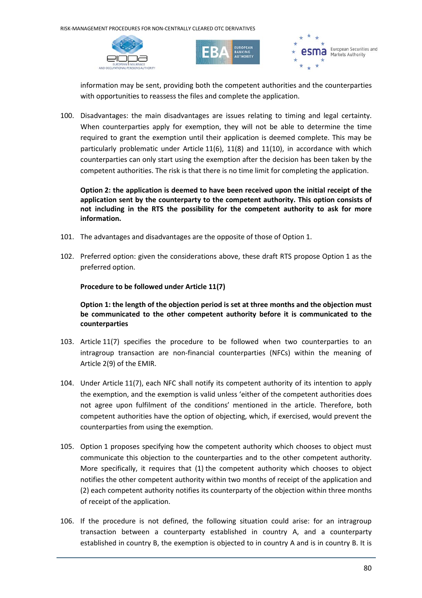





information may be sent, providing both the competent authorities and the counterparties with opportunities to reassess the files and complete the application.

100. Disadvantages: the main disadvantages are issues relating to timing and legal certainty. When counterparties apply for exemption, they will not be able to determine the time required to grant the exemption until their application is deemed complete. This may be particularly problematic under Article 11(6), 11(8) and 11(10), in accordance with which counterparties can only start using the exemption after the decision has been taken by the competent authorities. The risk is that there is no time limit for completing the application.

**Option 2: the application is deemed to have been received upon the initial receipt of the application sent by the counterparty to the competent authority. This option consists of not including in the RTS the possibility for the competent authority to ask for more information.**

- 101. The advantages and disadvantages are the opposite of those of Option 1.
- 102. Preferred option: given the considerations above, these draft RTS propose Option 1 as the preferred option.

**Procedure to be followed under Article 11(7)**

**Option 1: the length of the objection period is set at three months and the objection must be communicated to the other competent authority before it is communicated to the counterparties**

- 103. Article 11(7) specifies the procedure to be followed when two counterparties to an intragroup transaction are non-financial counterparties (NFCs) within the meaning of Article 2(9) of the EMIR.
- 104. Under Article 11(7), each NFC shall notify its competent authority of its intention to apply the exemption, and the exemption is valid unless 'either of the competent authorities does not agree upon fulfilment of the conditions' mentioned in the article. Therefore, both competent authorities have the option of objecting, which, if exercised, would prevent the counterparties from using the exemption.
- 105. Option 1 proposes specifying how the competent authority which chooses to object must communicate this objection to the counterparties and to the other competent authority. More specifically, it requires that (1) the competent authority which chooses to object notifies the other competent authority within two months of receipt of the application and (2) each competent authority notifies its counterparty of the objection within three months of receipt of the application.
- 106. If the procedure is not defined, the following situation could arise: for an intragroup transaction between a counterparty established in country A, and a counterparty established in country B, the exemption is objected to in country A and is in country B. It is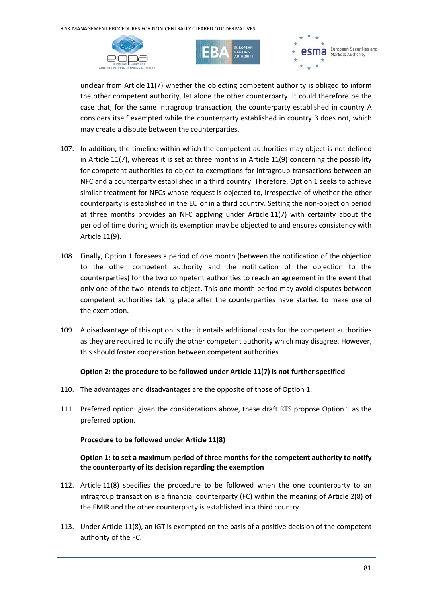





unclear from Article 11(7) whether the objecting competent authority is obliged to inform the other competent authority, let alone the other counterparty. It could therefore be the case that, for the same intragroup transaction, the counterparty established in country A considers itself exempted while the counterparty established in country B does not, which may create a dispute between the counterparties.

- 107. In addition, the timeline within which the competent authorities may object is not defined in Article 11(7), whereas it is set at three months in Article 11(9) concerning the possibility for competent authorities to object to exemptions for intragroup transactions between an NFC and a counterparty established in a third country. Therefore, Option 1 seeks to achieve similar treatment for NFCs whose request is objected to, irrespective of whether the other counterparty is established in the EU or in a third country. Setting the non-objection period at three months provides an NFC applying under Article 11(7) with certainty about the period of time during which its exemption may be objected to and ensures consistency with Article 11(9).
- 108. Finally, Option 1 foresees a period of one month (between the notification of the objection to the other competent authority and the notification of the objection to the counterparties) for the two competent authorities to reach an agreement in the event that only one of the two intends to object. This one-month period may avoid disputes between competent authorities taking place after the counterparties have started to make use of the exemption.
- 109. A disadvantage of this option is that it entails additional costs for the competent authorities as they are required to notify the other competent authority which may disagree. However, this should foster cooperation between competent authorities.

#### **Option 2: the procedure to be followed under Article 11(7) is not further specified**

- 110. The advantages and disadvantages are the opposite of those of Option 1.
- 111. Preferred option: given the considerations above, these draft RTS propose Option 1 as the preferred option.

#### **Procedure to be followed under Article 11(8)**

## **Option 1: to set a maximum period of three months for the competent authority to notify the counterparty of its decision regarding the exemption**

- 112. Article 11(8) specifies the procedure to be followed when the one counterparty to an intragroup transaction is a financial counterparty (FC) within the meaning of Article 2(8) of the EMIR and the other counterparty is established in a third country.
- 113. Under Article 11(8), an IGT is exempted on the basis of a positive decision of the competent authority of the FC.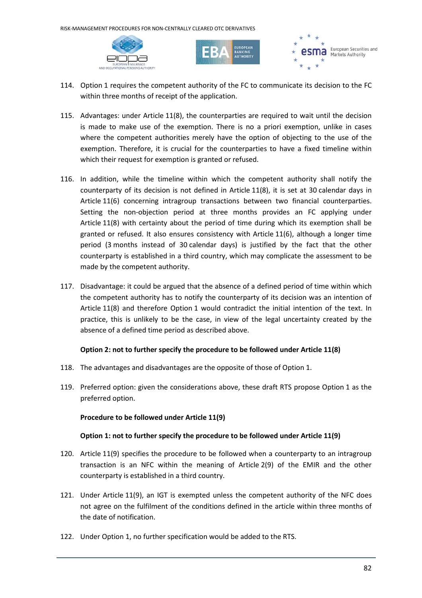





- 114. Option 1 requires the competent authority of the FC to communicate its decision to the FC within three months of receipt of the application.
- 115. Advantages: under Article 11(8), the counterparties are required to wait until the decision is made to make use of the exemption. There is no a priori exemption, unlike in cases where the competent authorities merely have the option of objecting to the use of the exemption. Therefore, it is crucial for the counterparties to have a fixed timeline within which their request for exemption is granted or refused.
- 116. In addition, while the timeline within which the competent authority shall notify the counterparty of its decision is not defined in Article 11(8), it is set at 30 calendar days in Article 11(6) concerning intragroup transactions between two financial counterparties. Setting the non-objection period at three months provides an FC applying under Article 11(8) with certainty about the period of time during which its exemption shall be granted or refused. It also ensures consistency with Article 11(6), although a longer time period (3 months instead of 30 calendar days) is justified by the fact that the other counterparty is established in a third country, which may complicate the assessment to be made by the competent authority.
- 117. Disadvantage: it could be argued that the absence of a defined period of time within which the competent authority has to notify the counterparty of its decision was an intention of Article 11(8) and therefore Option 1 would contradict the initial intention of the text. In practice, this is unlikely to be the case, in view of the legal uncertainty created by the absence of a defined time period as described above.

#### **Option 2: not to further specify the procedure to be followed under Article 11(8)**

- 118. The advantages and disadvantages are the opposite of those of Option 1.
- 119. Preferred option: given the considerations above, these draft RTS propose Option 1 as the preferred option.

#### **Procedure to be followed under Article 11(9)**

#### **Option 1: not to further specify the procedure to be followed under Article 11(9)**

- 120. Article 11(9) specifies the procedure to be followed when a counterparty to an intragroup transaction is an NFC within the meaning of Article 2(9) of the EMIR and the other counterparty is established in a third country.
- 121. Under Article 11(9), an IGT is exempted unless the competent authority of the NFC does not agree on the fulfilment of the conditions defined in the article within three months of the date of notification.
- 122. Under Option 1, no further specification would be added to the RTS.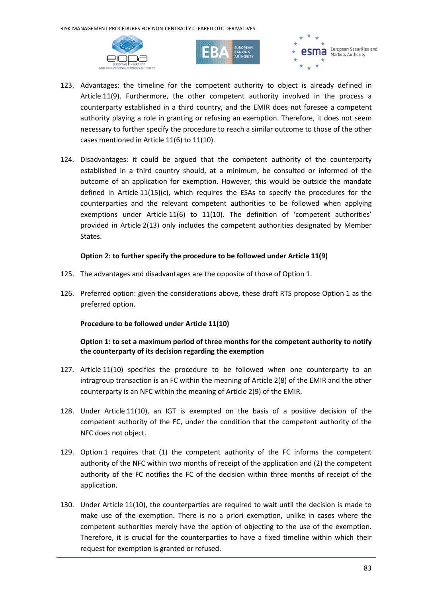





- 123. Advantages: the timeline for the competent authority to object is already defined in Article 11(9). Furthermore, the other competent authority involved in the process a counterparty established in a third country, and the EMIR does not foresee a competent authority playing a role in granting or refusing an exemption. Therefore, it does not seem necessary to further specify the procedure to reach a similar outcome to those of the other cases mentioned in Article 11(6) to 11(10).
- 124. Disadvantages: it could be argued that the competent authority of the counterparty established in a third country should, at a minimum, be consulted or informed of the outcome of an application for exemption. However, this would be outside the mandate defined in Article  $11(15)(c)$ , which requires the ESAs to specify the procedures for the counterparties and the relevant competent authorities to be followed when applying exemptions under Article 11(6) to 11(10). The definition of 'competent authorities' provided in Article 2(13) only includes the competent authorities designated by Member States.

#### **Option 2: to further specify the procedure to be followed under Article 11(9)**

- 125. The advantages and disadvantages are the opposite of those of Option 1.
- 126. Preferred option: given the considerations above, these draft RTS propose Option 1 as the preferred option.

#### **Procedure to be followed under Article 11(10)**

#### **Option 1: to set a maximum period of three months for the competent authority to notify the counterparty of its decision regarding the exemption**

- 127. Article 11(10) specifies the procedure to be followed when one counterparty to an intragroup transaction is an FC within the meaning of Article 2(8) of the EMIR and the other counterparty is an NFC within the meaning of Article 2(9) of the EMIR.
- 128. Under Article 11(10), an IGT is exempted on the basis of a positive decision of the competent authority of the FC, under the condition that the competent authority of the NFC does not object.
- 129. Option 1 requires that (1) the competent authority of the FC informs the competent authority of the NFC within two months of receipt of the application and (2) the competent authority of the FC notifies the FC of the decision within three months of receipt of the application.
- 130. Under Article 11(10), the counterparties are required to wait until the decision is made to make use of the exemption. There is no a priori exemption, unlike in cases where the competent authorities merely have the option of objecting to the use of the exemption. Therefore, it is crucial for the counterparties to have a fixed timeline within which their request for exemption is granted or refused.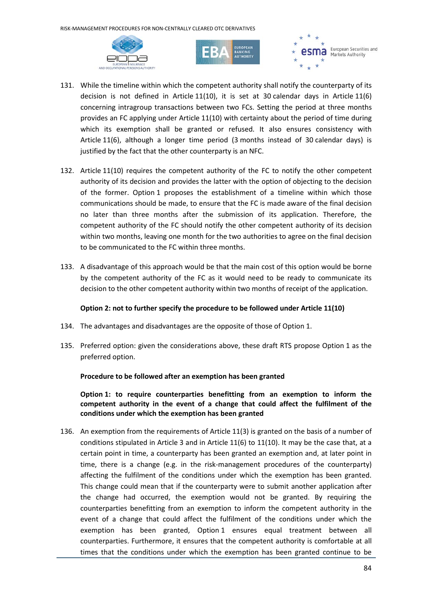





- 131. While the timeline within which the competent authority shall notify the counterparty of its decision is not defined in Article 11(10), it is set at 30 calendar days in Article 11(6) concerning intragroup transactions between two FCs. Setting the period at three months provides an FC applying under Article 11(10) with certainty about the period of time during which its exemption shall be granted or refused. It also ensures consistency with Article 11(6), although a longer time period (3 months instead of 30 calendar days) is justified by the fact that the other counterparty is an NFC.
- 132. Article 11(10) requires the competent authority of the FC to notify the other competent authority of its decision and provides the latter with the option of objecting to the decision of the former. Option 1 proposes the establishment of a timeline within which those communications should be made, to ensure that the FC is made aware of the final decision no later than three months after the submission of its application. Therefore, the competent authority of the FC should notify the other competent authority of its decision within two months, leaving one month for the two authorities to agree on the final decision to be communicated to the FC within three months.
- 133. A disadvantage of this approach would be that the main cost of this option would be borne by the competent authority of the FC as it would need to be ready to communicate its decision to the other competent authority within two months of receipt of the application.

#### **Option 2: not to further specify the procedure to be followed under Article 11(10)**

- 134. The advantages and disadvantages are the opposite of those of Option 1.
- 135. Preferred option: given the considerations above, these draft RTS propose Option 1 as the preferred option.

#### **Procedure to be followed after an exemption has been granted**

## **Option 1: to require counterparties benefitting from an exemption to inform the competent authority in the event of a change that could affect the fulfilment of the conditions under which the exemption has been granted**

136. An exemption from the requirements of Article 11(3) is granted on the basis of a number of conditions stipulated in Article 3 and in Article 11(6) to 11(10). It may be the case that, at a certain point in time, a counterparty has been granted an exemption and, at later point in time, there is a change (e.g. in the risk-management procedures of the counterparty) affecting the fulfilment of the conditions under which the exemption has been granted. This change could mean that if the counterparty were to submit another application after the change had occurred, the exemption would not be granted. By requiring the counterparties benefitting from an exemption to inform the competent authority in the event of a change that could affect the fulfilment of the conditions under which the exemption has been granted, Option 1 ensures equal treatment between all counterparties. Furthermore, it ensures that the competent authority is comfortable at all times that the conditions under which the exemption has been granted continue to be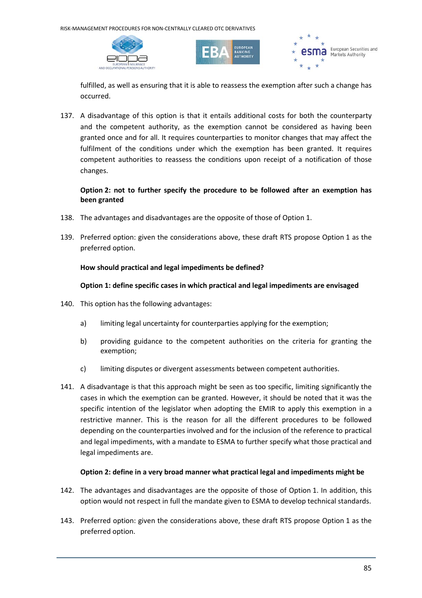





fulfilled, as well as ensuring that it is able to reassess the exemption after such a change has occurred.

137. A disadvantage of this option is that it entails additional costs for both the counterparty and the competent authority, as the exemption cannot be considered as having been granted once and for all. It requires counterparties to monitor changes that may affect the fulfilment of the conditions under which the exemption has been granted. It requires competent authorities to reassess the conditions upon receipt of a notification of those changes.

## **Option 2: not to further specify the procedure to be followed after an exemption has been granted**

- 138. The advantages and disadvantages are the opposite of those of Option 1.
- 139. Preferred option: given the considerations above, these draft RTS propose Option 1 as the preferred option.

#### **How should practical and legal impediments be defined?**

#### **Option 1: define specific cases in which practical and legal impediments are envisaged**

- 140. This option has the following advantages:
	- a) limiting legal uncertainty for counterparties applying for the exemption;
	- b) providing guidance to the competent authorities on the criteria for granting the exemption;
	- c) limiting disputes or divergent assessments between competent authorities.
- 141. A disadvantage is that this approach might be seen as too specific, limiting significantly the cases in which the exemption can be granted. However, it should be noted that it was the specific intention of the legislator when adopting the EMIR to apply this exemption in a restrictive manner. This is the reason for all the different procedures to be followed depending on the counterparties involved and for the inclusion of the reference to practical and legal impediments, with a mandate to ESMA to further specify what those practical and legal impediments are.

#### **Option 2: define in a very broad manner what practical legal and impediments might be**

- 142. The advantages and disadvantages are the opposite of those of Option 1. In addition, this option would not respect in full the mandate given to ESMA to develop technical standards.
- 143. Preferred option: given the considerations above, these draft RTS propose Option 1 as the preferred option.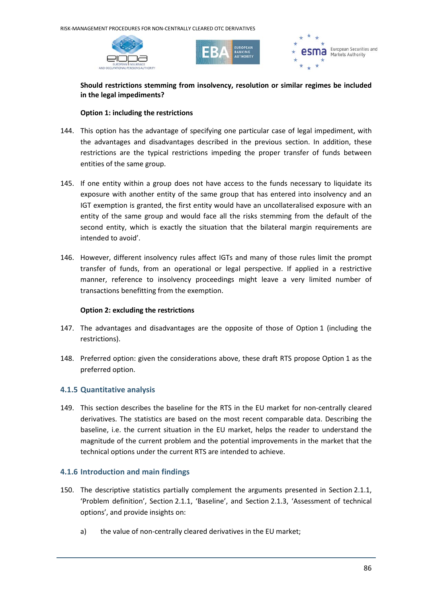





#### **Should restrictions stemming from insolvency, resolution or similar regimes be included in the legal impediments?**

#### **Option 1: including the restrictions**

- 144. This option has the advantage of specifying one particular case of legal impediment, with the advantages and disadvantages described in the previous section. In addition, these restrictions are the typical restrictions impeding the proper transfer of funds between entities of the same group.
- 145. If one entity within a group does not have access to the funds necessary to liquidate its exposure with another entity of the same group that has entered into insolvency and an IGT exemption is granted, the first entity would have an uncollateralised exposure with an entity of the same group and would face all the risks stemming from the default of the second entity, which is exactly the situation that the bilateral margin requirements are intended to avoid'.
- 146. However, different insolvency rules affect IGTs and many of those rules limit the prompt transfer of funds, from an operational or legal perspective. If applied in a restrictive manner, reference to insolvency proceedings might leave a very limited number of transactions benefitting from the exemption.

#### **Option 2: excluding the restrictions**

- 147. The advantages and disadvantages are the opposite of those of Option 1 (including the restrictions).
- 148. Preferred option: given the considerations above, these draft RTS propose Option 1 as the preferred option.

#### **4.1.5 Quantitative analysis**

149. This section describes the baseline for the RTS in the EU market for non-centrally cleared derivatives. The statistics are based on the most recent comparable data. Describing the baseline, i.e. the current situation in the EU market, helps the reader to understand the magnitude of the current problem and the potential improvements in the market that the technical options under the current RTS are intended to achieve.

#### **4.1.6 Introduction and main findings**

- 150. The descriptive statistics partially complement the arguments presented in Section [2.1.1,](#page-64-0) 'Problem definition', Section [2.1.1,](#page-64-0) 'Baseline', and Section [2.1.3,](#page-65-0) 'Assessment of technical options', and provide insights on:
	- a) the value of non-centrally cleared derivatives in the EU market;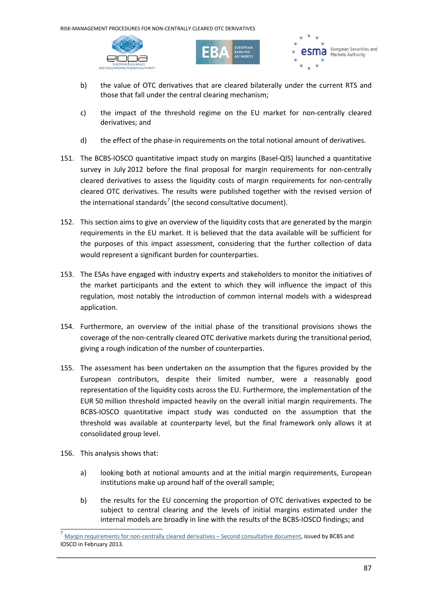





- b) the value of OTC derivatives that are cleared bilaterally under the current RTS and those that fall under the central clearing mechanism;
- c) the impact of the threshold regime on the EU market for non-centrally cleared derivatives; and
- d) the effect of the phase-in requirements on the total notional amount of derivatives.
- 151. The BCBS-IOSCO quantitative impact study on margins (Basel-QIS) launched a quantitative survey in July 2012 before the final proposal for margin requirements for non-centrally cleared derivatives to assess the liquidity costs of margin requirements for non-centrally cleared OTC derivatives. The results were published together with the revised version of the international standards<sup>[7](#page-86-0)</sup> (the second consultative document).
- 152. This section aims to give an overview of the liquidity costs that are generated by the margin requirements in the EU market. It is believed that the data available will be sufficient for the purposes of this impact assessment, considering that the further collection of data would represent a significant burden for counterparties.
- 153. The ESAs have engaged with industry experts and stakeholders to monitor the initiatives of the market participants and the extent to which they will influence the impact of this regulation, most notably the introduction of common internal models with a widespread application.
- 154. Furthermore, an overview of the initial phase of the transitional provisions shows the coverage of the non-centrally cleared OTC derivative markets during the transitional period, giving a rough indication of the number of counterparties.
- 155. The assessment has been undertaken on the assumption that the figures provided by the European contributors, despite their limited number, were a reasonably good representation of the liquidity costs across the EU. Furthermore, the implementation of the EUR 50 million threshold impacted heavily on the overall initial margin requirements. The BCBS-IOSCO quantitative impact study was conducted on the assumption that the threshold was available at counterparty level, but the final framework only allows it at consolidated group level.
- 156. This analysis shows that:
	- a) looking both at notional amounts and at the initial margin requirements, European institutions make up around half of the overall sample;
	- b) the results for the EU concerning the proportion of OTC derivatives expected to be subject to central clearing and the levels of initial margins estimated under the internal models are broadly in line with the results of the BCBS-IOSCO findings; and

<span id="page-86-0"></span><sup>7&</sup>lt;br>Thargin requirements for non-centrally cleared derivatives – Second consultative document, issued by BCBS and IOSCO in February 2013.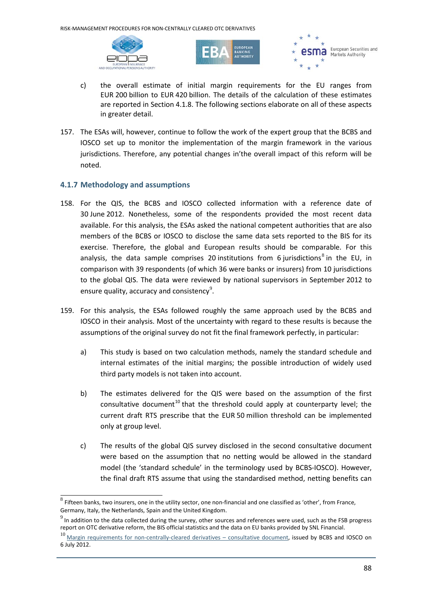





- c) the overall estimate of initial margin requirements for the EU ranges from EUR 200 billion to EUR 420 billion. The details of the calculation of these estimates are reported in Section 4.1.8. The following sections elaborate on all of these aspects in greater detail.
- 157. The ESAs will, however, continue to follow the work of the expert group that the BCBS and IOSCO set up to monitor the implementation of the margin framework in the various jurisdictions. Therefore, any potential changes in'the overall impact of this reform will be noted.

## **4.1.7 Methodology and assumptions**

- 158. For the QIS, the BCBS and IOSCO collected information with a reference date of 30 June 2012. Nonetheless, some of the respondents provided the most recent data available. For this analysis, the ESAs asked the national competent authorities that are also members of the BCBS or IOSCO to disclose the same data sets reported to the BIS for its exercise. Therefore, the global and European results should be comparable. For this analysis, the data sample comprises 20 institutions from 6 jurisdictions<sup>[8](#page-87-0)</sup> in the EU, in comparison with 39 respondents (of which 36 were banks or insurers) from 10 jurisdictions to the global QIS. The data were reviewed by national supervisors in September 2012 to ensure quality, accuracy and consistency<sup>[9](#page-87-1)</sup>.
- 159. For this analysis, the ESAs followed roughly the same approach used by the BCBS and IOSCO in their analysis. Most of the uncertainty with regard to these results is because the assumptions of the original survey do not fit the final framework perfectly, in particular:
	- a) This study is based on two calculation methods, namely the standard schedule and internal estimates of the initial margins; the possible introduction of widely used third party models is not taken into account.
	- b) The estimates delivered for the QIS were based on the assumption of the first consultative document<sup>[10](#page-87-2)</sup> that the threshold could apply at counterparty level; the current draft RTS prescribe that the EUR 50 million threshold can be implemented only at group level.
	- c) The results of the global QIS survey disclosed in the second consultative document were based on the assumption that no netting would be allowed in the standard model (the 'standard schedule' in the terminology used by BCBS-IOSCO). However, the final draft RTS assume that using the standardised method, netting benefits can

<span id="page-87-0"></span> $\frac{8}{8}$  Fifteen banks, two insurers, one in the utility sector, one non-financial and one classified as 'other', from France, Germany, Italy, the Netherlands, Spain and the United Kingdom.

<span id="page-87-1"></span> $9$  In addition to the data collected during the survey, other sources and references were used, such as the FSB progress report on OTC derivative reform, the BIS official statistics and the data on EU banks provided by SNL Financial.

<span id="page-87-2"></span><sup>&</sup>lt;sup>10</sup> [Margin requirements for non-centrally-cleared derivatives –](http://www.bis.org/publ/bcbs226.htm) consultative document, issued by BCBS and IOSCO on 6 July 2012.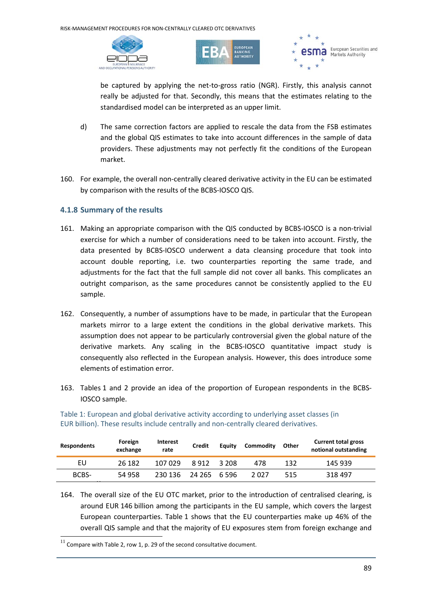





be captured by applying the net-to-gross ratio (NGR). Firstly, this analysis cannot really be adjusted for that. Secondly, this means that the estimates relating to the standardised model can be interpreted as an upper limit.

- d) The same correction factors are applied to rescale the data from the FSB estimates and the global QIS estimates to take into account differences in the sample of data providers. These adjustments may not perfectly fit the conditions of the European market.
- 160. For example, the overall non-centrally cleared derivative activity in the EU can be estimated by comparison with the results of the BCBS-IOSCO QIS.

## **4.1.8 Summary of the results**

11

 $\overline{a}$ 

- 161. Making an appropriate comparison with the QIS conducted by BCBS-IOSCO is a non-trivial exercise for which a number of considerations need to be taken into account. Firstly, the data presented by BCBS-IOSCO underwent a data cleansing procedure that took into account double reporting, i.e. two counterparties reporting the same trade, and adjustments for the fact that the full sample did not cover all banks. This complicates an outright comparison, as the same procedures cannot be consistently applied to the EU sample.
- 162. Consequently, a number of assumptions have to be made, in particular that the European markets mirror to a large extent the conditions in the global derivative markets. This assumption does not appear to be particularly controversial given the global nature of the derivative markets. Any scaling in the BCBS-IOSCO quantitative impact study is consequently also reflected in the European analysis. However, this does introduce some elements of estimation error.
- 163. Tables 1 and 2 provide an idea of the proportion of European respondents in the BCBS-IOSCO sample.

| <b>Respondents</b> | Foreign<br>exchange | Interest<br>rate | <b>Credit</b> | Eauity  | Commodity | Other | <b>Current total gross</b><br>notional outstanding |
|--------------------|---------------------|------------------|---------------|---------|-----------|-------|----------------------------------------------------|
| EU                 | 26 182              | 107 029          | 8912          | - 3 208 | 478       | 132   | 145 939                                            |
| BCBS-              | 54 958              | 230 136          | 24 265        | 6 596   | 2 027     | 515   | 318 497                                            |

Table 1: European and global derivative activity according to underlying asset classes (in EUR billion). These results include centrally and non-centrally cleared derivatives.

164. The overall size of the EU OTC market, prior to the introduction of centralised clearing, is around EUR 146 billion among the participants in the EU sample, which covers the largest European counterparties. Table 1 shows that the EU counterparties make up 46% of the overall QIS sample and that the majority of EU exposures stem from foreign exchange and

Compare with Table 2, row 1, p. 29 of the second consultative document.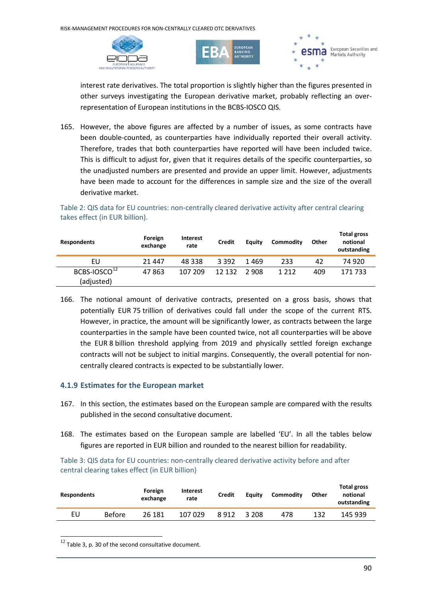





interest rate derivatives. The total proportion is slightly higher than the figures presented in other surveys investigating the European derivative market, probably reflecting an overrepresentation of European institutions in the BCBS-IOSCO QIS.

165. However, the above figures are affected by a number of issues, as some contracts have been double-counted, as counterparties have individually reported their overall activity. Therefore, trades that both counterparties have reported will have been included twice. This is difficult to adjust for, given that it requires details of the specific counterparties, so the unadjusted numbers are presented and provide an upper limit. However, adjustments have been made to account for the differences in sample size and the size of the overall derivative market.

Table 2: QIS data for EU countries: non-centrally cleared derivative activity after central clearing takes effect (in EUR billion).

| <b>Respondents</b>                     | Foreign<br>exchange | <b>Interest</b><br>rate | <b>Credit</b> | Equity | Commodity | Other | <b>Total gross</b><br>notional<br>outstanding |
|----------------------------------------|---------------------|-------------------------|---------------|--------|-----------|-------|-----------------------------------------------|
| EU                                     | 21 447              | 48 3 3 8                | 3 3 9 2       | 1 469  | 233       | 42    | 74 920                                        |
| BCBS-IOSCO <sup>12</sup><br>(adjusted) | 47863               | 107 209                 | 12 132        | 2 908  | 1 2 1 2   | 409   | 171 733                                       |

166. The notional amount of derivative contracts, presented on a gross basis, shows that potentially EUR 75 trillion of derivatives could fall under the scope of the current RTS. However, in practice, the amount will be significantly lower, as contracts between the large counterparties in the sample have been counted twice, not all counterparties will be above the EUR 8 billion threshold applying from 2019 and physically settled foreign exchange contracts will not be subject to initial margins. Consequently, the overall potential for noncentrally cleared contracts is expected to be substantially lower.

#### **4.1.9 Estimates for the European market**

- 167. In this section, the estimates based on the European sample are compared with the results published in the second consultative document.
- 168. The estimates based on the European sample are labelled 'EU'. In all the tables below figures are reported in EUR billion and rounded to the nearest billion for readability.

Table 3: QIS data for EU countries: non-centrally cleared derivative activity before and after central clearing takes effect (in EUR billion)

| <b>Respondents</b> |               | Foreign<br>exchange | <b>Interest</b><br>rate | <b>Credit</b> | Eauity  | Commodity | Other | Total gross<br>notional<br>outstanding |
|--------------------|---------------|---------------------|-------------------------|---------------|---------|-----------|-------|----------------------------------------|
| EU                 | <b>Before</b> | 26 181              | 107 029                 | 8912          | 3 2 0 8 | 478       | 132   | 145 939                                |
|                    |               |                     |                         |               |         |           |       |                                        |

<span id="page-89-0"></span> $12$  Table 3, p. 30 of the second consultative document.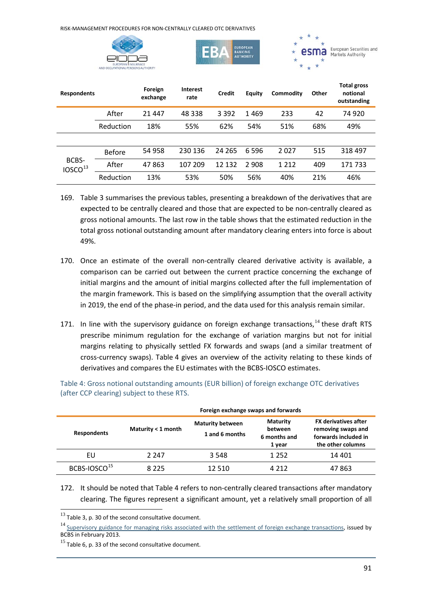





| <b>Respondents</b>           |               | Foreign<br>exchange | <b>Interest</b><br>rate | <b>Credit</b> | Equity | Commodity | Other | <b>Total gross</b><br>notional<br>outstanding |
|------------------------------|---------------|---------------------|-------------------------|---------------|--------|-----------|-------|-----------------------------------------------|
|                              | After         | 21 447              | 48 338                  | 3 3 9 2       | 1469   | 233       | 42    | 74 920                                        |
|                              | Reduction     | 18%                 | 55%                     | 62%           | 54%    | 51%       | 68%   | 49%                                           |
|                              |               |                     |                         |               |        |           |       |                                               |
|                              | <b>Before</b> | 54 958              | 230 136                 | 24 265        | 6596   | 2027      | 515   | 318 497                                       |
| BCBS-<br>IOSCO <sup>13</sup> | After         | 47863               | 107 209                 | 12 132        | 2 908  | 1 2 1 2   | 409   | 171 733                                       |
|                              | Reduction     | 13%                 | 53%                     | 50%           | 56%    | 40%       | 21%   | 46%                                           |

- 169. Table 3 summarises the previous tables, presenting a breakdown of the derivatives that are expected to be centrally cleared and those that are expected to be non-centrally cleared as gross notional amounts. The last row in the table shows that the estimated reduction in the total gross notional outstanding amount after mandatory clearing enters into force is about 49%.
- 170. Once an estimate of the overall non-centrally cleared derivative activity is available, a comparison can be carried out between the current practice concerning the exchange of initial margins and the amount of initial margins collected after the full implementation of the margin framework. This is based on the simplifying assumption that the overall activity in 2019, the end of the phase-in period, and the data used for this analysis remain similar.
- 171. In line with the supervisory guidance on foreign exchange transactions,  $14$  these draft RTS prescribe minimum regulation for the exchange of variation margins but not for initial margins relating to physically settled FX forwards and swaps (and a similar treatment of cross-currency swaps). Table 4 gives an overview of the activity relating to these kinds of derivatives and compares the EU estimates with the BCBS-IOSCO estimates.

Table 4: Gross notional outstanding amounts (EUR billion) of foreign exchange OTC derivatives (after CCP clearing) subject to these RTS.

|                          | Foreign exchange swaps and forwards |                                           |                                                      |                                                                                                |  |
|--------------------------|-------------------------------------|-------------------------------------------|------------------------------------------------------|------------------------------------------------------------------------------------------------|--|
| <b>Respondents</b>       | Maturity < 1 month                  | <b>Maturity between</b><br>1 and 6 months | <b>Maturity</b><br>between<br>6 months and<br>1 year | <b>FX derivatives after</b><br>removing swaps and<br>forwards included in<br>the other columns |  |
| EU                       | 2 2 4 7                             | 3 5 4 8                                   | 1 2 5 2                                              | 14 401                                                                                         |  |
| BCBS-IOSCO <sup>15</sup> | 8 2 2 5                             | 12 5 10                                   | 4 2 1 2                                              | 47 863                                                                                         |  |

172. It should be noted that Table 4 refers to non-centrally cleared transactions after mandatory clearing. The figures represent a significant amount, yet a relatively small proportion of all

<span id="page-90-0"></span> $^{13}$  Table 3, p. 30 of the second consultative document.

<span id="page-90-1"></span><sup>&</sup>lt;sup>14</sup> [Supervisory guidance for managing risks associated with the settlement of foreign exchange transactions,](https://www.bis.org/publ/bcbs241.htm) issued by BCBS in February 2013.

<span id="page-90-2"></span> $15$  Table 6, p. 33 of the second consultative document.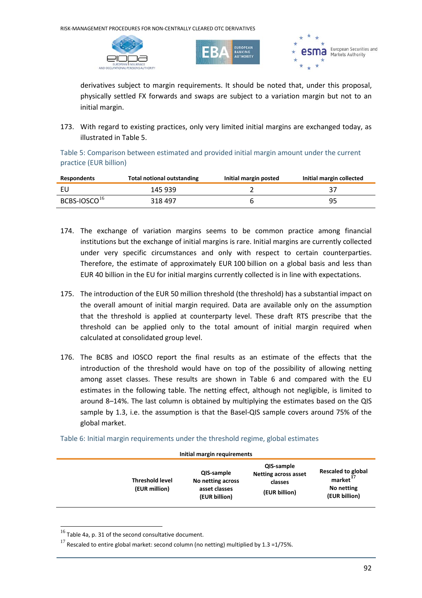





derivatives subject to margin requirements. It should be noted that, under this proposal, physically settled FX forwards and swaps are subject to a variation margin but not to an initial margin.

173. With regard to existing practices, only very limited initial margins are exchanged today, as illustrated in [Table](#page-91-0) 5.

<span id="page-91-0"></span>Table 5: Comparison between estimated and provided initial margin amount under the current practice (EUR billion)

| Respondents              | <b>Total notional outstanding</b> | Initial margin posted | Initial margin collected |
|--------------------------|-----------------------------------|-----------------------|--------------------------|
| - EU                     | 145 939                           |                       | 37                       |
| BCBS-IOSCO <sup>16</sup> | 318 497                           |                       | 95                       |

- 174. The exchange of variation margins seems to be common practice among financial institutions but the exchange of initial margins is rare. Initial margins are currently collected under very specific circumstances and only with respect to certain counterparties. Therefore, the estimate of approximately EUR 100 billion on a global basis and less than EUR 40 billion in the EU for initial margins currently collected is in line with expectations.
- 175. The introduction of the EUR 50 million threshold (the threshold) has a substantial impact on the overall amount of initial margin required. Data are available only on the assumption that the threshold is applied at counterparty level. These draft RTS prescribe that the threshold can be applied only to the total amount of initial margin required when calculated at consolidated group level.
- 176. The BCBS and IOSCO report the final results as an estimate of the effects that the introduction of the threshold would have on top of the possibility of allowing netting among asset classes. These results are shown in Table 6 and compared with the EU estimates in the following table. The netting effect, although not negligible, is limited to around 8–14%. The last column is obtained by multiplying the estimates based on the QIS sample by 1.3, i.e. the assumption is that the Basel-QIS sample covers around 75% of the global market.

Table 6: Initial margin requirements under the threshold regime, global estimates

|                                         | Initial margin requirements                                       |                                                                       |                                                                                  |
|-----------------------------------------|-------------------------------------------------------------------|-----------------------------------------------------------------------|----------------------------------------------------------------------------------|
| <b>Threshold level</b><br>(EUR million) | QIS-sample<br>No netting across<br>asset classes<br>(EUR billion) | QIS-sample<br><b>Netting across asset</b><br>classes<br>(EUR billion) | <b>Rescaled to global</b><br>market <sup>17</sup><br>No netting<br>(EUR billion) |

<span id="page-91-1"></span> $^{16}$  Table 4a, p. 31 of the second consultative document.

<span id="page-91-2"></span> $17$  Rescaled to entire global market: second column (no netting) multiplied by 1.3 =1/75%.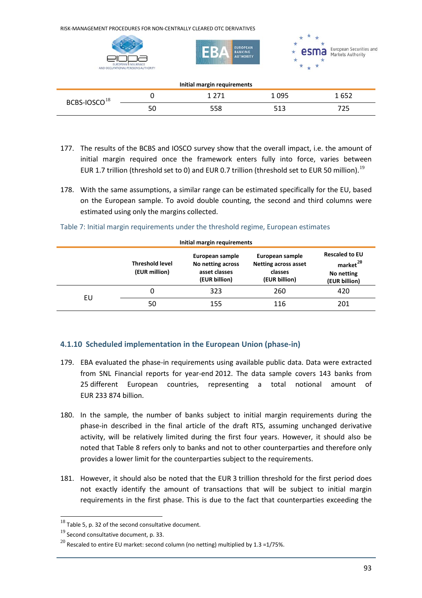

- 177. The results of the BCBS and IOSCO survey show that the overall impact, i.e. the amount of initial margin required once the framework enters fully into force, varies between EUR 1.7 trillion (threshold set to 0) and EUR 0.7 trillion (threshold set to EUR 50 million).<sup>[19](#page-92-1)</sup>
- 178. With the same assumptions, a similar range can be estimated specifically for the EU, based on the European sample. To avoid double counting, the second and third columns were estimated using only the margins collected.

| Initial margin requirements |                                         |                                                                        |                                                                            |                                                                              |  |
|-----------------------------|-----------------------------------------|------------------------------------------------------------------------|----------------------------------------------------------------------------|------------------------------------------------------------------------------|--|
|                             | <b>Threshold level</b><br>(EUR million) | European sample<br>No netting across<br>asset classes<br>(EUR billion) | European sample<br><b>Netting across asset</b><br>classes<br>(EUR billion) | <b>Rescaled to EU</b><br>market <sup>20</sup><br>No netting<br>(EUR billion) |  |
|                             | 0                                       | 323                                                                    | 260                                                                        | 420                                                                          |  |
| EU                          | 50                                      | 155                                                                    | 116                                                                        | 201                                                                          |  |

Table 7: Initial margin requirements under the threshold regime, European estimates

## **4.1.10 Scheduled implementation in the European Union (phase-in)**

- 179. EBA evaluated the phase-in requirements using available public data. Data were extracted from SNL Financial reports for year-end 2012. The data sample covers 143 banks from 25 different European countries, representing a total notional amount of EUR 233 874 billion.
- 180. In the sample, the number of banks subject to initial margin requirements during the phase-in described in the final article of the draft RTS, assuming unchanged derivative activity, will be relatively limited during the first four years. However, it should also be noted that Table 8 refers only to banks and not to other counterparties and therefore only provides a lower limit for the counterparties subject to the requirements.
- 181. However, it should also be noted that the EUR 3 trillion threshold for the first period does not exactly identify the amount of transactions that will be subject to initial margin requirements in the first phase. This is due to the fact that counterparties exceeding the

<span id="page-92-0"></span> $^{18}$  Table 5, p. 32 of the second consultative document.

<span id="page-92-1"></span> $19$  Second consultative document, p. 33.

<span id="page-92-2"></span> $^{20}$  Rescaled to entire EU market: second column (no netting) multiplied by 1.3 =1/75%.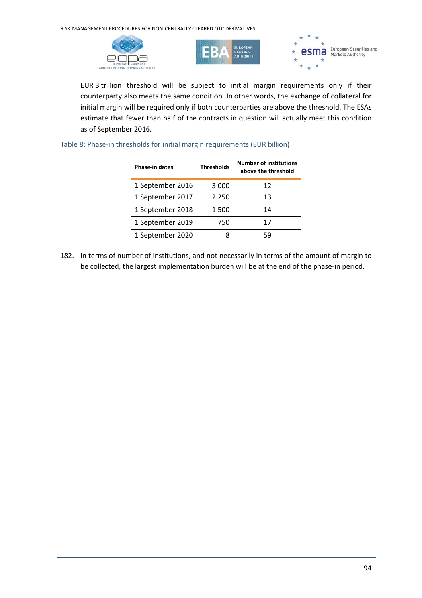





EUR 3 trillion threshold will be subject to initial margin requirements only if their counterparty also meets the same condition. In other words, the exchange of collateral for initial margin will be required only if both counterparties are above the threshold. The ESAs estimate that fewer than half of the contracts in question will actually meet this condition as of September 2016.

## Table 8: Phase-in thresholds for initial margin requirements (EUR billion)

| <b>Phase-in dates</b> | <b>Thresholds</b> | <b>Number of institutions</b><br>above the threshold |
|-----------------------|-------------------|------------------------------------------------------|
| 1 September 2016      | 3 000             | 12                                                   |
| 1 September 2017      | 2 2 5 0           | 13                                                   |
| 1 September 2018      | 1 500             | 14                                                   |
| 1 September 2019      | 750               | 17                                                   |
| 1 September 2020      | x                 | 59                                                   |

182. In terms of number of institutions, and not necessarily in terms of the amount of margin to be collected, the largest implementation burden will be at the end of the phase-in period.